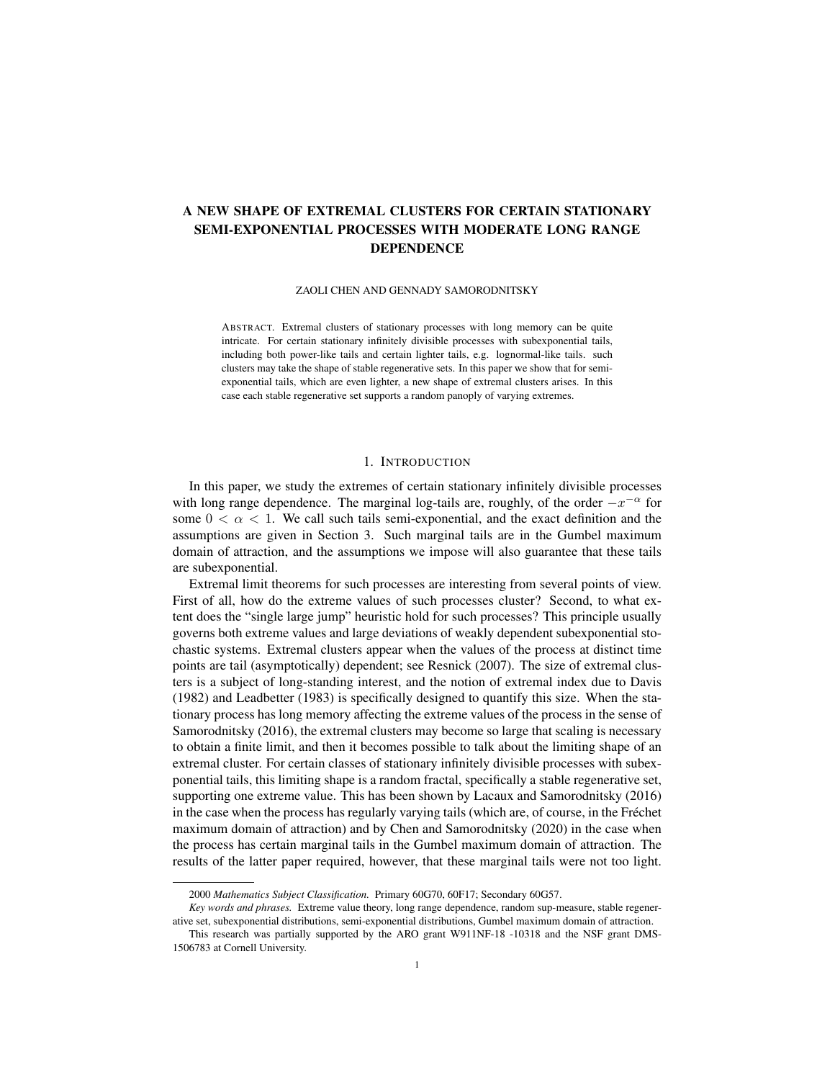# A NEW SHAPE OF EXTREMAL CLUSTERS FOR CERTAIN STATIONARY SEMI-EXPONENTIAL PROCESSES WITH MODERATE LONG RANGE DEPENDENCE

## ZAOLI CHEN AND GENNADY SAMORODNITSKY

ABSTRACT. Extremal clusters of stationary processes with long memory can be quite intricate. For certain stationary infinitely divisible processes with subexponential tails, including both power-like tails and certain lighter tails, e.g. lognormal-like tails. such clusters may take the shape of stable regenerative sets. In this paper we show that for semiexponential tails, which are even lighter, a new shape of extremal clusters arises. In this case each stable regenerative set supports a random panoply of varying extremes.

# 1. INTRODUCTION

In this paper, we study the extremes of certain stationary infinitely divisible processes with long range dependence. The marginal log-tails are, roughly, of the order  $-x^{-\alpha}$  for some  $0 < \alpha < 1$ . We call such tails semi-exponential, and the exact definition and the assumptions are given in Section 3. Such marginal tails are in the Gumbel maximum domain of attraction, and the assumptions we impose will also guarantee that these tails are subexponential.

Extremal limit theorems for such processes are interesting from several points of view. First of all, how do the extreme values of such processes cluster? Second, to what extent does the "single large jump" heuristic hold for such processes? This principle usually governs both extreme values and large deviations of weakly dependent subexponential stochastic systems. Extremal clusters appear when the values of the process at distinct time points are tail (asymptotically) dependent; see Resnick (2007). The size of extremal clusters is a subject of long-standing interest, and the notion of extremal index due to Davis (1982) and Leadbetter (1983) is specifically designed to quantify this size. When the stationary process has long memory affecting the extreme values of the process in the sense of Samorodnitsky (2016), the extremal clusters may become so large that scaling is necessary to obtain a finite limit, and then it becomes possible to talk about the limiting shape of an extremal cluster. For certain classes of stationary infinitely divisible processes with subexponential tails, this limiting shape is a random fractal, specifically a stable regenerative set, supporting one extreme value. This has been shown by Lacaux and Samorodnitsky (2016) in the case when the process has regularly varying tails (which are, of course, in the Frechet ´ maximum domain of attraction) and by Chen and Samorodnitsky (2020) in the case when the process has certain marginal tails in the Gumbel maximum domain of attraction. The results of the latter paper required, however, that these marginal tails were not too light.

<sup>2000</sup> *Mathematics Subject Classification.* Primary 60G70, 60F17; Secondary 60G57.

*Key words and phrases.* Extreme value theory, long range dependence, random sup-measure, stable regenerative set, subexponential distributions, semi-exponential distributions, Gumbel maximum domain of attraction.

This research was partially supported by the ARO grant W911NF-18 -10318 and the NSF grant DMS-1506783 at Cornell University.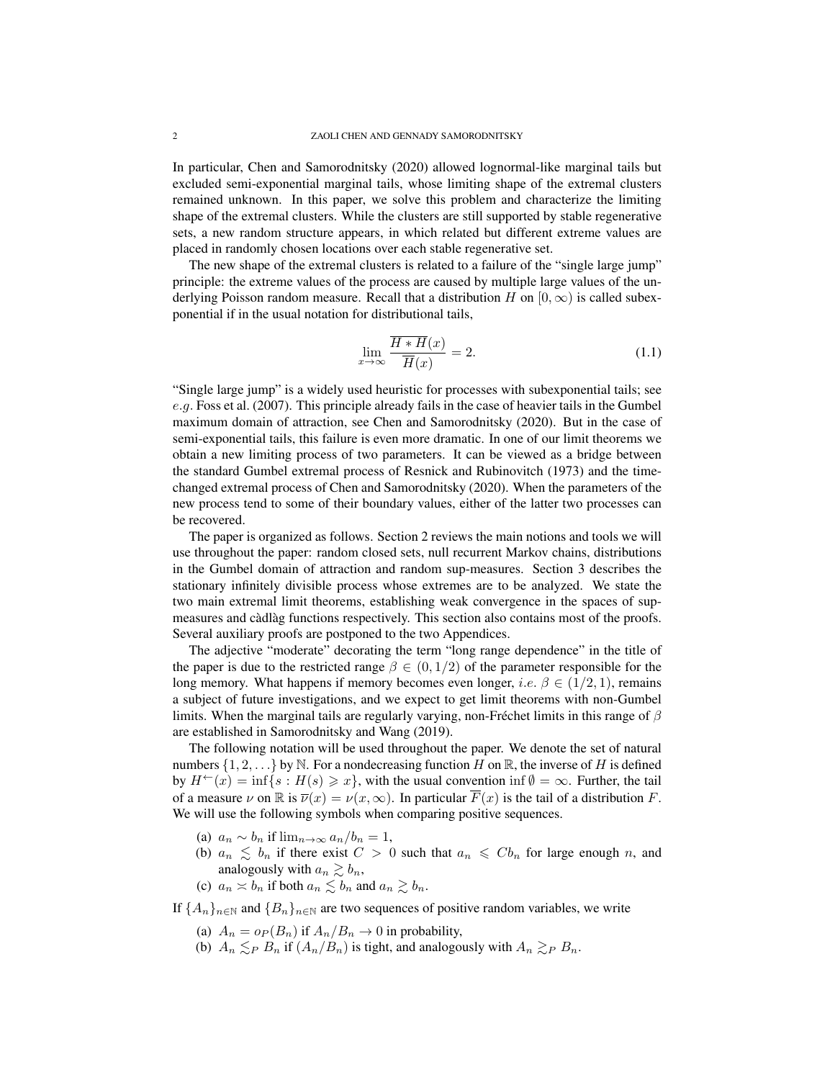In particular, Chen and Samorodnitsky (2020) allowed lognormal-like marginal tails but excluded semi-exponential marginal tails, whose limiting shape of the extremal clusters remained unknown. In this paper, we solve this problem and characterize the limiting shape of the extremal clusters. While the clusters are still supported by stable regenerative sets, a new random structure appears, in which related but different extreme values are placed in randomly chosen locations over each stable regenerative set.

The new shape of the extremal clusters is related to a failure of the "single large jump" principle: the extreme values of the process are caused by multiple large values of the underlying Poisson random measure. Recall that a distribution H on  $[0, \infty)$  is called subexponential if in the usual notation for distributional tails,

$$
\lim_{x \to \infty} \frac{\overline{H \ast H}(x)}{\overline{H}(x)} = 2. \tag{1.1}
$$

"Single large jump" is a widely used heuristic for processes with subexponential tails; see e.g. Foss et al. (2007). This principle already fails in the case of heavier tails in the Gumbel maximum domain of attraction, see Chen and Samorodnitsky (2020). But in the case of semi-exponential tails, this failure is even more dramatic. In one of our limit theorems we obtain a new limiting process of two parameters. It can be viewed as a bridge between the standard Gumbel extremal process of Resnick and Rubinovitch (1973) and the timechanged extremal process of Chen and Samorodnitsky (2020). When the parameters of the new process tend to some of their boundary values, either of the latter two processes can be recovered.

The paper is organized as follows. Section 2 reviews the main notions and tools we will use throughout the paper: random closed sets, null recurrent Markov chains, distributions in the Gumbel domain of attraction and random sup-measures. Section 3 describes the stationary infinitely divisible process whose extremes are to be analyzed. We state the two main extremal limit theorems, establishing weak convergence in the spaces of supmeasures and càdlàg functions respectively. This section also contains most of the proofs. Several auxiliary proofs are postponed to the two Appendices.

The adjective "moderate" decorating the term "long range dependence" in the title of the paper is due to the restricted range  $\beta \in (0, 1/2)$  of the parameter responsible for the long memory. What happens if memory becomes even longer, i.e.  $\beta \in (1/2, 1)$ , remains a subject of future investigations, and we expect to get limit theorems with non-Gumbel limits. When the marginal tails are regularly varying, non-Fréchet limits in this range of  $\beta$ are established in Samorodnitsky and Wang (2019).

The following notation will be used throughout the paper. We denote the set of natural numbers  $\{1, 2, ...\}$  by N. For a nondecreasing function H on R, the inverse of H is defined by  $H^{\leftarrow}(x) = \inf\{s : H(s) \geq x\}$ , with the usual convention inf  $\emptyset = \infty$ . Further, the tail of a measure  $\nu$  on  $\mathbb R$  is  $\overline{\nu}(x) = \nu(x,\infty)$ . In particular  $\overline{F}(x)$  is the tail of a distribution F. We will use the following symbols when comparing positive sequences.

- (a)  $a_n \sim b_n$  if  $\lim_{n \to \infty} a_n/b_n = 1$ ,
- (b)  $a_n \leq b_n$  if there exist  $C > 0$  such that  $a_n \leq Cb_n$  for large enough n, and analogously with  $a_n \gtrsim b_n$ ,
- (c)  $a_n \asymp b_n$  if both  $a_n \lesssim b_n$  and  $a_n \gtrsim b_n$ .

If  ${A_n}_{n\in\mathbb{N}}$  and  ${B_n}_{n\in\mathbb{N}}$  are two sequences of positive random variables, we write

- (a)  $A_n = o_P(B_n)$  if  $A_n/B_n \to 0$  in probability,
- (b)  $A_n \leq_P B_n$  if  $(A_n/B_n)$  is tight, and analogously with  $A_n \geq_P B_n$ .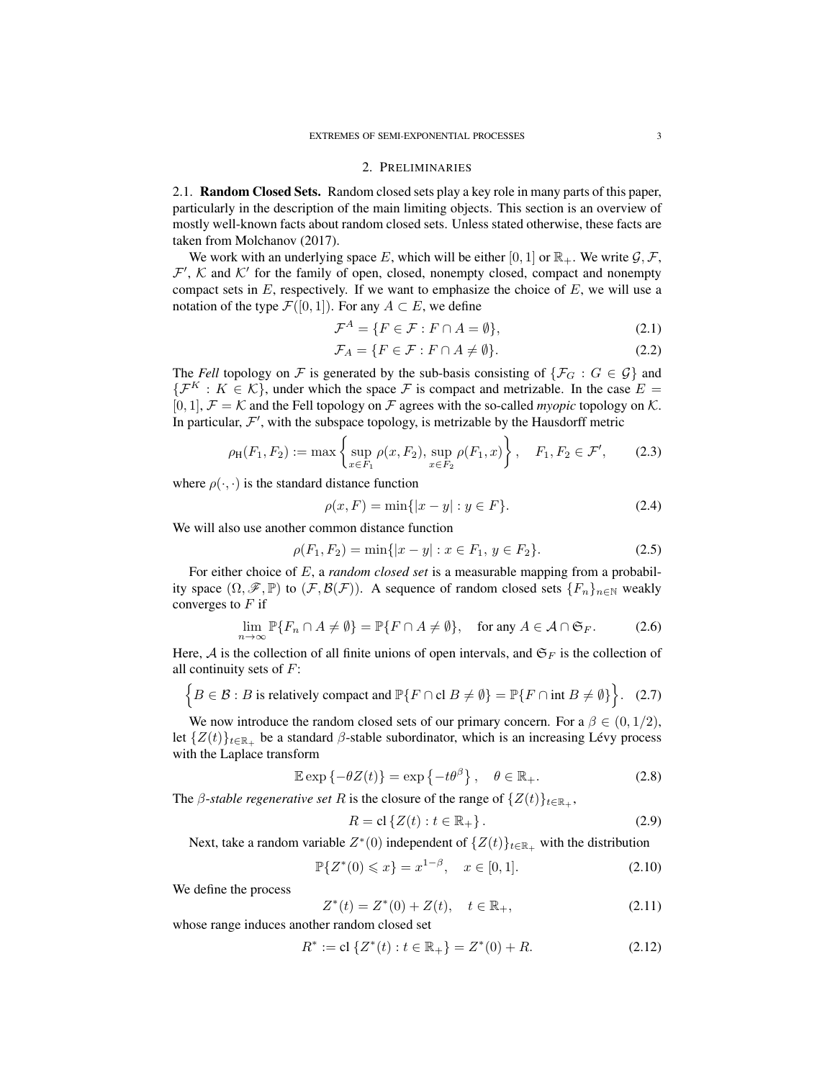#### 2. PRELIMINARIES

2.1. Random Closed Sets. Random closed sets play a key role in many parts of this paper, particularly in the description of the main limiting objects. This section is an overview of mostly well-known facts about random closed sets. Unless stated otherwise, these facts are taken from Molchanov (2017).

We work with an underlying space E, which will be either [0, 1] or  $\mathbb{R}_+$ . We write  $\mathcal{G}, \mathcal{F}$ ,  $\mathcal{F}', \mathcal{K}$  and  $\mathcal{K}'$  for the family of open, closed, nonempty closed, compact and nonempty compact sets in  $E$ , respectively. If we want to emphasize the choice of  $E$ , we will use a notation of the type  $\mathcal{F}([0, 1])$ . For any  $A \subset E$ , we define

$$
\mathcal{F}^A = \{ F \in \mathcal{F} : F \cap A = \emptyset \},\tag{2.1}
$$

$$
\mathcal{F}_A = \{ F \in \mathcal{F} : F \cap A \neq \emptyset \}. \tag{2.2}
$$

The *Fell* topology on F is generated by the sub-basis consisting of  $\{\mathcal{F}_G : G \in \mathcal{G}\}\$ and  $\{\mathcal{F}^K : K \in \mathcal{K}\}\$ , under which the space  $\mathcal F$  is compact and metrizable. In the case  $E =$  $[0, 1]$ ,  $\mathcal{F} = \mathcal{K}$  and the Fell topology on  $\mathcal{F}$  agrees with the so-called *myopic* topology on  $\mathcal{K}$ . In particular,  $\mathcal{F}'$ , with the subspace topology, is metrizable by the Hausdorff metric

$$
\rho_{\rm H}(F_1, F_2) := \max \left\{ \sup_{x \in F_1} \rho(x, F_2), \sup_{x \in F_2} \rho(F_1, x) \right\}, \quad F_1, F_2 \in \mathcal{F}', \tag{2.3}
$$

where  $\rho(\cdot, \cdot)$  is the standard distance function

$$
\rho(x, F) = \min\{|x - y| : y \in F\}.
$$
\n(2.4)

We will also use another common distance function

$$
\rho(F_1, F_2) = \min\{|x - y| : x \in F_1, y \in F_2\}.
$$
\n(2.5)

For either choice of E, a *random closed set* is a measurable mapping from a probability space  $(\Omega, \mathscr{F}, \mathbb{P})$  to  $(\mathcal{F}, \mathcal{B}(\mathcal{F}))$ . A sequence of random closed sets  $\{F_n\}_{n\in\mathbb{N}}$  weakly converges to  $F$  if

$$
\lim_{n \to \infty} \mathbb{P}\{F_n \cap A \neq \emptyset\} = \mathbb{P}\{F \cap A \neq \emptyset\}, \quad \text{for any } A \in \mathcal{A} \cap \mathfrak{S}_F. \tag{2.6}
$$

Here,  $A$  is the collection of all finite unions of open intervals, and  $\mathfrak{S}_F$  is the collection of all continuity sets of  $F$ :

$$
\left\{B \in \mathcal{B} : B \text{ is relatively compact and } \mathbb{P}\{F \cap \text{cl } B \neq \emptyset\} = \mathbb{P}\{F \cap \text{int } B \neq \emptyset\}\right\}. (2.7)
$$

We now introduce the random closed sets of our primary concern. For a  $\beta \in (0, 1/2)$ , let  $\{Z(t)\}_{t\in\mathbb{R}_+}$  be a standard  $\beta$ -stable subordinator, which is an increasing Lévy process with the Laplace transform

$$
\mathbb{E}\exp\{-\theta Z(t)\} = \exp\{-t\theta^{\beta}\}, \quad \theta \in \mathbb{R}_{+}.
$$
 (2.8)

The *β*-*stable regenerative set* R is the closure of the range of  $\{Z(t)\}_{t\in\mathbb{R}_+}$ ,

$$
R = \mathbf{cl}\left\{Z(t) : t \in \mathbb{R}_+\right\}.
$$
\n
$$
(2.9)
$$

Next, take a random variable  $Z^*(0)$  independent of  $\{Z(t)\}_{t\in\mathbb{R}_+}$  with the distribution

$$
\mathbb{P}\{Z^*(0) \leq x\} = x^{1-\beta}, \quad x \in [0,1].
$$
\n(2.10)

We define the process

$$
Z^*(t) = Z^*(0) + Z(t), \quad t \in \mathbb{R}_+, \tag{2.11}
$$

whose range induces another random closed set

$$
R^* := \text{cl}\left\{ Z^*(t) : t \in \mathbb{R}_+ \right\} = Z^*(0) + R. \tag{2.12}
$$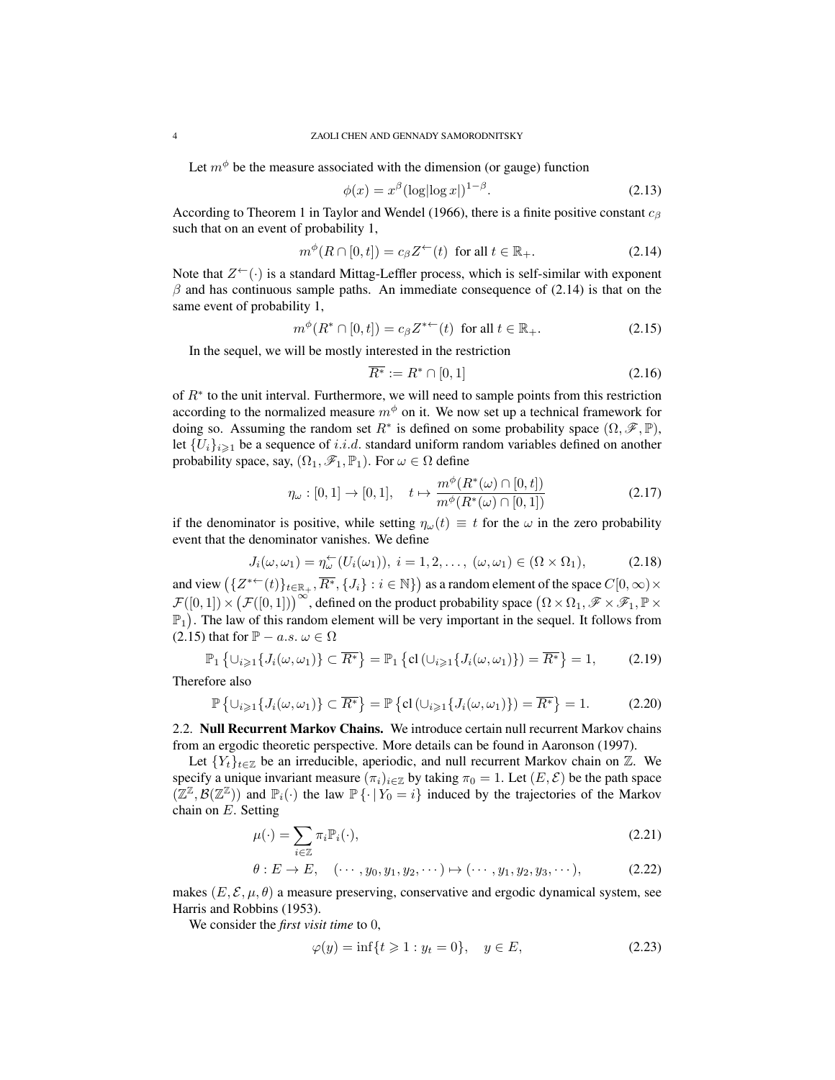Let  $m^{\phi}$  be the measure associated with the dimension (or gauge) function

$$
\phi(x) = x^{\beta} (\log|\log x|)^{1-\beta}.
$$
\n(2.13)

According to Theorem 1 in Taylor and Wendel (1966), there is a finite positive constant  $c_B$ such that on an event of probability 1,

$$
m^{\phi}(R \cap [0, t]) = c_{\beta} Z^{\leftarrow}(t) \text{ for all } t \in \mathbb{R}_{+}.
$$
 (2.14)

Note that  $Z^{\leftarrow}(\cdot)$  is a standard Mittag-Leffler process, which is self-similar with exponent  $\beta$  and has continuous sample paths. An immediate consequence of (2.14) is that on the same event of probability 1,

$$
m^{\phi}(R^* \cap [0, t]) = c_{\beta} Z^{* \leftarrow}(t) \text{ for all } t \in \mathbb{R}_+.
$$
 (2.15)

In the sequel, we will be mostly interested in the restriction

$$
\overline{R^*} := R^* \cap [0,1] \tag{2.16}
$$

of  $R^*$  to the unit interval. Furthermore, we will need to sample points from this restriction according to the normalized measure  $m^{\phi}$  on it. We now set up a technical framework for doing so. Assuming the random set  $R^*$  is defined on some probability space  $(\Omega, \mathscr{F}, \mathbb{P})$ , let  $\{U_i\}_{i\geq 1}$  be a sequence of i.i.d. standard uniform random variables defined on another probability space, say,  $(\Omega_1, \mathscr{F}_1, \mathbb{P}_1)$ . For  $\omega \in \Omega$  define

$$
\eta_{\omega} : [0, 1] \to [0, 1], \quad t \mapsto \frac{m^{\phi}(R^*(\omega) \cap [0, t])}{m^{\phi}(R^*(\omega) \cap [0, 1])}
$$
(2.17)

if the denominator is positive, while setting  $\eta_{\omega}(t) \equiv t$  for the  $\omega$  in the zero probability event that the denominator vanishes. We define

$$
J_i(\omega, \omega_1) = \eta_{\omega}^{\leftarrow}(U_i(\omega_1)), \ i = 1, 2, \dots, \ (\omega, \omega_1) \in (\Omega \times \Omega_1), \tag{2.18}
$$

and view  $(\{Z^{* \leftarrow}(t)\}_{t\in\mathbb{R}_+}, \overline{R^*}, \{J_i\} : i \in \mathbb{N}\})$  as a random element of the space  $C[0,\infty) \times$  $\mathcal{F}([0,1]) \times (\mathcal{F}([0,1]))^{\infty}$ , defined on the product probability space  $(\Omega \times \Omega_1, \mathscr{F} \times \mathscr{F}_1, \mathbb{P} \times$  $\mathbb{P}_1$ ). The law of this random element will be very important in the sequel. It follows from (2.15) that for  $\mathbb{P} - a.s. \omega \in \Omega$ 

$$
\mathbb{P}_1\left\{\cup_{i\geqslant 1}\{J_i(\omega,\omega_1)\}\subset\overline{R^*}\right\} = \mathbb{P}_1\left\{\text{cl}\left(\cup_{i\geqslant 1}\{J_i(\omega,\omega_1)\}\right) = \overline{R^*}\right\} = 1,\tag{2.19}
$$

Therefore also

$$
\mathbb{P}\left\{\cup_{i\geqslant1}\{J_i(\omega,\omega_1)\}\subset\overline{R^*}\right\}=\mathbb{P}\left\{\text{cl}\left(\cup_{i\geqslant1}\{J_i(\omega,\omega_1)\}\right)=\overline{R^*}\right\}=1.\tag{2.20}
$$

2.2. Null Recurrent Markov Chains. We introduce certain null recurrent Markov chains from an ergodic theoretic perspective. More details can be found in Aaronson (1997).

Let  ${Y_t}_{t \in \mathbb{Z}}$  be an irreducible, aperiodic, and null recurrent Markov chain on  $\mathbb{Z}$ . We specify a unique invariant measure  $(\pi_i)_{i\in\mathbb{Z}}$  by taking  $\pi_0 = 1$ . Let  $(E, \mathcal{E})$  be the path space  $(\mathbb{Z}^{\mathbb{Z}}, \mathcal{B}(\mathbb{Z}^{\mathbb{Z}}))$  and  $\mathbb{P}_i(\cdot)$  the law  $\mathbb{P}\{\cdot | Y_0 = i\}$  induced by the trajectories of the Markov chain on E. Setting

$$
\mu(\cdot) = \sum_{i \in \mathbb{Z}} \pi_i \mathbb{P}_i(\cdot),\tag{2.21}
$$

$$
\theta: E \to E, \quad (\cdots, y_0, y_1, y_2, \cdots) \mapsto (\cdots, y_1, y_2, y_3, \cdots), \tag{2.22}
$$

makes  $(E, \mathcal{E}, \mu, \theta)$  a measure preserving, conservative and ergodic dynamical system, see Harris and Robbins (1953).

We consider the *first visit time* to 0,

$$
\varphi(y) = \inf\{t \ge 1 : y_t = 0\}, \quad y \in E,
$$
\n(2.23)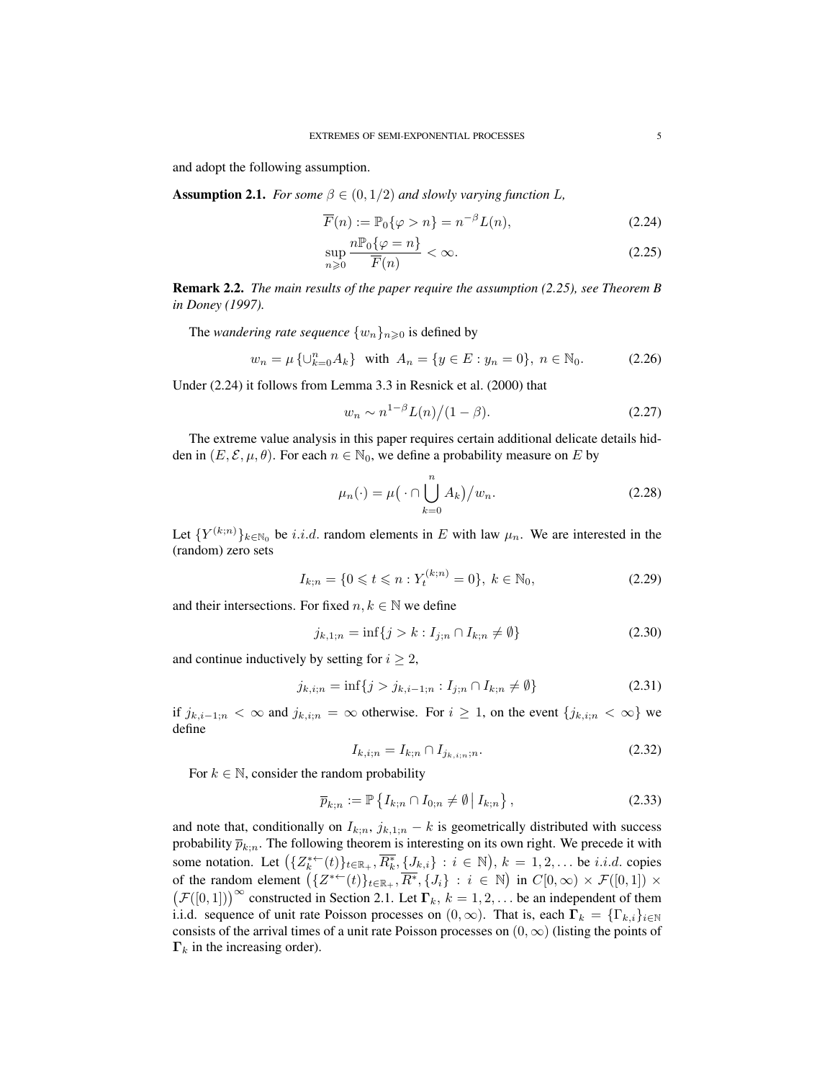and adopt the following assumption.

**Assumption 2.1.** *For some*  $\beta \in (0, 1/2)$  *and slowly varying function L,* 

$$
\overline{F}(n) := \mathbb{P}_0\{\varphi > n\} = n^{-\beta}L(n),\tag{2.24}
$$

$$
\sup_{n\geqslant 0} \frac{n \mathbb{P}_0\{\varphi = n\}}{\overline{F}(n)} < \infty. \tag{2.25}
$$

Remark 2.2. *The main results of the paper require the assumption (2.25), see Theorem B in Doney (1997).*

The *wandering rate sequence*  $\{w_n\}_{n\geq 0}$  is defined by

$$
w_n = \mu \{ \cup_{k=0}^n A_k \} \quad \text{with} \quad A_n = \{ y \in E : y_n = 0 \}, \ n \in \mathbb{N}_0. \tag{2.26}
$$

Under (2.24) it follows from Lemma 3.3 in Resnick et al. (2000) that

$$
w_n \sim n^{1-\beta} L(n)/(1-\beta). \tag{2.27}
$$

The extreme value analysis in this paper requires certain additional delicate details hidden in  $(E, \mathcal{E}, \mu, \theta)$ . For each  $n \in \mathbb{N}_0$ , we define a probability measure on E by

$$
\mu_n(\cdot) = \mu\left(\cdot \cap \bigcup_{k=0}^n A_k\right)/w_n. \tag{2.28}
$$

Let  $\{Y^{(k;n)}\}_{k\in\mathbb{N}_0}$  be i.i.d. random elements in E with law  $\mu_n$ . We are interested in the (random) zero sets

$$
I_{k;n} = \{0 \leq t \leq n : Y_t^{(k;n)} = 0\}, \ k \in \mathbb{N}_0,\tag{2.29}
$$

and their intersections. For fixed  $n, k \in \mathbb{N}$  we define

$$
j_{k,1;n} = \inf\{j > k : I_{j;n} \cap I_{k;n} \neq \emptyset\}
$$
\n(2.30)

and continue inductively by setting for  $i \geq 2$ ,

$$
j_{k,i;n} = \inf\{j > j_{k,i-1;n} : I_{j;n} \cap I_{k;n} \neq \emptyset\} \tag{2.31}
$$

if  $j_{k,i-1;n} < \infty$  and  $j_{k,i;n} = \infty$  otherwise. For  $i \geq 1$ , on the event  $\{j_{k,i;n} < \infty\}$  we define

$$
I_{k,i;n} = I_{k;n} \cap I_{j_{k,i;n};n}.
$$
\n(2.32)

For  $k \in \mathbb{N}$ , consider the random probability

$$
\overline{p}_{k;n} := \mathbb{P}\left\{ I_{k;n} \cap I_{0;n} \neq \emptyset \, \middle| \, I_{k;n} \right\},\tag{2.33}
$$

and note that, conditionally on  $I_{k,n}$ ,  $j_{k,1;n} - k$  is geometrically distributed with success probability  $\bar{p}_{k:n}$ . The following theorem is interesting on its own right. We precede it with some notation. Let  $(\{Z_k^{*-}(t)\}_{t\in\mathbb{R}_+}, \overline{R_k^*}, \{J_{k,i}\} : i \in \mathbb{N}), k = 1, 2, \dots$  be *i.i.d.* copies of the random element  $(\{Z^{*+}(t)\}_{t\in\mathbb{R}_+}, \overline{R^*}, \{J_i\} : i \in \mathbb{N})$  in  $C[0, \infty) \times \mathcal{F}([0,1]) \times$  $(F([0,1]))^{\infty}$  constructed in Section 2.1. Let  $\Gamma_k$ ,  $k = 1, 2, \ldots$  be an independent of them i.i.d. sequence of unit rate Poisson processes on  $(0, \infty)$ . That is, each  $\Gamma_k = \{\Gamma_{k,i}\}_{i \in \mathbb{N}}$ consists of the arrival times of a unit rate Poisson processes on  $(0, \infty)$  (listing the points of  $\Gamma_k$  in the increasing order).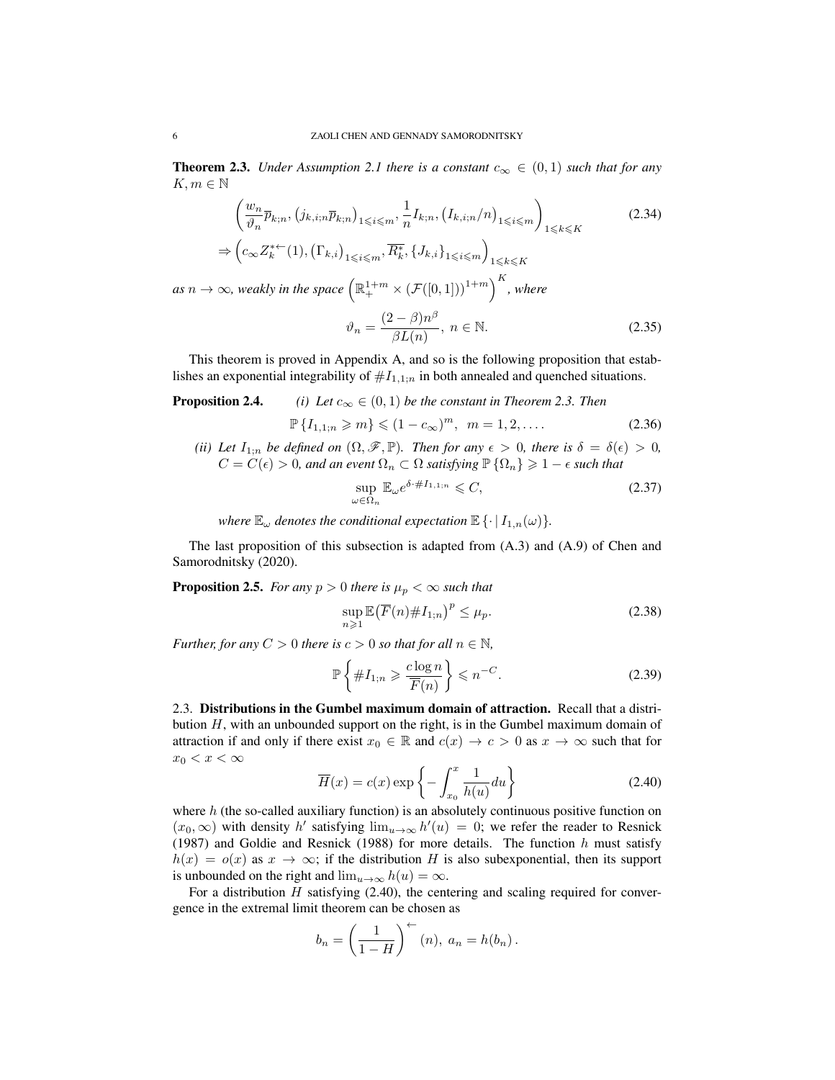**Theorem 2.3.** *Under Assumption 2.1 there is a constant*  $c_{\infty} \in (0,1)$  *such that for any*  $K, m \in \mathbb{N}$ 

$$
\left(\frac{w_n}{\vartheta_n}\overline{p}_{k;n},\left(j_{k,i;n}\overline{p}_{k;n}\right)_{1\leqslant i\leqslant m},\frac{1}{n}I_{k;n},\left(I_{k,i;n}/n\right)_{1\leqslant i\leqslant m}\right)_{1\leqslant k\leqslant K}
$$
\n
$$
\Rightarrow \left(c_{\infty}Z_k^{*+}(1),\left(\Gamma_{k,i}\right)_{1\leqslant i\leqslant m},\overline{R_k^*},\{J_{k,i}\}_{1\leqslant i\leqslant m}\right)_{1\leqslant k\leqslant K}
$$
\n
$$
\Rightarrow \infty, \text{ weakly in the space } \left(\mathbb{R}_+^{1+m} \times \left(\mathcal{F}([0,1])\right)^{1+m}\right)^K, \text{ where}
$$
\n
$$
\left(\mathbb{R}_+^{1+m}\times\left(\mathcal{F}([0,1])\right)^{1+m}\right)^K, \text{ where}
$$
\n
$$
\left(\mathbb{R}_+^{1+m}\times\left(\mathcal{F}([0,1])\right)^{1+m}\right)^K, \text{ where } \left(\mathbb{R}_+^{1+m}\times\left(\mathcal{F}([0,1])\right)^{1+m}\right)^K, \text{ where } \left(\mathbb{R}_+^{1+m}\times\left(\mathcal{F}([0,1])\right)^{1+m}\right)^K, \text{ where } \left(\mathbb{R}_+^{1+m}\times\left(\mathcal{F}([0,1])\right)^{1+m}\right)^K, \text{ where } \left(\mathbb{R}_+^{1+m}\times\left(\mathcal{F}([0,1])\right)^{1+m}\right)^K, \text{ where } \left(\mathbb{R}_+^{1+m}\times\left(\mathcal{F}([0,1])\right)^{1+m}\right)^K, \text{ where } \left(\mathbb{R}_+^{1+m}\times\left(\mathcal{F}([0,1])\right)^{1+m}\right)^K, \text{ where } \left(\mathbb{R}_+^{1+m}\times\left(\mathcal{F}([0,1])\right)^{1+m}\right)^K, \text{ where } \left(\mathbb{R}_+^{1+m}\times\left(\mathcal{F}([0,1])\right)^{1+m}\right)^K, \text{ where } \left(\mathbb{R}_+^{1+m}\times\left(\mathcal{F}([0,1])\right)^{1+m}\right)^K,
$$

$$
\vartheta_n = \frac{(2-\beta)n^{\beta}}{\beta L(n)}, \ n \in \mathbb{N}.
$$
\n(2.35)

This theorem is proved in Appendix A, and so is the following proposition that establishes an exponential integrability of  $#I_{1,1;n}$  in both annealed and quenched situations.

**Proposition 2.4.** *(i) Let*  $c_{\infty} \in (0,1)$  *be the constant in Theorem 2.3. Then* 

$$
\mathbb{P}\{I_{1,1;n} \geqslant m\} \leqslant (1 - c_{\infty})^m, \ \ m = 1, 2, \dots \tag{2.36}
$$

*(ii)* Let  $I_{1;n}$  *be defined on*  $(\Omega, \mathscr{F}, \mathbb{P})$ *. Then for any*  $\epsilon > 0$ *, there is*  $\delta = \delta(\epsilon) > 0$ *,*  $C = C(\epsilon) > 0$ , and an event  $\Omega_n \subset \Omega$  *satisfying*  $\mathbb{P} \{ \Omega_n \} \geq 1 - \epsilon$  *such that* 

$$
\sup_{\omega \in \Omega_n} \mathbb{E}_{\omega} e^{\delta \cdot \#I_{1,1;n}} \leqslant C,\tag{2.37}
$$

*where*  $\mathbb{E}_{\omega}$  *denotes the conditional expectation*  $\mathbb{E}\left\{\cdot | I_{1,n}(\omega)\right\}$ *.* 

The last proposition of this subsection is adapted from (A.3) and (A.9) of Chen and Samorodnitsky (2020).

**Proposition 2.5.** *For any*  $p > 0$  *there is*  $\mu_p < \infty$  *such that* 

$$
\sup_{n\geqslant 1} \mathbb{E}\big(\overline{F}(n)\#I_{1;n}\big)^p \leq \mu_p. \tag{2.38}
$$

*Further, for any*  $C > 0$  *there is*  $c > 0$  *so that for all*  $n \in \mathbb{N}$ *,* 

$$
\mathbb{P}\left\{\#I_{1;n}\geqslant \frac{c\log n}{\overline{F}(n)}\right\}\leqslant n^{-C}.\tag{2.39}
$$

2.3. Distributions in the Gumbel maximum domain of attraction. Recall that a distribution  $H$ , with an unbounded support on the right, is in the Gumbel maximum domain of attraction if and only if there exist  $x_0 \in \mathbb{R}$  and  $c(x) \to c > 0$  as  $x \to \infty$  such that for  $x_0 < x < \infty$ 

$$
\overline{H}(x) = c(x) \exp\left\{-\int_{x_0}^x \frac{1}{h(u)} du\right\}
$$
\n(2.40)

where  $h$  (the so-called auxiliary function) is an absolutely continuous positive function on  $(x_0, \infty)$  with density h' satisfying  $\lim_{u \to \infty} h'(u) = 0$ ; we refer the reader to Resnick (1987) and Goldie and Resnick (1988) for more details. The function  $h$  must satisfy  $h(x) = o(x)$  as  $x \to \infty$ ; if the distribution H is also subexponential, then its support is unbounded on the right and  $\lim_{u\to\infty} h(u) = \infty$ .

For a distribution  $H$  satisfying (2.40), the centering and scaling required for convergence in the extremal limit theorem can be chosen as

$$
b_n = \left(\frac{1}{1-H}\right)^{n} (n), \ a_n = h(b_n).
$$

 $as n -$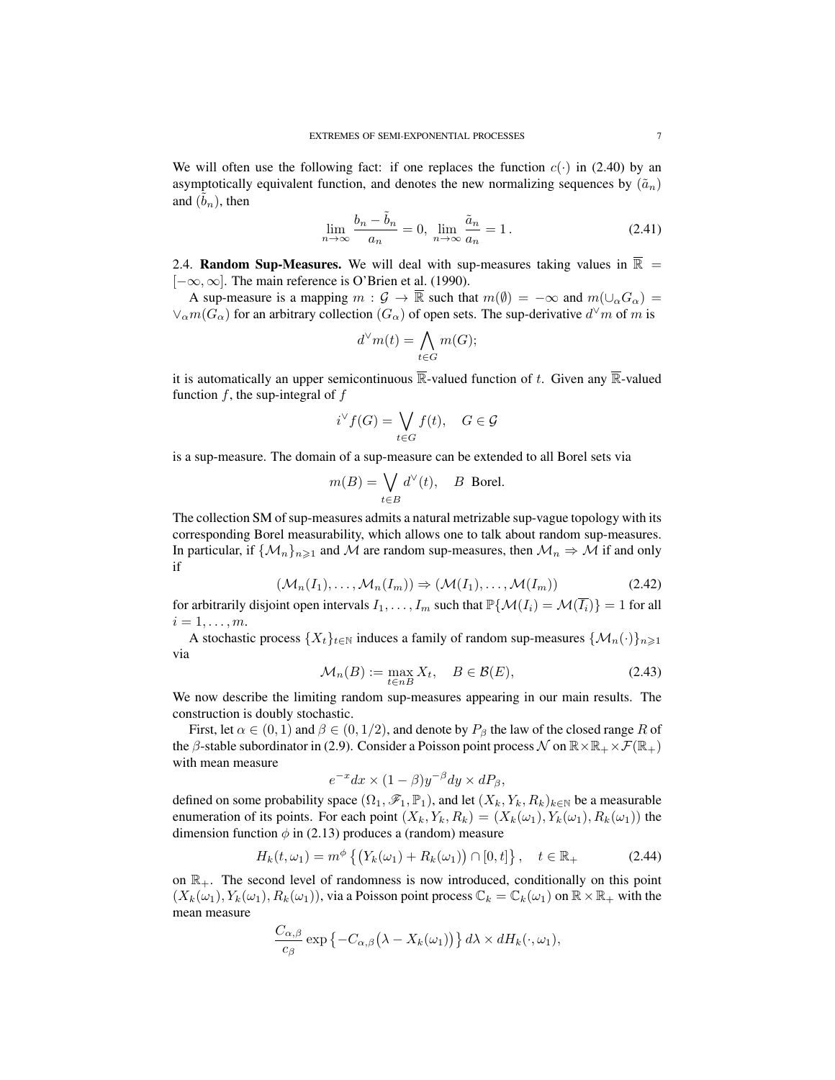We will often use the following fact: if one replaces the function  $c(\cdot)$  in (2.40) by an asymptotically equivalent function, and denotes the new normalizing sequences by  $(\tilde{a}_n)$ and  $(\tilde{b}_n)$ , then

$$
\lim_{n \to \infty} \frac{b_n - \tilde{b}_n}{a_n} = 0, \lim_{n \to \infty} \frac{\tilde{a}_n}{a_n} = 1.
$$
\n(2.41)

2.4. Random Sup-Measures. We will deal with sup-measures taking values in  $\overline{\mathbb{R}}$  = [−∞, ∞]. The main reference is O'Brien et al. (1990).

A sup-measure is a mapping  $m : \mathcal{G} \to \overline{\mathbb{R}}$  such that  $m(\emptyset) = -\infty$  and  $m(\cup_{\alpha} G_{\alpha}) =$  $\vee_{\alpha} m(G_{\alpha})$  for an arbitrary collection  $(G_{\alpha})$  of open sets. The sup-derivative  $d^{\vee} m$  of m is

$$
d^{\vee}m(t) = \bigwedge_{t \in G} m(G);
$$

it is automatically an upper semicontinuous  $\overline{\mathbb{R}}$ -valued function of t. Given any  $\overline{\mathbb{R}}$ -valued function  $f$ , the sup-integral of  $f$ 

$$
i^{\vee} f(G) = \bigvee_{t \in G} f(t), \quad G \in \mathcal{G}
$$

is a sup-measure. The domain of a sup-measure can be extended to all Borel sets via

$$
m(B) = \bigvee_{t \in B} d^{\vee}(t), \quad B \text{ Borel.}
$$

The collection SM of sup-measures admits a natural metrizable sup-vague topology with its corresponding Borel measurability, which allows one to talk about random sup-measures. In particular, if  $\{\mathcal{M}_n\}_{n\geq 1}$  and M are random sup-measures, then  $\mathcal{M}_n \Rightarrow \mathcal{M}$  if and only if

$$
(\mathcal{M}_n(I_1), \dots, \mathcal{M}_n(I_m)) \Rightarrow (\mathcal{M}(I_1), \dots, \mathcal{M}(I_m))
$$
\n(2.42)

for arbitrarily disjoint open intervals  $I_1, \ldots, I_m$  such that  $\mathbb{P}\{\mathcal{M}(I_i) = \mathcal{M}(\overline{I_i})\} = 1$  for all  $i=1,\ldots,m$ .

A stochastic process  $\{X_t\}_{t\in\mathbb{N}}$  induces a family of random sup-measures  $\{\mathcal{M}_n(\cdot)\}_{n\geq 1}$ via

$$
\mathcal{M}_n(B) := \max_{t \in nB} X_t, \quad B \in \mathcal{B}(E), \tag{2.43}
$$

We now describe the limiting random sup-measures appearing in our main results. The construction is doubly stochastic.

First, let  $\alpha \in (0,1)$  and  $\beta \in (0,1/2)$ , and denote by  $P_\beta$  the law of the closed range R of the  $\beta$ -stable subordinator in (2.9). Consider a Poisson point process N on  $\mathbb{R}\times\mathbb{R}_+\times\mathcal{F}(\mathbb{R}_+)$ with mean measure

$$
e^{-x}dx \times (1 - \beta)y^{-\beta}dy \times dP_{\beta},
$$

defined on some probability space  $(\Omega_1, \mathscr{F}_1, \mathbb{P}_1)$ , and let  $(X_k, Y_k, R_k)_{k \in \mathbb{N}}$  be a measurable enumeration of its points. For each point  $(X_k, Y_k, R_k) = (X_k(\omega_1), Y_k(\omega_1), R_k(\omega_1))$  the dimension function  $\phi$  in (2.13) produces a (random) measure

$$
H_k(t,\omega_1) = m^{\phi} \left\{ \left( Y_k(\omega_1) + R_k(\omega_1) \right) \cap [0,t] \right\}, \quad t \in \mathbb{R}_+ \tag{2.44}
$$

on  $\mathbb{R}_+$ . The second level of randomness is now introduced, conditionally on this point  $(X_k(\omega_1), Y_k(\omega_1), R_k(\omega_1))$ , via a Poisson point process  $\mathbb{C}_k = \mathbb{C}_k(\omega_1)$  on  $\mathbb{R} \times \mathbb{R}_+$  with the mean measure

$$
\frac{C_{\alpha,\beta}}{c_{\beta}}\exp\left\{-C_{\alpha,\beta}\left(\lambda-X_k(\omega_1)\right)\right\}d\lambda \times dH_k(\cdot,\omega_1),
$$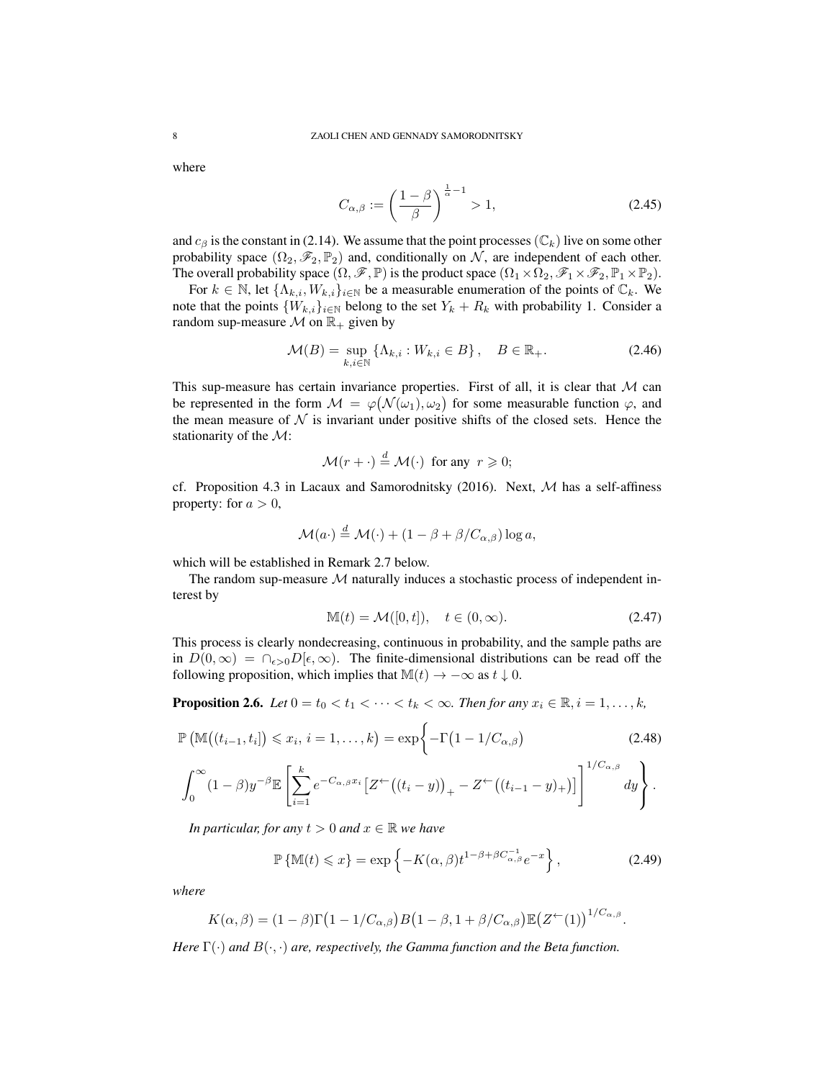where

$$
C_{\alpha,\beta} := \left(\frac{1-\beta}{\beta}\right)^{\frac{1}{\alpha}-1} > 1,
$$
\n(2.45)

and  $c_\beta$  is the constant in (2.14). We assume that the point processes ( $\mathbb{C}_k$ ) live on some other probability space  $(\Omega_2, \mathscr{F}_2, \mathbb{P}_2)$  and, conditionally on N, are independent of each other. The overall probability space  $(\Omega, \mathscr{F}, \mathbb{P})$  is the product space  $(\Omega_1 \times \Omega_2, \mathscr{F}_1 \times \mathscr{F}_2, \mathbb{P}_1 \times \mathbb{P}_2)$ .

For  $k \in \mathbb{N}$ , let  $\{\Lambda_{k,i}, W_{k,i}\}_{i \in \mathbb{N}}$  be a measurable enumeration of the points of  $\mathbb{C}_k$ . We note that the points  $\{W_{k,i}\}_{i\in\mathbb{N}}$  belong to the set  $Y_k + R_k$  with probability 1. Consider a random sup-measure  $\mathcal M$  on  $\mathbb{R}_+$  given by

$$
\mathcal{M}(B) = \sup_{k,i \in \mathbb{N}} \left\{ \Lambda_{k,i} : W_{k,i} \in B \right\}, \quad B \in \mathbb{R}_+.
$$
 (2.46)

This sup-measure has certain invariance properties. First of all, it is clear that  $M$  can be represented in the form  $\mathcal{M} = \varphi(\mathcal{N}(\omega_1), \omega_2)$  for some measurable function  $\varphi$ , and the mean measure of  $\mathcal N$  is invariant under positive shifts of the closed sets. Hence the stationarity of the M:

$$
\mathcal{M}(r + \cdot) \stackrel{d}{=} \mathcal{M}(\cdot) \text{ for any } r \geq 0;
$$

cf. Proposition 4.3 in Lacaux and Samorodnitsky (2016). Next,  $M$  has a self-affiness property: for  $a > 0$ ,

$$
\mathcal{M}(a \cdot) \stackrel{d}{=} \mathcal{M}(\cdot) + (1 - \beta + \beta/C_{\alpha,\beta}) \log a,
$$

which will be established in Remark 2.7 below.

The random sup-measure  $M$  naturally induces a stochastic process of independent interest by

$$
\mathbb{M}(t) = \mathcal{M}([0, t]), \quad t \in (0, \infty). \tag{2.47}
$$

This process is clearly nondecreasing, continuous in probability, and the sample paths are in  $D(0,\infty) = \bigcap_{\epsilon>0} D[\epsilon,\infty)$ . The finite-dimensional distributions can be read off the following proposition, which implies that  $\mathbb{M}(t) \to -\infty$  as  $t \downarrow 0$ .

**Proposition 2.6.** *Let*  $0 = t_0 < t_1 < \cdots < t_k < \infty$ *. Then for any*  $x_i \in \mathbb{R}, i = 1, \ldots, k$ *,* 

$$
\mathbb{P}\left(\mathbb{M}\big((t_{i-1},t_i]\big) \leqslant x_i, i=1,\ldots,k\right) = \exp\bigg\{-\Gamma\big(1-1/C_{\alpha,\beta}\big) \tag{2.48}
$$

$$
\int_0^\infty (1-\beta)y^{-\beta} \mathbb{E}\left[\sum_{i=1}^k e^{-C_{\alpha,\beta}x_i} \left[Z^\leftarrow((t_i-y)\right)_+-Z^\leftarrow((t_{i-1}-y)_+)\right]\right]^{1/C_{\alpha,\beta}}dy\right].
$$

*In particular, for any*  $t > 0$  *and*  $x \in \mathbb{R}$  *we have* 

$$
\mathbb{P}\left\{\mathbb{M}(t)\leqslant x\right\}=\exp\left\{-K(\alpha,\beta)t^{1-\beta+\beta C_{\alpha,\beta}^{-1}}e^{-x}\right\},\tag{2.49}
$$

*where*

$$
K(\alpha,\beta)=(1-\beta)\Gamma(1-1/C_{\alpha,\beta})B(1-\beta,1+\beta/C_{\alpha,\beta})\mathbb{E}(Z^{\leftarrow}(1))^{1/C_{\alpha,\beta}}.
$$

*Here* Γ(·) *and* B(·, ·) *are, respectively, the Gamma function and the Beta function.*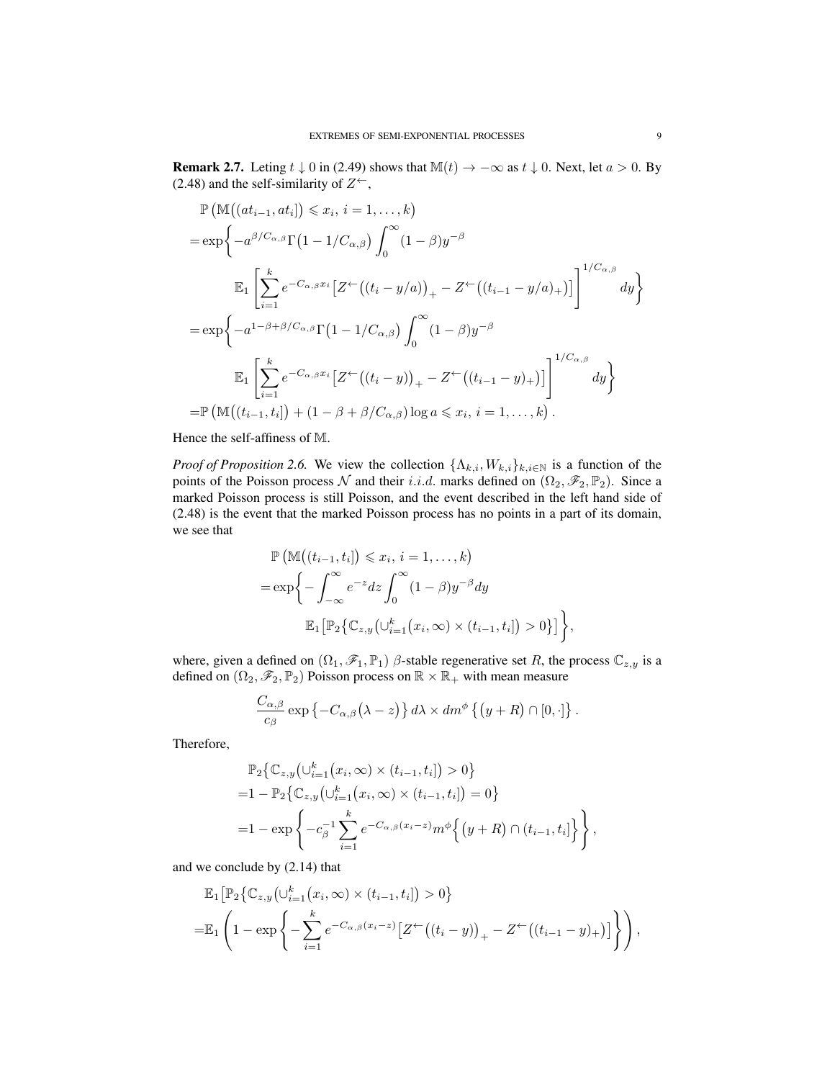**Remark 2.7.** Leting  $t \downarrow 0$  in (2.49) shows that  $\mathbb{M}(t) \to -\infty$  as  $t \downarrow 0$ . Next, let  $a > 0$ . By (2.48) and the self-similarity of  $Z^{\leftarrow}$ ,

$$
\mathbb{P}\left(\mathbb{M}((at_{i-1},at_i]) \leq x_i, i=1,\ldots,k\right)
$$
\n
$$
= \exp\left\{-a^{\beta/C_{\alpha,\beta}}\Gamma(1-1/C_{\alpha,\beta})\int_0^\infty (1-\beta)y^{-\beta}\right\}
$$
\n
$$
\mathbb{E}_1\left[\sum_{i=1}^k e^{-C_{\alpha,\beta}x_i} \left[Z^\leftarrow((t_i-y/a))_+ - Z^\leftarrow((t_{i-1}-y/a)_+)\right]\right]^{1/C_{\alpha,\beta}} dy\right]
$$
\n
$$
= \exp\left\{-a^{1-\beta+\beta/C_{\alpha,\beta}}\Gamma(1-1/C_{\alpha,\beta})\int_0^\infty (1-\beta)y^{-\beta}\right\}
$$
\n
$$
\mathbb{E}_1\left[\sum_{i=1}^k e^{-C_{\alpha,\beta}x_i} \left[Z^\leftarrow((t_i-y))_+ - Z^\leftarrow((t_{i-1}-y)_+)\right]\right]^{1/C_{\alpha,\beta}} dy\right\}
$$
\n
$$
= \mathbb{P}\left(\mathbb{M}((t_{i-1},t_i]) + (1-\beta+\beta/C_{\alpha,\beta})\log a \leq x_i, i=1,\ldots,k\right).
$$

Hence the self-affiness of M.

*Proof of Proposition 2.6.* We view the collection  $\{\Lambda_{k,i}, W_{k,i}\}_{k,i\in\mathbb{N}}$  is a function of the points of the Poisson process N and their i.i.d. marks defined on  $(\Omega_2, \mathscr{F}_2, \mathbb{P}_2)$ . Since a marked Poisson process is still Poisson, and the event described in the left hand side of (2.48) is the event that the marked Poisson process has no points in a part of its domain, we see that

$$
\mathbb{P}\left(\mathbb{M}\left((t_{i-1}, t_i\right]) \leqslant x_i, i = 1, \dots, k\right)
$$
\n
$$
= \exp\left\{-\int_{-\infty}^{\infty} e^{-z} dz \int_{0}^{\infty} (1 - \beta) y^{-\beta} dy\right\}
$$
\n
$$
\mathbb{E}_1\left[\mathbb{P}_2\left\{\mathbb{C}_{z,y}\left(\cup_{i=1}^k (x_i, \infty) \times (t_{i-1}, t_i\right]\right) > 0\right\}\right],
$$

where, given a defined on  $(\Omega_1, \mathcal{F}_1, \mathbb{P}_1)$   $\beta$ -stable regenerative set R, the process  $\mathbb{C}_{z,y}$  is a defined on  $(\Omega_2, \mathscr{F}_2, \mathbb{P}_2)$  Poisson process on  $\mathbb{R} \times \mathbb{R}_+$  with mean measure

$$
\frac{C_{\alpha,\beta}}{c_{\beta}}\exp\left\{-C_{\alpha,\beta}\left(\lambda-z\right)\right\}d\lambda \times dm^{\phi}\left\{\left(y+R\right)\cap\left[0,\cdot\right]\right\}.
$$

Therefore,

$$
\mathbb{P}_2\big\{\mathbb{C}_{z,y}\big(\cup_{i=1}^k (x_i,\infty) \times (t_{i-1},t_i]\big) > 0\big\}
$$
  
=1 -  $\mathbb{P}_2\big\{\mathbb{C}_{z,y}\big(\cup_{i=1}^k (x_i,\infty) \times (t_{i-1},t_i]\big) = 0\big\}$   
=1 -  $\exp\left\{-c_\beta^{-1}\sum_{i=1}^k e^{-C_{\alpha,\beta}(x_i-z)} m^\phi\big\{\big(y+R\big) \cap (t_{i-1},t_i]\big\}\right\},$ 

and we conclude by (2.14) that

$$
\mathbb{E}_{1} \Big[ \mathbb{P}_{2} \big\{ \mathbb{C}_{z,y} \big( \cup_{i=1}^{k} (x_{i}, \infty) \times (t_{i-1}, t_{i}] \big) > 0 \big\}
$$
\n
$$
= \mathbb{E}_{1} \left( 1 - \exp \left\{ - \sum_{i=1}^{k} e^{-C_{\alpha,\beta}(x_{i}-z)} \big[ Z^{+} \big( (t_{i}-y) \big)_{+} - Z^{+} \big( (t_{i-1}-y)_{+} \big) \big] \right\} \right),
$$

 $\left\{ \right\}$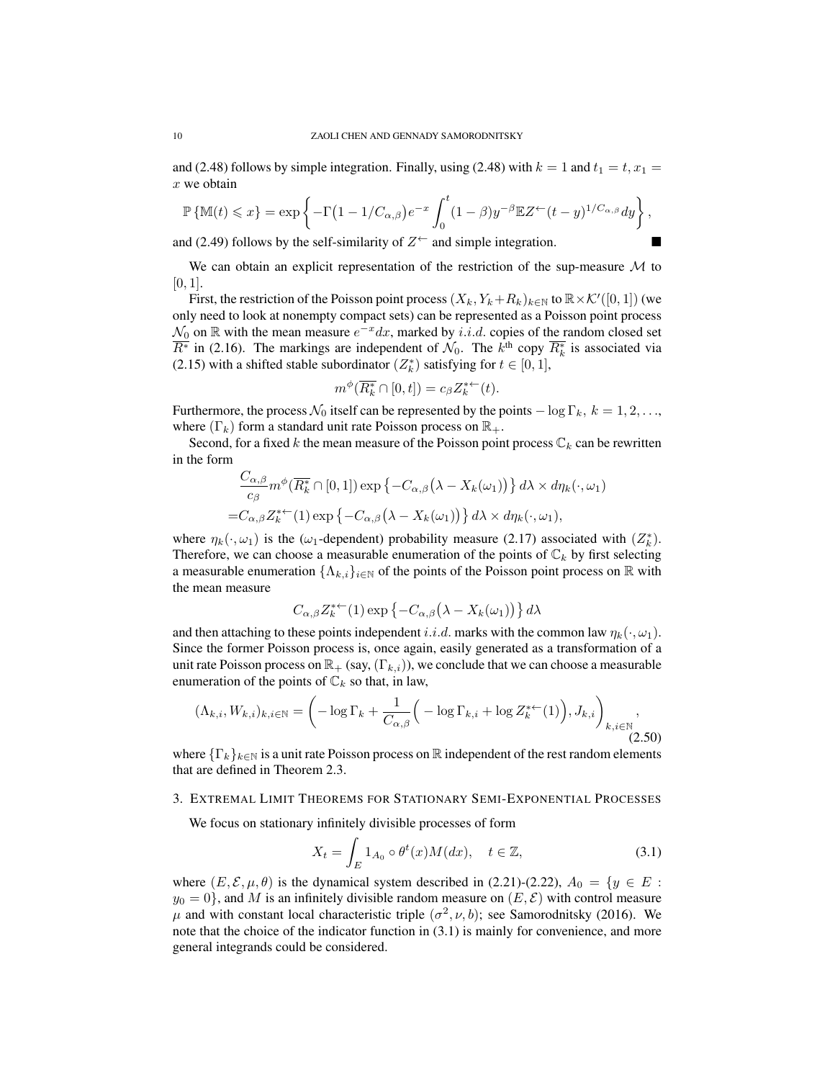and (2.48) follows by simple integration. Finally, using (2.48) with  $k = 1$  and  $t_1 = t$ ,  $x_1 =$  $x$  we obtain

$$
\mathbb{P}\left\{\mathbb{M}(t)\leqslant x\right\}=\exp\left\{-\Gamma\big(1-1/C_{\alpha,\beta}\big)e^{-x}\int_0^t(1-\beta)y^{-\beta}\mathbb{E}Z^\leftarrow(t-y)^{1/C_{\alpha,\beta}}dy\right\},\,
$$

and (2.49) follows by the self-similarity of  $Z^{\leftarrow}$  and simple integration.

We can obtain an explicit representation of the restriction of the sup-measure  $\mathcal M$  to  $[0, 1]$ .

First, the restriction of the Poisson point process  $(X_k, Y_k + R_k)_{k \in \mathbb{N}}$  to  $\mathbb{R} \times \mathcal{K}'([0, 1])$  (we only need to look at nonempty compact sets) can be represented as a Poisson point process  $\mathcal{N}_0$  on  $\mathbb R$  with the mean measure  $e^{-x}dx$ , marked by i.i.d. copies of the random closed set  $\overline{R^*}$  in (2.16). The markings are independent of  $\mathcal{N}_0$ . The  $k^{\text{th}}$  copy  $\overline{R_k^*}$  is associated via (2.15) with a shifted stable subordinator  $(Z_k^*)$  satisfying for  $t \in [0, 1]$ ,

$$
m^{\phi}(\overline{R_k^*} \cap [0, t]) = c_{\beta} Z_k^{*+}(t).
$$

Furthermore, the process  $\mathcal{N}_0$  itself can be represented by the points  $-\log \Gamma_k$ ,  $k = 1, 2, \ldots$ , where  $(\Gamma_k)$  form a standard unit rate Poisson process on  $\mathbb{R}_+$ .

Second, for a fixed k the mean measure of the Poisson point process  $\mathbb{C}_k$  can be rewritten in the form

$$
\frac{C_{\alpha,\beta}}{c_{\beta}} m^{\phi}(\overline{R_k^*} \cap [0,1]) \exp \{-C_{\alpha,\beta}(\lambda - X_k(\omega_1))\} d\lambda \times d\eta_k(\cdot, \omega_1)
$$
  
= $C_{\alpha,\beta} Z_k^{*+}(1) \exp \{-C_{\alpha,\beta}(\lambda - X_k(\omega_1))\} d\lambda \times d\eta_k(\cdot, \omega_1),$ 

where  $\eta_k(\cdot,\omega_1)$  is the ( $\omega_1$ -dependent) probability measure (2.17) associated with  $(Z_k^*)$ . Therefore, we can choose a measurable enumeration of the points of  $\mathbb{C}_k$  by first selecting a measurable enumeration  $\{\Lambda_{k,i}\}_{i\in\mathbb{N}}$  of the points of the Poisson point process on  $\mathbb R$  with the mean measure

$$
C_{\alpha,\beta}Z_k^{*\leftarrow}(1)\exp\left\{-C_{\alpha,\beta}\left(\lambda - X_k(\omega_1)\right)\right\}d\lambda
$$

and then attaching to these points independent i.i.d. marks with the common law  $\eta_k(\cdot, \omega_1)$ . Since the former Poisson process is, once again, easily generated as a transformation of a unit rate Poisson process on  $\mathbb{R}_+$  (say,  $(\Gamma_{k,i})$ ), we conclude that we can choose a measurable enumeration of the points of  $\mathbb{C}_k$  so that, in law,

$$
(\Lambda_{k,i}, W_{k,i})_{k,i\in\mathbb{N}} = \left(-\log \Gamma_k + \frac{1}{C_{\alpha,\beta}} \Big(-\log \Gamma_{k,i} + \log Z_k^{*+}(1)\Big), J_{k,i}\right)_{k,i\in\mathbb{N}},\tag{2.50}
$$

where  ${\{\Gamma_k\}}_{k\in\mathbb{N}}$  is a unit rate Poisson process on  $\mathbb R$  independent of the rest random elements that are defined in Theorem 2.3.

#### 3. EXTREMAL LIMIT THEOREMS FOR STATIONARY SEMI-EXPONENTIAL PROCESSES

We focus on stationary infinitely divisible processes of form

$$
X_t = \int_E 1_{A_0} \circ \theta^t(x) M(dx), \quad t \in \mathbb{Z}, \tag{3.1}
$$

where  $(E, \mathcal{E}, \mu, \theta)$  is the dynamical system described in (2.21)-(2.22),  $A_0 = \{y \in E :$  $y_0 = 0$ , and M is an infinitely divisible random measure on  $(E, \mathcal{E})$  with control measure  $\mu$  and with constant local characteristic triple  $(\sigma^2, \nu, b)$ ; see Samorodnitsky (2016). We note that the choice of the indicator function in (3.1) is mainly for convenience, and more general integrands could be considered.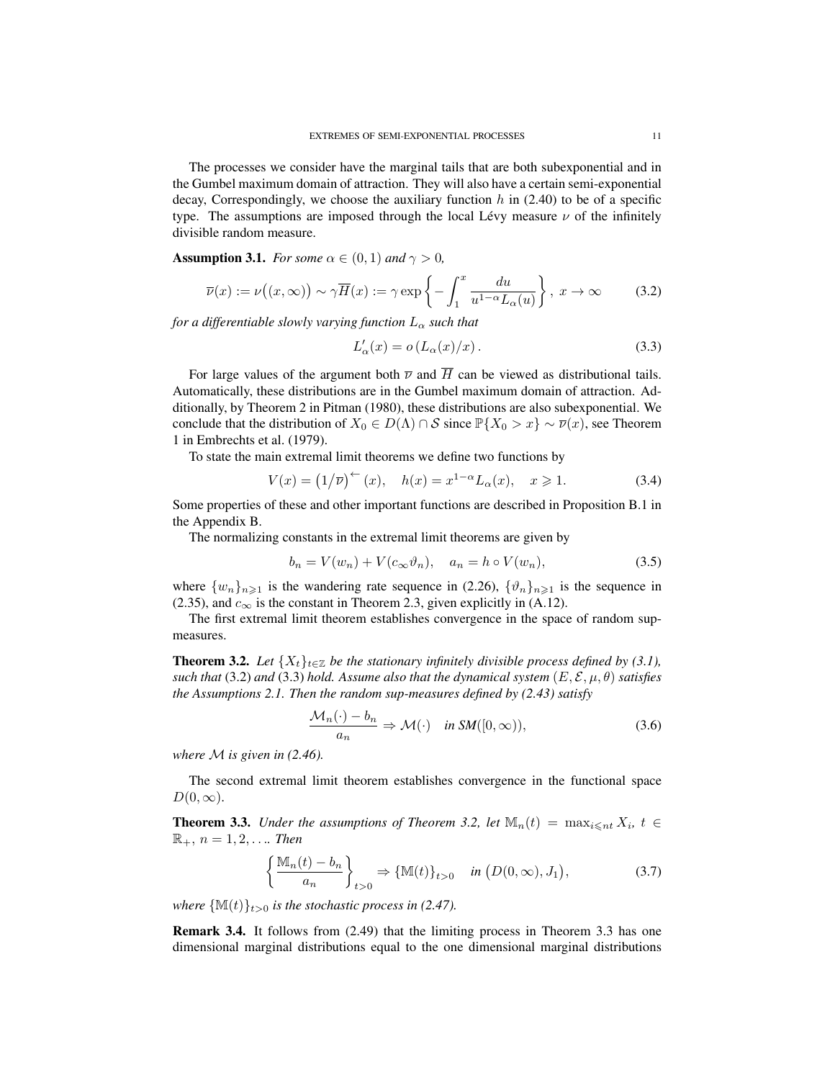The processes we consider have the marginal tails that are both subexponential and in the Gumbel maximum domain of attraction. They will also have a certain semi-exponential decay, Correspondingly, we choose the auxiliary function  $h$  in (2.40) to be of a specific type. The assumptions are imposed through the local Lévy measure  $\nu$  of the infinitely divisible random measure.

**Assumption 3.1.** *For some*  $\alpha \in (0,1)$  *and*  $\gamma > 0$ *,* 

$$
\overline{\nu}(x) := \nu((x,\infty)) \sim \gamma \overline{H}(x) := \gamma \exp\left\{-\int_1^x \frac{du}{u^{1-\alpha}L_\alpha(u)}\right\}, \ x \to \infty \tag{3.2}
$$

*for a differentiable slowly varying function*  $L_{\alpha}$  *such that* 

$$
L'_{\alpha}(x) = o\left(L_{\alpha}(x)/x\right). \tag{3.3}
$$

For large values of the argument both  $\overline{\nu}$  and  $\overline{H}$  can be viewed as distributional tails. Automatically, these distributions are in the Gumbel maximum domain of attraction. Additionally, by Theorem 2 in Pitman (1980), these distributions are also subexponential. We conclude that the distribution of  $X_0 \in D(\Lambda) \cap S$  since  $\mathbb{P}\{X_0 > x\} \sim \overline{\nu}(x)$ , see Theorem 1 in Embrechts et al. (1979).

To state the main extremal limit theorems we define two functions by

$$
V(x) = (1/\overline{\nu})^{\leftarrow}(x), \quad h(x) = x^{1-\alpha} L_{\alpha}(x), \quad x \geq 1.
$$
 (3.4)

Some properties of these and other important functions are described in Proposition B.1 in the Appendix B.

The normalizing constants in the extremal limit theorems are given by

$$
b_n = V(w_n) + V(c_\infty \vartheta_n), \quad a_n = h \circ V(w_n), \tag{3.5}
$$

where  $\{w_n\}_{n\geq 1}$  is the wandering rate sequence in (2.26),  $\{\vartheta_n\}_{n\geq 1}$  is the sequence in (2.35), and  $c_{\infty}$  is the constant in Theorem 2.3, given explicitly in (A.12).

The first extremal limit theorem establishes convergence in the space of random supmeasures.

**Theorem 3.2.** Let  $\{X_t\}_{t\in\mathbb{Z}}$  be the stationary infinitely divisible process defined by (3.1), *such that* (3.2) *and* (3.3) *hold.* Assume also that the dynamical system  $(E, \mathcal{E}, \mu, \theta)$  *satisfies the Assumptions 2.1. Then the random sup-measures defined by (2.43) satisfy*

$$
\frac{\mathcal{M}_n(\cdot) - b_n}{a_n} \Rightarrow \mathcal{M}(\cdot) \quad \text{in } \mathcal{SM}([0, \infty)), \tag{3.6}
$$

*where* M *is given in (2.46).*

The second extremal limit theorem establishes convergence in the functional space  $D(0,\infty)$ .

**Theorem 3.3.** *Under the assumptions of Theorem 3.2, let*  $\mathbb{M}_n(t) = \max_{i \leq n} X_i$ ,  $t \in$  $\mathbb{R}_+$ ,  $n = 1, 2, \ldots$  *Then* 

$$
\left\{\frac{\mathbb{M}_n(t) - b_n}{a_n}\right\}_{t>0} \Rightarrow \left\{\mathbb{M}(t)\right\}_{t>0} \quad \text{in } (D(0,\infty), J_1),\tag{3.7}
$$

*where*  $\{\mathbb{M}(t)\}_{t>0}$  *is the stochastic process in (2.47).* 

Remark 3.4. It follows from (2.49) that the limiting process in Theorem 3.3 has one dimensional marginal distributions equal to the one dimensional marginal distributions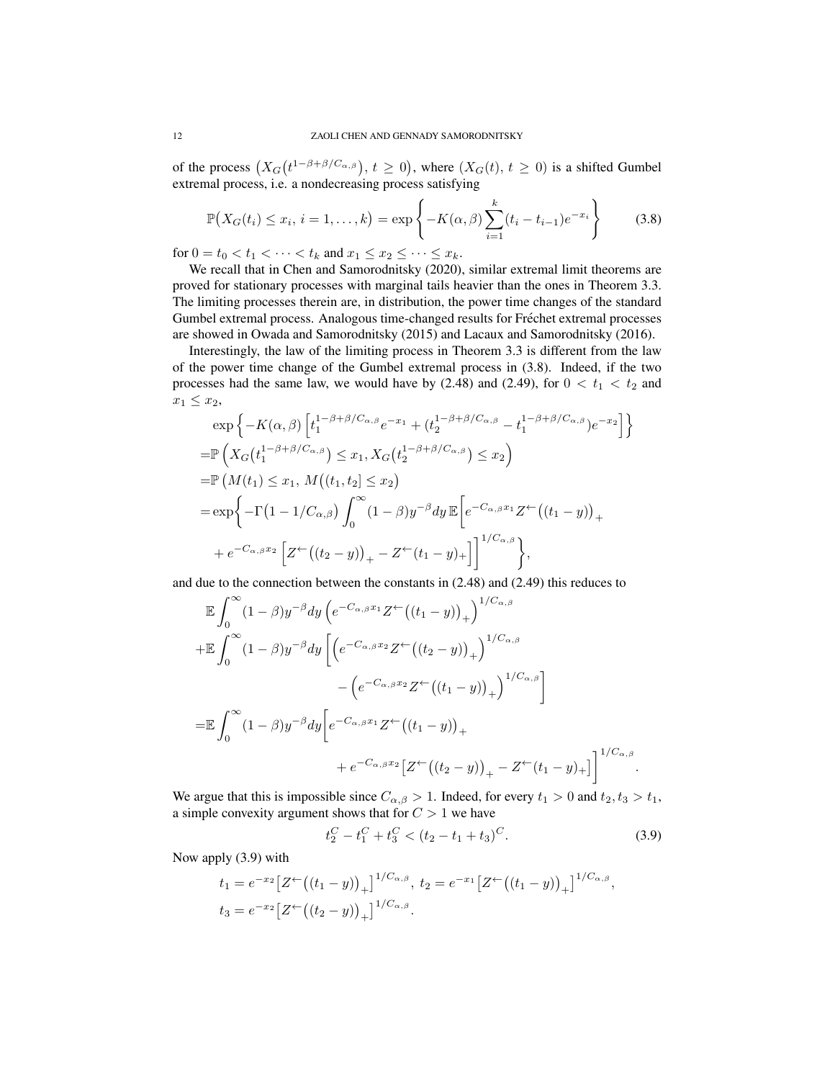of the process  $(X_G(t^{1-\beta+\beta/C_{\alpha,\beta}}), t \ge 0)$ , where  $(X_G(t), t \ge 0)$  is a shifted Gumbel extremal process, i.e. a nondecreasing process satisfying

$$
\mathbb{P}\big(X_G(t_i) \le x_i, \, i = 1, \dots, k\big) = \exp\left\{-K(\alpha, \beta) \sum_{i=1}^k (t_i - t_{i-1})e^{-x_i}\right\} \tag{3.8}
$$

for  $0 = t_0 < t_1 < \cdots < t_k$  and  $x_1 \le x_2 \le \cdots \le x_k$ .

We recall that in Chen and Samorodnitsky (2020), similar extremal limit theorems are proved for stationary processes with marginal tails heavier than the ones in Theorem 3.3. The limiting processes therein are, in distribution, the power time changes of the standard Gumbel extremal process. Analogous time-changed results for Frechet extremal processes ´ are showed in Owada and Samorodnitsky (2015) and Lacaux and Samorodnitsky (2016).

Interestingly, the law of the limiting process in Theorem 3.3 is different from the law of the power time change of the Gumbel extremal process in (3.8). Indeed, if the two processes had the same law, we would have by  $(2.48)$  and  $(2.49)$ , for  $0 < t_1 < t_2$  and  $x_1 \leq x_2$ 

$$
\exp\left\{-K(\alpha,\beta)\left[t_1^{1-\beta+\beta/C_{\alpha,\beta}}e^{-x_1}+(t_2^{1-\beta+\beta/C_{\alpha,\beta}}-t_1^{1-\beta+\beta/C_{\alpha,\beta}})e^{-x_2}\right]\right\}
$$
  
\n= $\mathbb{P}\left(X_G(t_1^{1-\beta+\beta/C_{\alpha,\beta}}) \le x_1, X_G(t_2^{1-\beta+\beta/C_{\alpha,\beta}}) \le x_2\right)$   
\n= $\mathbb{P}\left(M(t_1) \le x_1, M((t_1, t_2) \le x_2)\right)$   
\n $= \exp\left\{-\Gamma(1-1/C_{\alpha,\beta})\int_0^\infty (1-\beta)y^{-\beta}dy \mathbb{E}\left[e^{-C_{\alpha,\beta}x_1}Z^{\leftarrow}((t_1-y))_{+}\right.\right.\right.$   
\n $+e^{-C_{\alpha,\beta}x_2}\left[Z^{\leftarrow}((t_2-y))_{+}-Z^{\leftarrow}(t_1-y)_{+}\right]\right]^{1/C_{\alpha,\beta}}\right\},$ 

and due to the connection between the constants in (2.48) and (2.49) this reduces to

$$
\mathbb{E} \int_0^{\infty} (1-\beta) y^{-\beta} dy \left( e^{-C_{\alpha,\beta} x_1} Z^{\leftarrow} \left( (t_1 - y) \right)_+ \right)^{1/C_{\alpha,\beta}} \n+ \mathbb{E} \int_0^{\infty} (1-\beta) y^{-\beta} dy \left[ \left( e^{-C_{\alpha,\beta} x_2} Z^{\leftarrow} \left( (t_2 - y) \right)_+ \right)^{1/C_{\alpha,\beta}} - \left( e^{-C_{\alpha,\beta} x_2} Z^{\leftarrow} \left( (t_1 - y) \right)_+ \right)^{1/C_{\alpha,\beta}} \right] \n= \mathbb{E} \int_0^{\infty} (1-\beta) y^{-\beta} dy \left[ e^{-C_{\alpha,\beta} x_1} Z^{\leftarrow} \left( (t_1 - y) \right)_+ + e^{-C_{\alpha,\beta} x_2} \left[ Z^{\leftarrow} \left( (t_2 - y) \right)_+ - Z^{\leftarrow} (t_1 - y)_+ \right] \right]^{1/C_{\alpha,\beta}}.
$$

We argue that this is impossible since  $C_{\alpha,\beta} > 1$ . Indeed, for every  $t_1 > 0$  and  $t_2, t_3 > t_1$ , a simple convexity argument shows that for  $C > 1$  we have

$$
t_2^C - t_1^C + t_3^C < (t_2 - t_1 + t_3)^C.
$$
 (3.9)

Now apply (3.9) with

$$
t_1 = e^{-x_2} \left[ Z^{\leftarrow} \left( (t_1 - y) \right)_+ \right]^{1/C_{\alpha,\beta}}, \ t_2 = e^{-x_1} \left[ Z^{\leftarrow} \left( (t_1 - y) \right)_+ \right]^{1/C_{\alpha,\beta}},
$$
  

$$
t_3 = e^{-x_2} \left[ Z^{\leftarrow} \left( (t_2 - y) \right)_+ \right]^{1/C_{\alpha,\beta}}.
$$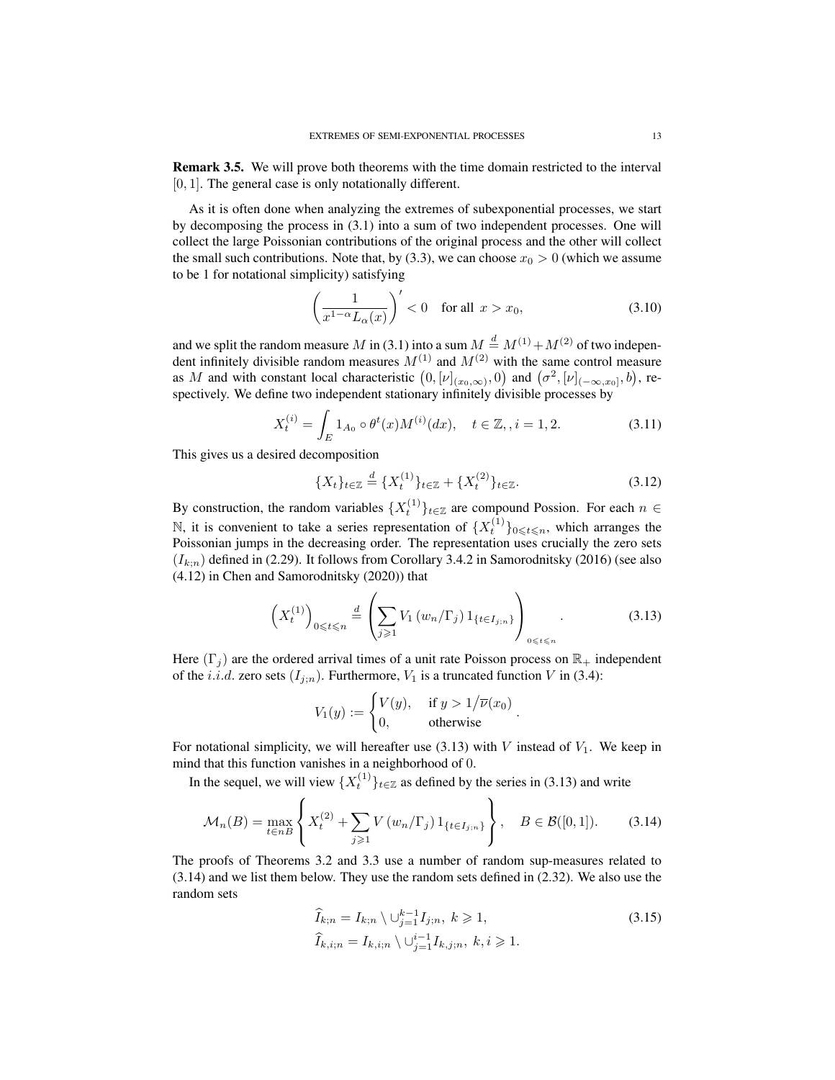Remark 3.5. We will prove both theorems with the time domain restricted to the interval [0, 1]. The general case is only notationally different.

As it is often done when analyzing the extremes of subexponential processes, we start by decomposing the process in (3.1) into a sum of two independent processes. One will collect the large Poissonian contributions of the original process and the other will collect the small such contributions. Note that, by (3.3), we can choose  $x_0 > 0$  (which we assume to be 1 for notational simplicity) satisfying

$$
\left(\frac{1}{x^{1-\alpha}L_{\alpha}(x)}\right)' < 0 \quad \text{for all } x > x_0,\tag{3.10}
$$

and we split the random measure M in (3.1) into a sum  $M \stackrel{d}{=} M^{(1)} + M^{(2)}$  of two independent infinitely divisible random measures  $M^{(1)}$  and  $M^{(2)}$  with the same control measure as M and with constant local characteristic  $(0, [\nu]_{(x_0,\infty)}, 0)$  and  $(\sigma^2, [\nu]_{(-\infty,x_0]}, b)$ , respectively. We define two independent stationary infinitely divisible processes by

$$
X_t^{(i)} = \int_E 1_{A_0} \circ \theta^t(x) M^{(i)}(dx), \quad t \in \mathbb{Z}, i = 1, 2. \tag{3.11}
$$

This gives us a desired decomposition

$$
\{X_t\}_{t \in \mathbb{Z}} \stackrel{d}{=} \{X_t^{(1)}\}_{t \in \mathbb{Z}} + \{X_t^{(2)}\}_{t \in \mathbb{Z}}.\tag{3.12}
$$

By construction, the random variables  $\{X_t^{(1)}\}_{t\in\mathbb{Z}}$  are compound Possion. For each  $n \in$ N, it is convenient to take a series representation of  $\{X_t^{(1)}\}_{0\leq t\leq n}$ , which arranges the Poissonian jumps in the decreasing order. The representation uses crucially the zero sets  $(I_{k:n})$  defined in (2.29). It follows from Corollary 3.4.2 in Samorodnitsky (2016) (see also (4.12) in Chen and Samorodnitsky (2020)) that

$$
\left(X_t^{(1)}\right)_{0\leqslant t\leqslant n} \stackrel{d}{=} \left(\sum_{j\geqslant 1} V_1\left(w_n/\Gamma_j\right) 1_{\{t\in I_{j;n}\}}\right)_{0\leqslant t\leqslant n}.\tag{3.13}
$$

.

Here  $(\Gamma_i)$  are the ordered arrival times of a unit rate Poisson process on  $\mathbb{R}_+$  independent of the *i.i.d.* zero sets  $(I_{j:n})$ . Furthermore,  $V_1$  is a truncated function V in (3.4):

$$
V_1(y) := \begin{cases} V(y), & \text{if } y > 1/\overline{\nu}(x_0) \\ 0, & \text{otherwise} \end{cases}
$$

For notational simplicity, we will hereafter use  $(3.13)$  with V instead of  $V_1$ . We keep in mind that this function vanishes in a neighborhood of 0.

In the sequel, we will view  $\{X_t^{(1)}\}_{t\in\mathbb{Z}}$  as defined by the series in (3.13) and write

$$
\mathcal{M}_n(B) = \max_{t \in nB} \left\{ X_t^{(2)} + \sum_{j \ge 1} V(w_n/\Gamma_j) 1_{\{t \in I_{j;n}\}} \right\}, \quad B \in \mathcal{B}([0,1]).
$$
 (3.14)

The proofs of Theorems 3.2 and 3.3 use a number of random sup-measures related to (3.14) and we list them below. They use the random sets defined in (2.32). We also use the random sets

$$
\begin{aligned}\n\widehat{I}_{k;n} &= I_{k;n} \setminus \bigcup_{j=1}^{k-1} I_{j;n}, \ k \geqslant 1, \\
\widehat{I}_{k,i;n} &= I_{k,i;n} \setminus \bigcup_{j=1}^{i-1} I_{k,j;n}, \ k, i \geqslant 1.\n\end{aligned}\n\tag{3.15}
$$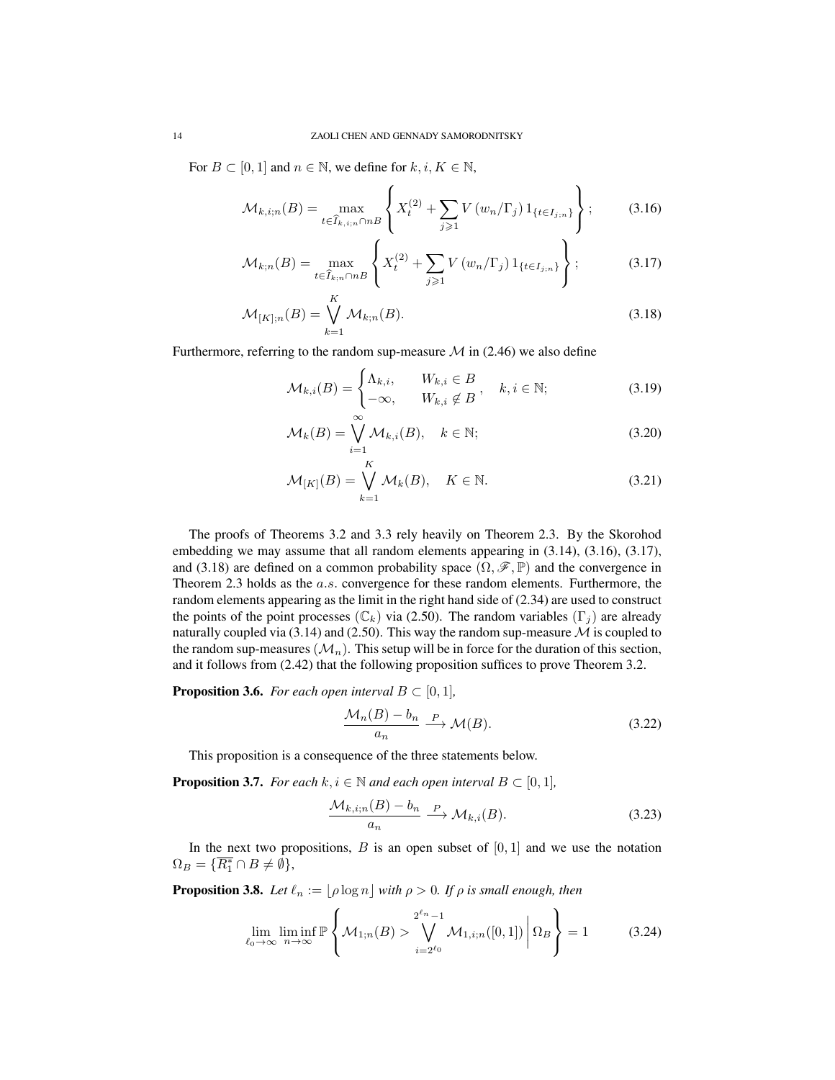For  $B \subset [0, 1]$  and  $n \in \mathbb{N}$ , we define for  $k, i, K \in \mathbb{N}$ ,

$$
\mathcal{M}_{k,i;n}(B) = \max_{t \in \widehat{I}_{k,i;n} \cap nB} \left\{ X_t^{(2)} + \sum_{j \geq 1} V(w_n/\Gamma_j) 1_{\{t \in I_{j;n}\}} \right\};
$$
(3.16)

$$
\mathcal{M}_{k;n}(B) = \max_{t \in \hat{I}_{k;n} \cap nB} \left\{ X_t^{(2)} + \sum_{j \geq 1} V(w_n/\Gamma_j) 1_{\{t \in I_{j;n}\}} \right\};
$$
\n(3.17)

$$
\mathcal{M}_{[K];n}(B) = \bigvee_{k=1}^{K} \mathcal{M}_{k;n}(B). \tag{3.18}
$$

Furthermore, referring to the random sup-measure  $\mathcal M$  in (2.46) we also define

$$
\mathcal{M}_{k,i}(B) = \begin{cases} \Lambda_{k,i}, & W_{k,i} \in B \\ -\infty, & W_{k,i} \notin B \end{cases}, \quad k, i \in \mathbb{N};\tag{3.19}
$$

$$
\mathcal{M}_k(B) = \bigvee_{i=1}^{\infty} \mathcal{M}_{k,i}(B), \quad k \in \mathbb{N};
$$
\n(3.20)

$$
\mathcal{M}_{[K]}(B) = \bigvee_{k=1}^{K} \mathcal{M}_k(B), \quad K \in \mathbb{N}.
$$
\n(3.21)

The proofs of Theorems 3.2 and 3.3 rely heavily on Theorem 2.3. By the Skorohod embedding we may assume that all random elements appearing in (3.14), (3.16), (3.17), and (3.18) are defined on a common probability space  $(\Omega, \mathscr{F}, \mathbb{P})$  and the convergence in Theorem 2.3 holds as the a.s. convergence for these random elements. Furthermore, the random elements appearing as the limit in the right hand side of (2.34) are used to construct the points of the point processes ( $\mathbb{C}_k$ ) via (2.50). The random variables (Γ<sub>j</sub>) are already naturally coupled via (3.14) and (2.50). This way the random sup-measure  $M$  is coupled to the random sup-measures  $(\mathcal{M}_n)$ . This setup will be in force for the duration of this section, and it follows from (2.42) that the following proposition suffices to prove Theorem 3.2.

**Proposition 3.6.** *For each open interval*  $B \subset [0,1]$ *,* 

$$
\frac{\mathcal{M}_n(B) - b_n}{a_n} \xrightarrow{P} \mathcal{M}(B). \tag{3.22}
$$

This proposition is a consequence of the three statements below.

**Proposition 3.7.** *For each*  $k, i \in \mathbb{N}$  *and each open interval*  $B \subset [0, 1]$ *,* 

$$
\frac{\mathcal{M}_{k,i;n}(B) - b_n}{a_n} \xrightarrow{P} \mathcal{M}_{k,i}(B). \tag{3.23}
$$

In the next two propositions,  $B$  is an open subset of  $[0, 1]$  and we use the notation  $\Omega_B = \{ \overline{R_1^*} \cap B \neq \emptyset \},\$ 

**Proposition 3.8.** *Let*  $\ell_n := \lfloor \rho \log n \rfloor$  *with*  $\rho > 0$ *. If*  $\rho$  *is small enough, then* 

$$
\lim_{\ell_0 \to \infty} \liminf_{n \to \infty} \mathbb{P}\left\{\mathcal{M}_{1,n}(B) > \bigvee_{i=2^{\ell_0}}^{2^{\ell_n}-1} \mathcal{M}_{1,i;n}([0,1]) \middle| \Omega_B \right\} = 1 \tag{3.24}
$$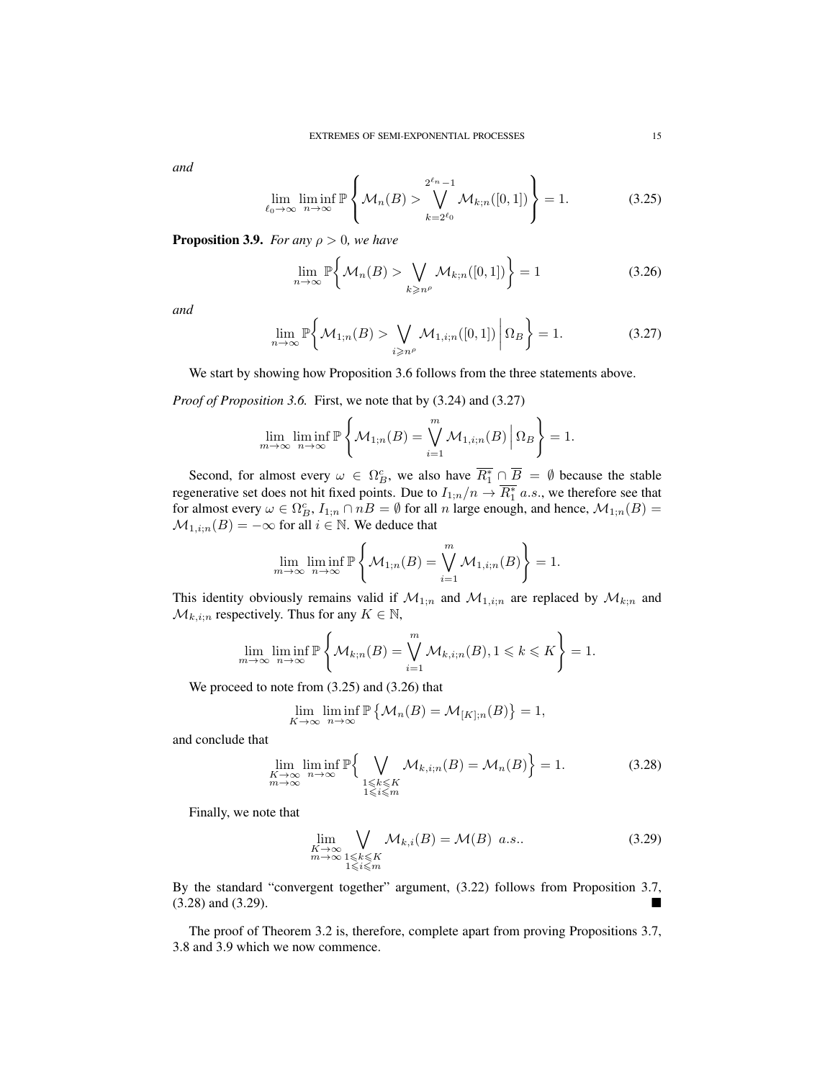*and*

$$
\lim_{\ell_0 \to \infty} \liminf_{n \to \infty} \mathbb{P}\left\{\mathcal{M}_n(B) > \bigvee_{k=2^{\ell_0}}^{2^{\ell_n}-1} \mathcal{M}_{k;n}([0,1])\right\} = 1.
$$
 (3.25)

**Proposition 3.9.** *For any*  $\rho > 0$ *, we have* 

$$
\lim_{n \to \infty} \mathbb{P}\bigg\{\mathcal{M}_n(B) > \bigvee_{k \geqslant n^{\rho}} \mathcal{M}_{k;n}([0,1])\bigg\} = 1\tag{3.26}
$$

*and*

$$
\lim_{n \to \infty} \mathbb{P}\bigg\{\mathcal{M}_{1;n}(B) > \bigvee_{i \geq n^{\rho}} \mathcal{M}_{1,i;n}([0,1]) \, \bigg| \, \Omega_B \bigg\} = 1. \tag{3.27}
$$

We start by showing how Proposition 3.6 follows from the three statements above.

*Proof of Proposition 3.6.* First, we note that by (3.24) and (3.27)

$$
\lim_{m \to \infty} \liminf_{n \to \infty} \mathbb{P}\left\{\mathcal{M}_{1;n}(B) = \bigvee_{i=1}^{m} \mathcal{M}_{1,i;n}(B) \, \Big| \, \Omega_B \right\} = 1.
$$

Second, for almost every  $\omega \in \Omega_B^c$ , we also have  $\overline{R_1^*} \cap \overline{B} = \emptyset$  because the stable regenerative set does not hit fixed points. Due to  $I_{1;n}/n \to \overline{R_1^*}$  a.s., we therefore see that for almost every  $\omega \in \Omega_B^c$ ,  $I_{1;n} \cap nB = \emptyset$  for all n large enough, and hence,  $\mathcal{M}_{1;n}(B) =$  $\mathcal{M}_{1,i;n}(B) = -\infty$  for all  $i \in \mathbb{N}$ . We deduce that

$$
\lim_{m \to \infty} \liminf_{n \to \infty} \mathbb{P}\left\{\mathcal{M}_{1,n}(B) = \bigvee_{i=1}^{m} \mathcal{M}_{1,i;n}(B)\right\} = 1.
$$

This identity obviously remains valid if  $\mathcal{M}_{1,n}$  and  $\mathcal{M}_{1,i;n}$  are replaced by  $\mathcal{M}_{k;n}$  and  $\mathcal{M}_{k,i;n}$  respectively. Thus for any  $K \in \mathbb{N}$ ,

$$
\lim_{m \to \infty} \liminf_{n \to \infty} \mathbb{P}\left\{\mathcal{M}_{k;n}(B) = \bigvee_{i=1}^{m} \mathcal{M}_{k,i;n}(B), 1 \leq k \leq K\right\} = 1.
$$

We proceed to note from (3.25) and (3.26) that

$$
\lim_{K \to \infty} \liminf_{n \to \infty} \mathbb{P} \left\{ \mathcal{M}_n(B) = \mathcal{M}_{[K];n}(B) \right\} = 1,
$$

and conclude that

$$
\lim_{\substack{K \to \infty \\ m \to \infty}} \liminf_{n \to \infty} \mathbb{P}\Big\{\bigvee_{\substack{1 \le k \le K \\ 1 \le i \le m}} \mathcal{M}_{k,i;n}(B) = \mathcal{M}_n(B)\Big\} = 1. \tag{3.28}
$$

Finally, we note that

$$
\lim_{\substack{K \to \infty \\ m \to \infty}} \bigvee_{\substack{1 \le k \le K \\ 1 \le i \le m}} \mathcal{M}_{k,i}(B) = \mathcal{M}(B) \ \ a.s.. \tag{3.29}
$$

By the standard "convergent together" argument, (3.22) follows from Proposition 3.7, (3.28) and (3.29).

The proof of Theorem 3.2 is, therefore, complete apart from proving Propositions 3.7, 3.8 and 3.9 which we now commence.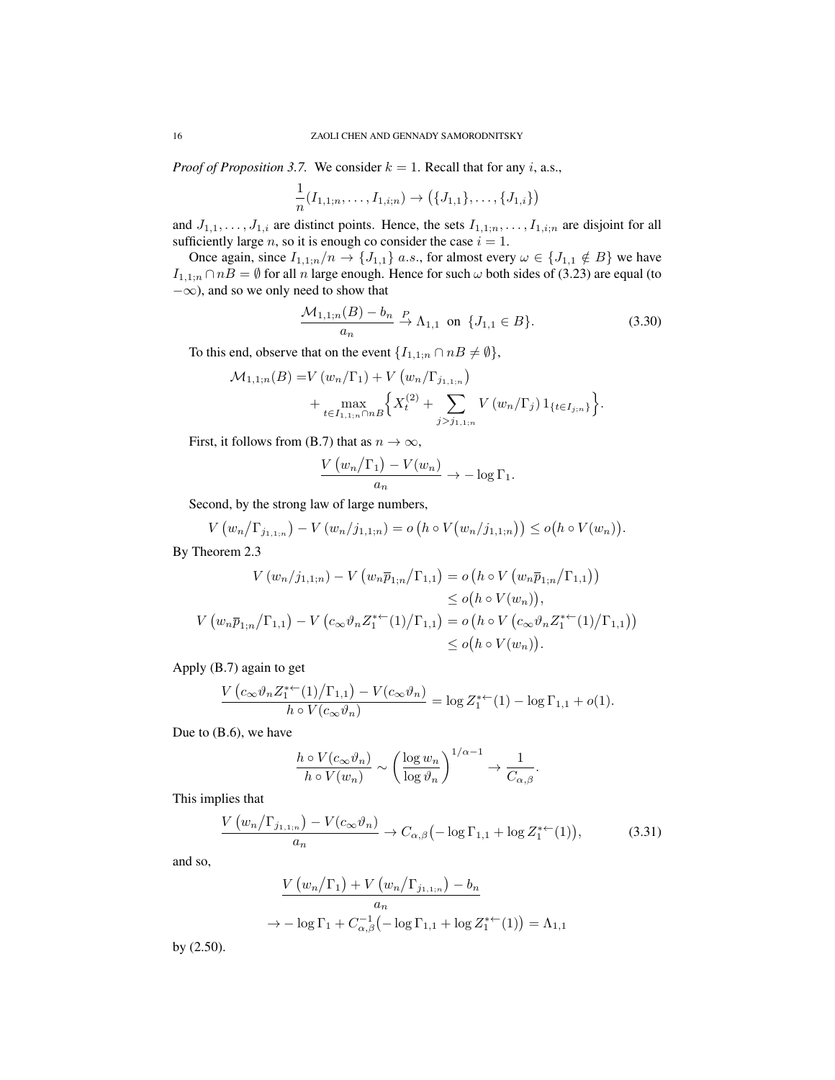*Proof of Proposition 3.7.* We consider  $k = 1$ . Recall that for any i, a.s.,

$$
\frac{1}{n}(I_{1,1;n},\ldots,I_{1,i;n})\to (\{J_{1,1}\},\ldots,\{J_{1,i}\})
$$

and  $J_{1,1}, \ldots, J_{1,i}$  are distinct points. Hence, the sets  $I_{1,1;n}, \ldots, I_{1,i;n}$  are disjoint for all sufficiently large *n*, so it is enough co consider the case  $i = 1$ .

Once again, since  $I_{1,1;n}/n \rightarrow \{J_{1,1}\}\$ a.s., for almost every  $\omega \in \{J_{1,1} \notin B\}$  we have  $I_{1,1;n} \cap n = \emptyset$  for all n large enough. Hence for such  $\omega$  both sides of (3.23) are equal (to −∞), and so we only need to show that

$$
\frac{\mathcal{M}_{1,1;n}(B) - b_n}{a_n} \xrightarrow{P} \Lambda_{1,1} \text{ on } \{J_{1,1} \in B\}. \tag{3.30}
$$

To this end, observe that on the event  $\{I_{1,1;n} \cap nB \neq \emptyset\}$ ,

$$
\mathcal{M}_{1,1;n}(B) = V(w_n/\Gamma_1) + V(w_n/\Gamma_{j_{1,1;n}})
$$
  
+ 
$$
\max_{t \in I_{1,1;n} \cap nB} \left\{ X_t^{(2)} + \sum_{j > j_{1,1;n}} V(w_n/\Gamma_j) 1_{\{t \in I_{j;n}\}} \right\}.
$$

First, it follows from (B.7) that as  $n \to \infty$ ,

$$
\frac{V(w_n/\Gamma_1)-V(w_n)}{a_n} \to -\log \Gamma_1.
$$

Second, by the strong law of large numbers,

$$
V(w_n/\Gamma_{j_{1,1;n}}) - V(w_n/j_{1,1;n}) = o\left(h \circ V(w_n/j_{1,1;n})\right) \leq o\left(h \circ V(w_n)\right).
$$

By Theorem 2.3

$$
V(w_n/j_{1,1;n}) - V(w_n \overline{p}_{1;n}/\Gamma_{1,1}) = o(h \circ V(w_n \overline{p}_{1;n}/\Gamma_{1,1}))
$$
  
\n
$$
\leq o(h \circ V(w_n)),
$$
  
\n
$$
V(w_n \overline{p}_{1;n}/\Gamma_{1,1}) - V(c_{\infty} \vartheta_n Z_1^{*+}(1)/\Gamma_{1,1}) = o(h \circ V(c_{\infty} \vartheta_n Z_1^{*+}(1)/\Gamma_{1,1}))
$$
  
\n
$$
\leq o(h \circ V(w_n)).
$$

Apply (B.7) again to get

$$
\frac{V\left(c_{\infty}\vartheta_n Z_1^{*+}(1)/\Gamma_{1,1}\right) - V(c_{\infty}\vartheta_n)}{h \circ V(c_{\infty}\vartheta_n)} = \log Z_1^{*+}(1) - \log \Gamma_{1,1} + o(1).
$$

Due to (B.6), we have

$$
\frac{h \circ V(c_{\infty}\vartheta_n)}{h \circ V(w_n)} \sim \left(\frac{\log w_n}{\log \vartheta_n}\right)^{1/\alpha - 1} \to \frac{1}{C_{\alpha,\beta}}.
$$

This implies that

$$
\frac{V\left(w_n/\Gamma_{j_{1,1;n}}\right)-V(c_\infty\vartheta_n)}{a_n}\to C_{\alpha,\beta}\left(-\log\Gamma_{1,1}+\log Z_1^{*+}(1)\right),\tag{3.31}
$$

and so,

$$
\frac{V(w_n/\Gamma_1) + V(w_n/\Gamma_{j_{1,1;n}}) - b_n}{a_n}
$$
  
\n
$$
\rightarrow -\log \Gamma_1 + C_{\alpha,\beta}^{-1}(-\log \Gamma_{1,1} + \log Z_1^{*+}(1)) = \Lambda_{1,1}
$$

by (2.50).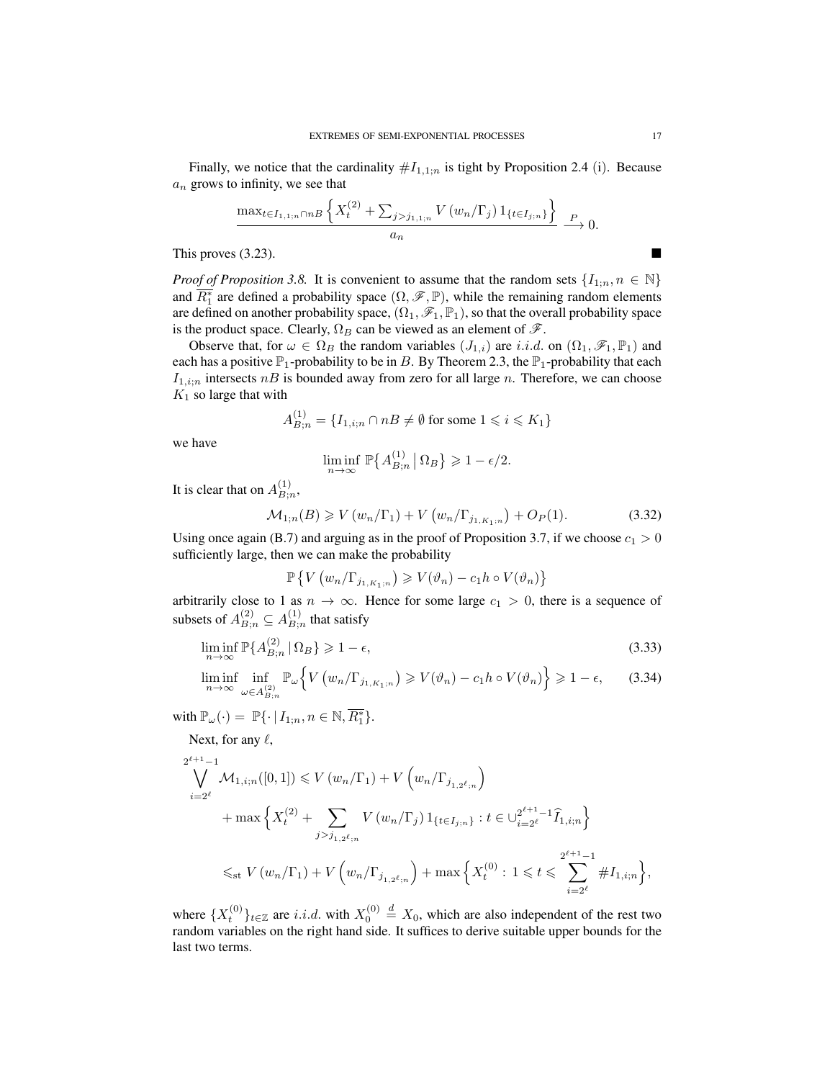Finally, we notice that the cardinality  $#I_{1,1;n}$  is tight by Proposition 2.4 (i). Because  $a_n$  grows to infinity, we see that

$$
\frac{\max_{t \in I_{1,1;n} \cap nB} \left\{ X_t^{(2)} + \sum_{j > j_{1,1;n}} V(w_n/\Gamma_j) 1_{\{t \in I_{j;n}\}} \right\} P_{\longrightarrow 0.}}{a_n} \xrightarrow{P}
$$

This proves  $(3.23)$ .

*Proof of Proposition 3.8.* It is convenient to assume that the random sets  $\{I_{1,n}, n \in \mathbb{N}\}\$ and  $\overline{R_1^*}$  are defined a probability space  $(\Omega, \mathscr{F}, \mathbb{P})$ , while the remaining random elements are defined on another probability space,  $(\Omega_1, \mathscr{F}_1, \mathbb{P}_1)$ , so that the overall probability space is the product space. Clearly,  $\Omega_B$  can be viewed as an element of  $\mathscr{F}$ .

Observe that, for  $\omega \in \Omega_B$  the random variables  $(J_{1,i})$  are *i.i.d.* on  $(\Omega_1, \mathscr{F}_1, \mathbb{P}_1)$  and each has a positive  $\mathbb{P}_1$ -probability to be in B. By Theorem 2.3, the  $\mathbb{P}_1$ -probability that each  $I_{1,i;n}$  intersects  $nB$  is bounded away from zero for all large n. Therefore, we can choose  $K_1$  so large that with

$$
A_{B;n}^{(1)} = \{I_{1,i;n} \cap nB \neq \emptyset \text{ for some } 1 \leq i \leq K_1\}
$$

we have

$$
\liminf_{n \to \infty} \mathbb{P}\big\{A_{B;n}^{(1)} \, \big| \, \Omega_B \big\} \geqslant 1 - \epsilon/2.
$$

It is clear that on  $A_{B_{1}}^{(1)}$  $B;n,$ 

$$
\mathcal{M}_{1;n}(B) \geq V(w_n/\Gamma_1) + V(w_n/\Gamma_{j_{1,K_1;n}}) + O_P(1). \tag{3.32}
$$

Using once again (B.7) and arguing as in the proof of Proposition 3.7, if we choose  $c_1 > 0$ sufficiently large, then we can make the probability

$$
\mathbb{P}\left\{V\left(w_n/\Gamma_{j_{1,K_1;n}}\right)\geqslant V(\vartheta_n)-c_1h\circ V(\vartheta_n)\right\}
$$

arbitrarily close to 1 as  $n \to \infty$ . Hence for some large  $c_1 > 0$ , there is a sequence of subsets of  $A_{B;n}^{(2)} \subseteq A_{B;n}^{(1)}$  $B_{i,n}^{(1)}$  that satisfy

$$
\liminf_{n \to \infty} \mathbb{P}\{A_{B;n}^{(2)} \,|\, \Omega_B\} \geqslant 1 - \epsilon,\tag{3.33}
$$

$$
\liminf_{n \to \infty} \inf_{\omega \in A_{B;n}^{(2)}} \mathbb{P}_{\omega} \Big\{ V \left( w_n / \Gamma_{j_{1,K_1;n}} \right) \geqslant V(\vartheta_n) - c_1 h \circ V(\vartheta_n) \Big\} \geqslant 1 - \epsilon, \qquad (3.34)
$$

with  $\mathbb{P}_{\omega}(\cdot) = \mathbb{P}\{\cdot | I_{1;n}, n \in \mathbb{N}, \overline{R_1^*}\}.$ 

Next, for any  $\ell$ ,

$$
2^{\ell+1}-1
$$
  
\n
$$
\bigvee_{i=2^{\ell}} \mathcal{M}_{1,i;n}([0,1]) \leq V(w_n/\Gamma_1) + V(w_n/\Gamma_{j_{1,2^{\ell};n}})
$$
  
\n
$$
+ \max \left\{ X_t^{(2)} + \sum_{j > j_{1,2^{\ell};n}} V(w_n/\Gamma_j) 1_{\{t \in I_{j;n}\}} : t \in \bigcup_{i=2^{\ell}}^{2^{\ell+1}-1} \hat{I}_{1,i;n} \right\}
$$
  
\n
$$
\leq_{\text{st}} V(w_n/\Gamma_1) + V(w_n/\Gamma_{j_{1,2^{\ell};n}}) + \max \left\{ X_t^{(0)} : 1 \leq t \leq \sum_{i=2^{\ell}}^{2^{\ell+1}-1} \#I_{1,i;n} \right\},
$$

where  $\{X_t^{(0)}\}_{t\in\mathbb{Z}}$  are *i.i.d.* with  $X_0^{(0)} \stackrel{d}{=} X_0$ , which are also independent of the rest two random variables on the right hand side. It suffices to derive suitable upper bounds for the last two terms.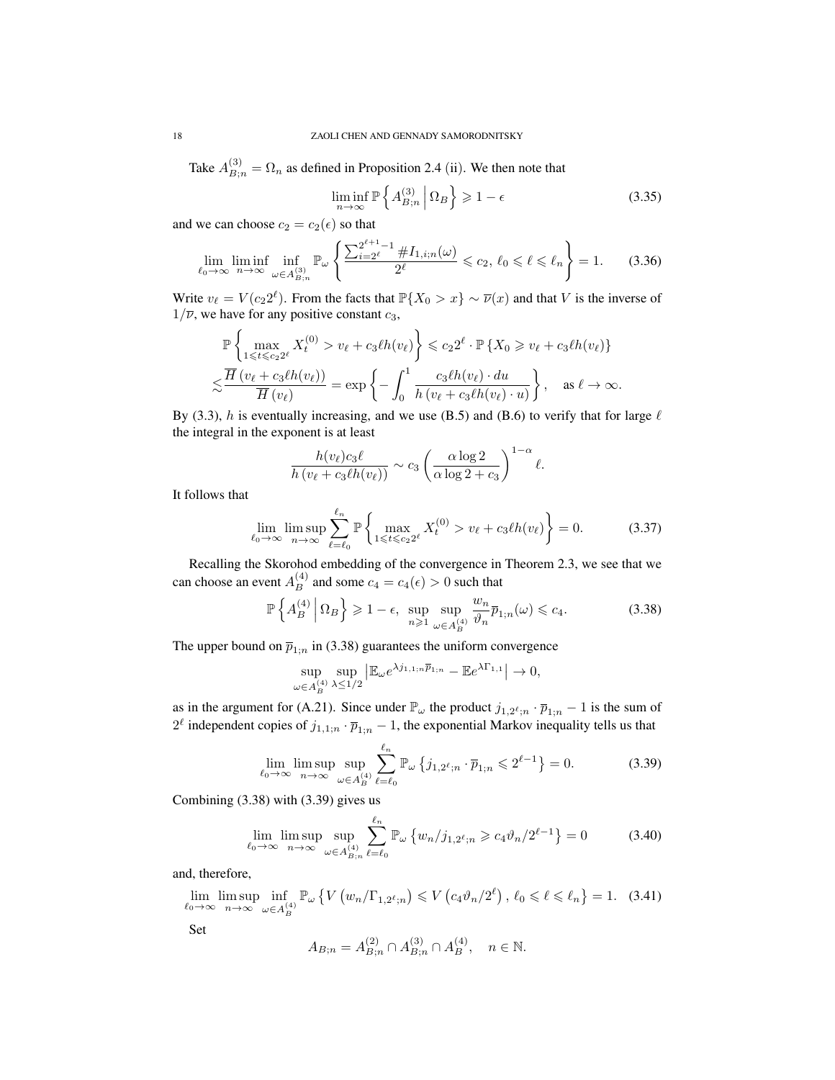Take  $A_{B;n}^{(3)} = \Omega_n$  as defined in Proposition 2.4 (ii). We then note that

$$
\liminf_{n \to \infty} \mathbb{P}\left\{A_{B;n}^{(3)} \middle| \Omega_B \right\} \geq 1 - \epsilon \tag{3.35}
$$

and we can choose  $c_2 = c_2(\epsilon)$  so that

$$
\lim_{\ell_0 \to \infty} \liminf_{n \to \infty} \inf_{\omega \in A_{B,n}^{(3)}} \mathbb{P}_{\omega} \left\{ \frac{\sum_{i=2}^{2^{\ell+1}-1} \# I_{1,i;n}(\omega)}{2^{\ell}} \leqslant c_2, \ \ell_0 \leqslant \ell \leqslant \ell_n \right\} = 1. \tag{3.36}
$$

Write  $v_{\ell} = V (c_2 2^{\ell})$ . From the facts that  $\mathbb{P}\{X_0 > x\} \sim \overline{\nu}(x)$  and that V is the inverse of  $1/\overline{\nu}$ , we have for any positive constant  $c_3$ ,

$$
\mathbb{P}\left\{\max_{1\leqslant t\leqslant c_22^\ell}X_t^{(0)} > v_\ell + c_3\ell h(v_\ell)\right\} \leqslant c_22^\ell \cdot \mathbb{P}\left\{X_0 \geqslant v_\ell + c_3\ell h(v_\ell)\right\}
$$

$$
\lesssim \frac{\overline{H}\left(v_\ell + c_3\ell h(v_\ell)\right)}{\overline{H}\left(v_\ell\right)} = \exp\left\{-\int_0^1 \frac{c_3\ell h(v_\ell) \cdot du}{h\left(v_\ell + c_3\ell h(v_\ell) \cdot u\right)}\right\}, \quad \text{as } \ell \to \infty.
$$

By (3.3), h is eventually increasing, and we use (B.5) and (B.6) to verify that for large  $\ell$ the integral in the exponent is at least

$$
\frac{h(v_{\ell})c_3\ell}{h(v_{\ell}+c_3\ell h(v_{\ell}))}\sim c_3\left(\frac{\alpha\log 2}{\alpha\log 2+c_3}\right)^{1-\alpha}\ell.
$$

It follows that

$$
\lim_{\ell_0 \to \infty} \limsup_{n \to \infty} \sum_{\ell=\ell_0}^{\ell_n} \mathbb{P} \left\{ \max_{1 \leqslant t \leqslant c_2 2^{\ell}} X_t^{(0)} > v_{\ell} + c_3 \ell h(v_{\ell}) \right\} = 0. \tag{3.37}
$$

Recalling the Skorohod embedding of the convergence in Theorem 2.3, we see that we can choose an event  $A_B^{(4)}$  and some  $c_4 = c_4(\epsilon) > 0$  such that

$$
\mathbb{P}\left\{A_B^{(4)}\,\middle|\,\Omega_B\right\} \geq 1-\epsilon, \sup_{n\geq 1} \sup_{\omega \in A_B^{(4)}} \frac{w_n}{\vartheta_n} \overline{p}_{1;n}(\omega) \leq c_4. \tag{3.38}
$$

The upper bound on  $\bar{p}_{1;n}$  in (3.38) guarantees the uniform convergence

$$
\sup_{\omega \in A_B^{(4)}} \sup_{\lambda \le 1/2} \left| \mathbb{E}_{\omega} e^{\lambda j_{1,1;n} \overline{p}_{1;n}} - \mathbb{E} e^{\lambda \Gamma_{1,1}} \right| \to 0,
$$

as in the argument for (A.21). Since under  $\mathbb{P}_{\omega}$  the product  $j_{1,2^{\ell};n} \cdot \overline{p}_{1;n} - 1$  is the sum of  $2^{\ell}$  independent copies of  $j_{1,1;n} \cdot \overline{p}_{1;n} - 1$ , the exponential Markov inequality tells us that

$$
\lim_{\ell_0 \to \infty} \limsup_{n \to \infty} \sup_{\omega \in A_B^{(4)}} \sum_{\ell=\ell_0}^{\ell_n} \mathbb{P}_{\omega} \left\{ j_{1,2^{\ell};n} \cdot \overline{p}_{1;n} \leqslant 2^{\ell-1} \right\} = 0. \tag{3.39}
$$

Combining (3.38) with (3.39) gives us

$$
\lim_{\ell_0 \to \infty} \limsup_{n \to \infty} \sup_{\omega \in A_{B;n}^{(4)}} \sum_{\ell=\ell_0}^{\ell_n} \mathbb{P}_{\omega} \left\{ w_n / j_{1,2^{\ell};n} \geqslant c_4 \vartheta_n / 2^{\ell-1} \right\} = 0 \tag{3.40}
$$

and, therefore,

$$
\lim_{\ell_0 \to \infty} \limsup_{n \to \infty} \inf_{\omega \in A_B^{(4)}} \mathbb{P}_{\omega} \left\{ V \left( w_n / \Gamma_{1,2^{\ell};n} \right) \leqslant V \left( c_4 \vartheta_n / 2^{\ell} \right), \, \ell_0 \leqslant \ell \leqslant \ell_n \right\} = 1. \tag{3.41}
$$

Set

$$
A_{B;n}=A_{B;n}^{(2)}\cap A_{B;n}^{(3)}\cap A_B^{(4)},\quad n\in\mathbb{N}.
$$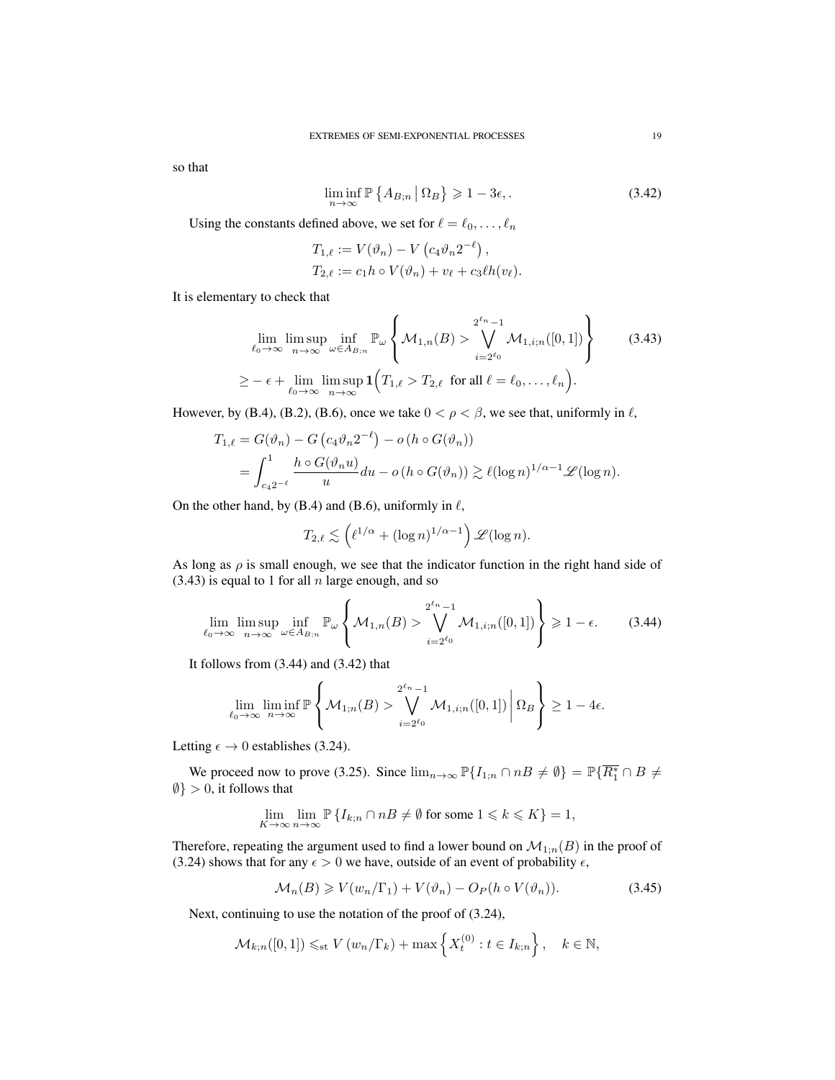so that

$$
\liminf_{n \to \infty} \mathbb{P}\left\{ A_{B,n} \, \middle| \, \Omega_B \right\} \geqslant 1 - 3\epsilon,\tag{3.42}
$$

Using the constants defined above, we set for  $\ell = \ell_0, \ldots, \ell_n$ 

$$
T_{1,\ell} := V(\vartheta_n) - V\left(c_4\vartheta_n 2^{-\ell}\right),
$$
  
\n
$$
T_{2,\ell} := c_1 h \circ V(\vartheta_n) + v_\ell + c_3 \ell h(v_\ell).
$$

It is elementary to check that

$$
\lim_{\ell_0 \to \infty} \limsup_{n \to \infty} \inf_{\omega \in A_{B;n}} \mathbb{P}_{\omega} \left\{ \mathcal{M}_{1,n}(B) > \bigvee_{i=2^{\ell_0}}^{2^{\ell_n}-1} \mathcal{M}_{1,i;n}([0,1]) \right\}
$$
(3.43)  

$$
\geq -\epsilon + \lim_{\ell_0 \to \infty} \limsup_{n \to \infty} \mathbf{1} \left( T_{1,\ell} > T_{2,\ell} \text{ for all } \ell = \ell_0, \dots, \ell_n \right).
$$

However, by (B.4), (B.2), (B.6), once we take  $0 < \rho < \beta$ , we see that, uniformly in  $\ell$ ,

$$
T_{1,\ell} = G(\vartheta_n) - G\left(c_4\vartheta_n 2^{-\ell}\right) - o\left(h \circ G(\vartheta_n)\right)
$$
  
= 
$$
\int_{c_4 2^{-\ell}}^1 \frac{h \circ G(\vartheta_n u)}{u} du - o\left(h \circ G(\vartheta_n)\right) \gtrsim \ell(\log n)^{1/\alpha - 1} \mathscr{L}(\log n).
$$

On the other hand, by (B.4) and (B.6), uniformly in  $\ell$ ,

$$
T_{2,\ell} \lesssim \left(\ell^{1/\alpha} + (\log n)^{1/\alpha - 1}\right) \mathscr{L}(\log n).
$$

As long as  $\rho$  is small enough, we see that the indicator function in the right hand side of  $(3.43)$  is equal to 1 for all n large enough, and so

$$
\lim_{\ell_0 \to \infty} \limsup_{n \to \infty} \inf_{\omega \in A_{B;n}} \mathbb{P}_{\omega} \left\{ \mathcal{M}_{1,n}(B) > \bigvee_{i=2^{\ell_0}}^{2^{\ell_n}-1} \mathcal{M}_{1,i;n}([0,1]) \right\} \geq 1 - \epsilon. \tag{3.44}
$$

It follows from (3.44) and (3.42) that

$$
\lim_{\ell_0 \to \infty} \liminf_{n \to \infty} \mathbb{P}\left\{\mathcal{M}_{1,n}(B) > \bigvee_{i=2^{\ell_0}}^{2^{\ell_n}-1} \mathcal{M}_{1,i,n}([0,1]) \middle| \Omega_B \right\} \ge 1 - 4\epsilon.
$$

Letting  $\epsilon \to 0$  establishes (3.24).

We proceed now to prove (3.25). Since  $\lim_{n\to\infty} \mathbb{P}\{I_{1,n} \cap nB \neq \emptyset\} = \mathbb{P}\{\overline{R_1^*} \cap B \neq \emptyset\}$  $\emptyset$  > 0, it follows that

$$
\lim_{K\to\infty}\lim_{n\to\infty}\mathbb{P}\left\{I_{k;n}\cap nB\neq\emptyset \text{ for some }1\leqslant k\leqslant K\right\}=1,
$$

Therefore, repeating the argument used to find a lower bound on  $\mathcal{M}_{1;n}(B)$  in the proof of (3.24) shows that for any  $\epsilon > 0$  we have, outside of an event of probability  $\epsilon$ ,

$$
\mathcal{M}_n(B) \ge V(w_n/\Gamma_1) + V(\vartheta_n) - O_P(h \circ V(\vartheta_n)).\tag{3.45}
$$

Next, continuing to use the notation of the proof of (3.24),

$$
\mathcal{M}_{k;n}([0,1]) \leq_{\text{st}} V(w_n/\Gamma_k) + \max\left\{X_t^{(0)} : t \in I_{k;n}\right\}, \quad k \in \mathbb{N},
$$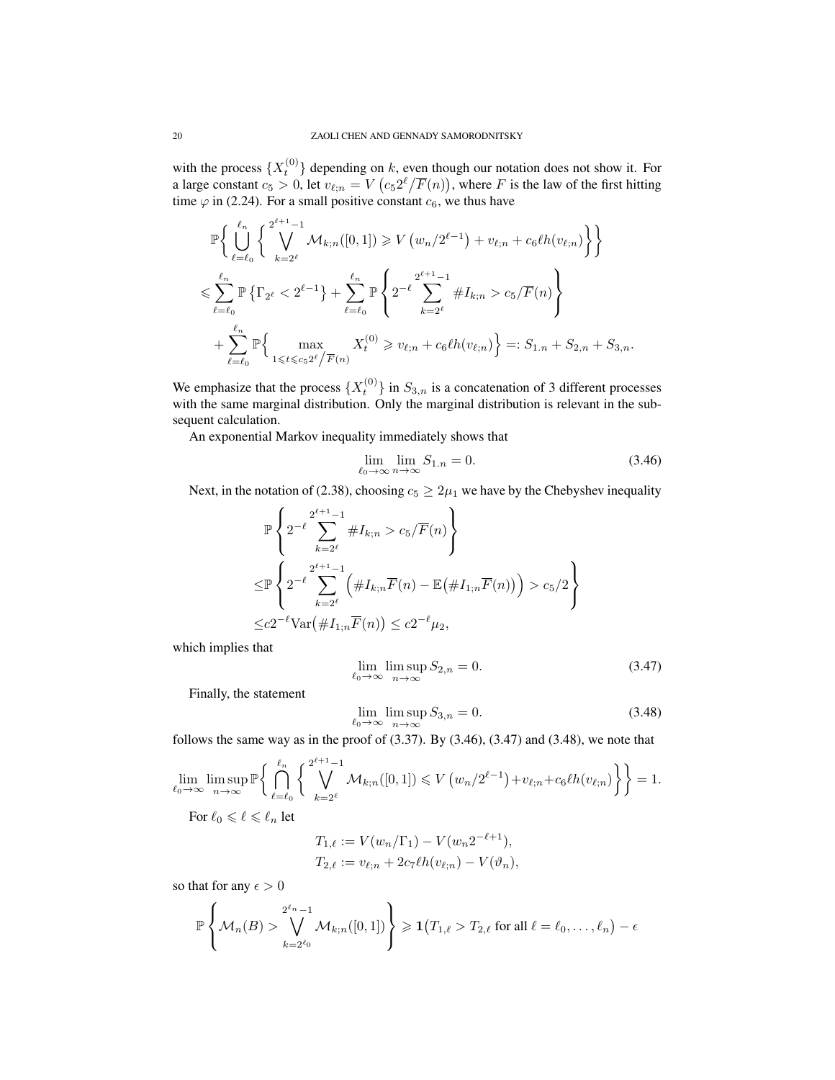with the process  $\{X_t^{(0)}\}$  depending on k, even though our notation does not show it. For a large constant  $c_5 > 0$ , let  $v_{\ell;n} = V\left(c_5 2^\ell/\overline{F}(n)\right)$ , where F is the law of the first hitting time  $\varphi$  in (2.24). For a small positive constant  $c_6$ , we thus have

$$
\mathbb{P}\left\{\bigcup_{\ell=\ell_0}^{\ell_n} \left\{\bigvee_{k=2\ell}^{2^{\ell+1}-1} \mathcal{M}_{k;n}([0,1]) \geq V(w_n/2^{\ell-1}) + v_{\ell;n} + c_6\ell h(v_{\ell;n})\right\}\right\}
$$
\n
$$
\leq \sum_{\ell=\ell_0}^{\ell_n} \mathbb{P}\left\{\Gamma_{2^{\ell}} < 2^{\ell-1}\right\} + \sum_{\ell=\ell_0}^{\ell_n} \mathbb{P}\left\{2^{-\ell} \sum_{k=2^{\ell}}^{2^{\ell+1}-1} \#I_{k;n} > c_5/\overline{F}(n)\right\}
$$
\n
$$
+ \sum_{\ell=\ell_0}^{\ell_n} \mathbb{P}\left\{\max_{1 \leq \ell \leq c_5 2^{\ell}/\overline{F}(n)} X_t^{(0)} \geq v_{\ell;n} + c_6 \ell h(v_{\ell;n})\right\} =: S_{1,n} + S_{2,n} + S_{3,n}.
$$

We emphasize that the process  $\{X_t^{(0)}\}$  in  $S_{3,n}$  is a concatenation of 3 different processes with the same marginal distribution. Only the marginal distribution is relevant in the subsequent calculation.

An exponential Markov inequality immediately shows that

$$
\lim_{\ell_0 \to \infty} \lim_{n \to \infty} S_{1,n} = 0. \tag{3.46}
$$

Next, in the notation of (2.38), choosing  $c_5 \geq 2\mu_1$  we have by the Chebyshev inequality

$$
\mathbb{P}\left\{2^{-\ell}\sum_{k=2^{\ell}}^{2^{\ell+1}-1} \#I_{k;n} > c_5/\overline{F}(n)\right\}
$$
  

$$
\leq \mathbb{P}\left\{2^{-\ell}\sum_{k=2^{\ell}}^{2^{\ell+1}-1} \left(\#I_{k;n}\overline{F}(n) - \mathbb{E}(\#I_{1;n}\overline{F}(n))\right) > c_5/2\right\}
$$
  

$$
\leq c2^{-\ell}\text{Var}(\#I_{1;n}\overline{F}(n)) \leq c2^{-\ell}\mu_2,
$$

which implies that

$$
\lim_{\ell_0 \to \infty} \limsup_{n \to \infty} S_{2,n} = 0. \tag{3.47}
$$

Finally, the statement

$$
\lim_{\ell_0 \to \infty} \limsup_{n \to \infty} S_{3,n} = 0. \tag{3.48}
$$

follows the same way as in the proof of  $(3.37)$ . By  $(3.46)$ ,  $(3.47)$  and  $(3.48)$ , we note that

$$
\lim_{\ell_0 \to \infty} \limsup_{n \to \infty} \mathbb{P}\left\{\bigcap_{\ell=\ell_0}^{\ell_n} \left\{\bigvee_{k=2^{\ell}}^{\ell+1} \mathcal{M}_{k;n}([0,1]) \leqslant V\left(w_n/2^{\ell-1}\right) + v_{\ell;n} + c_6 \ell h(v_{\ell;n})\right\}\right\} = 1.
$$

For  $\ell_0 \leqslant \ell \leqslant \ell_n$  let

$$
T_{1,\ell} := V(w_n/\Gamma_1) - V(w_n 2^{-\ell+1}),
$$
  
\n
$$
T_{2,\ell} := v_{\ell;n} + 2c_7 \ell h(v_{\ell;n}) - V(\vartheta_n),
$$

so that for any  $\epsilon > 0$ 

$$
\mathbb{P}\left\{\mathcal{M}_n(B) > \bigvee_{k=2^{\ell_0}}^{2^{\ell_n}-1} \mathcal{M}_{k;n}([0,1])\right\} \geq 1\big(T_{1,\ell} > T_{2,\ell} \text{ for all } \ell = \ell_0,\ldots,\ell_n\big) - \epsilon
$$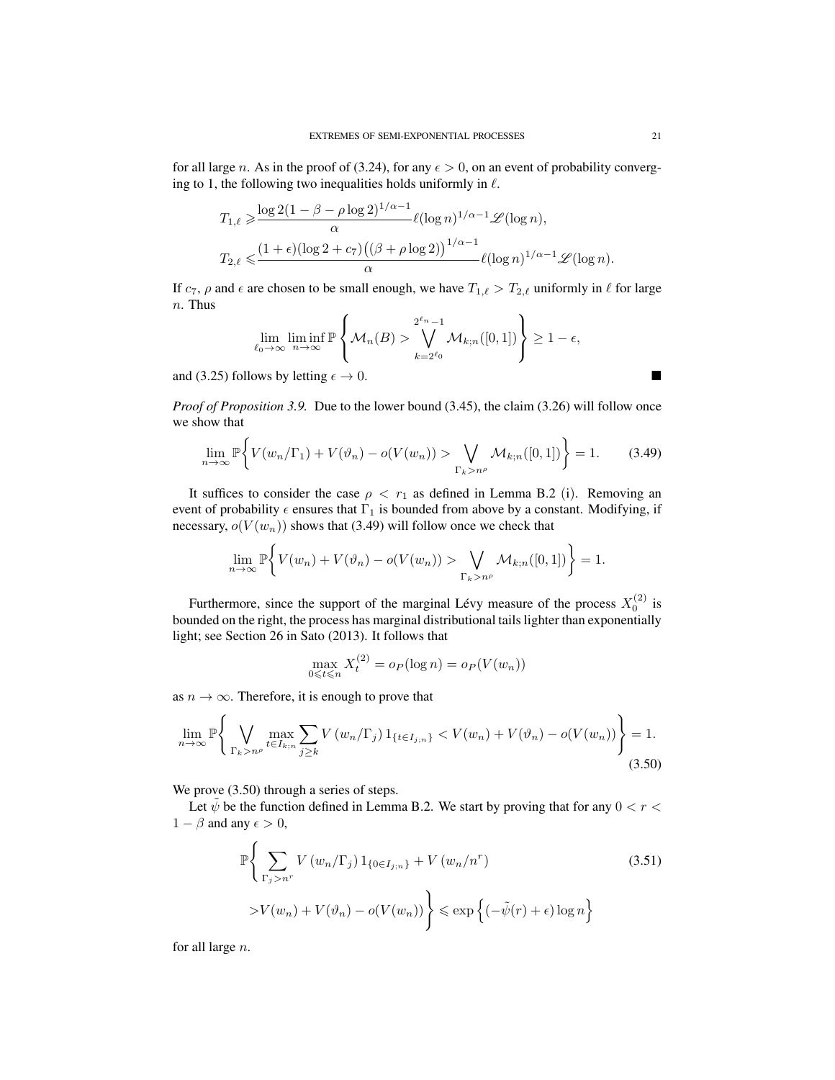for all large n. As in the proof of (3.24), for any  $\epsilon > 0$ , on an event of probability converging to 1, the following two inequalities holds uniformly in  $\ell$ .

$$
T_{1,\ell} \geq \frac{\log 2(1 - \beta - \rho \log 2)^{1/\alpha - 1}}{\alpha} \ell(\log n)^{1/\alpha - 1} \mathscr{L}(\log n),
$$
  

$$
T_{2,\ell} \leq \frac{(1 + \epsilon)(\log 2 + c_7)((\beta + \rho \log 2))^{1/\alpha - 1}}{\alpha} \ell(\log n)^{1/\alpha - 1} \mathscr{L}(\log n).
$$

If  $c_7$ ,  $\rho$  and  $\epsilon$  are chosen to be small enough, we have  $T_{1,\ell} > T_{2,\ell}$  uniformly in  $\ell$  for large  $n.$  Thus

$$
\lim_{\ell_0 \to \infty} \liminf_{n \to \infty} \mathbb{P} \left\{ \mathcal{M}_n(B) > \bigvee_{k=2^{\ell_0}}^{2^{\ell_n}-1} \mathcal{M}_{k;n}([0,1]) \right\} \ge 1 - \epsilon,
$$

and (3.25) follows by letting  $\epsilon \to 0$ .

*Proof of Proposition 3.9.* Due to the lower bound (3.45), the claim (3.26) will follow once we show that

$$
\lim_{n \to \infty} \mathbb{P}\bigg\{V(w_n/\Gamma_1) + V(\vartheta_n) - o(V(w_n)) > \bigvee_{\Gamma_k > n^\rho} \mathcal{M}_{k;n}([0,1])\bigg\} = 1. \tag{3.49}
$$

It suffices to consider the case  $\rho < r_1$  as defined in Lemma B.2 (i). Removing an event of probability  $\epsilon$  ensures that  $\Gamma_1$  is bounded from above by a constant. Modifying, if necessary,  $o(V(w_n))$  shows that (3.49) will follow once we check that

$$
\lim_{n \to \infty} \mathbb{P}\bigg\{V(w_n) + V(\vartheta_n) - o(V(w_n)) > \bigvee_{\Gamma_k > n^{\rho}} \mathcal{M}_{k;n}([0,1])\bigg\} = 1.
$$

Furthermore, since the support of the marginal Lévy measure of the process  $X_0^{(2)}$  is bounded on the right, the process has marginal distributional tails lighter than exponentially light; see Section 26 in Sato (2013). It follows that

$$
\max_{0 \leq t \leq n} X_t^{(2)} = o_P(\log n) = o_P(V(w_n))
$$

as  $n \to \infty$ . Therefore, it is enough to prove that

$$
\lim_{n \to \infty} \mathbb{P} \Bigg\{ \bigvee_{\Gamma_k > n^{\rho}} \max_{t \in I_{k;n}} \sum_{j \ge k} V(w_n/\Gamma_j) 1_{\{t \in I_{j;n}\}} < V(w_n) + V(\vartheta_n) - o(V(w_n)) \Bigg\} = 1. \tag{3.50}
$$

We prove  $(3.50)$  through a series of steps.

Let  $\tilde{\psi}$  be the function defined in Lemma B.2. We start by proving that for any  $0 < r <$  $1 - \beta$  and any  $\epsilon > 0$ ,

$$
\mathbb{P}\left\{\sum_{\Gamma_j > n^r} V(w_n/\Gamma_j) 1_{\{0 \in I_{j;n}\}} + V(w_n/n^r) \right\} > V(w_n) + V(\vartheta_n) - o(V(w_n))\right\} \le \exp\left\{(-\tilde{\psi}(r) + \epsilon) \log n\right\}
$$
(3.51)

for all large n.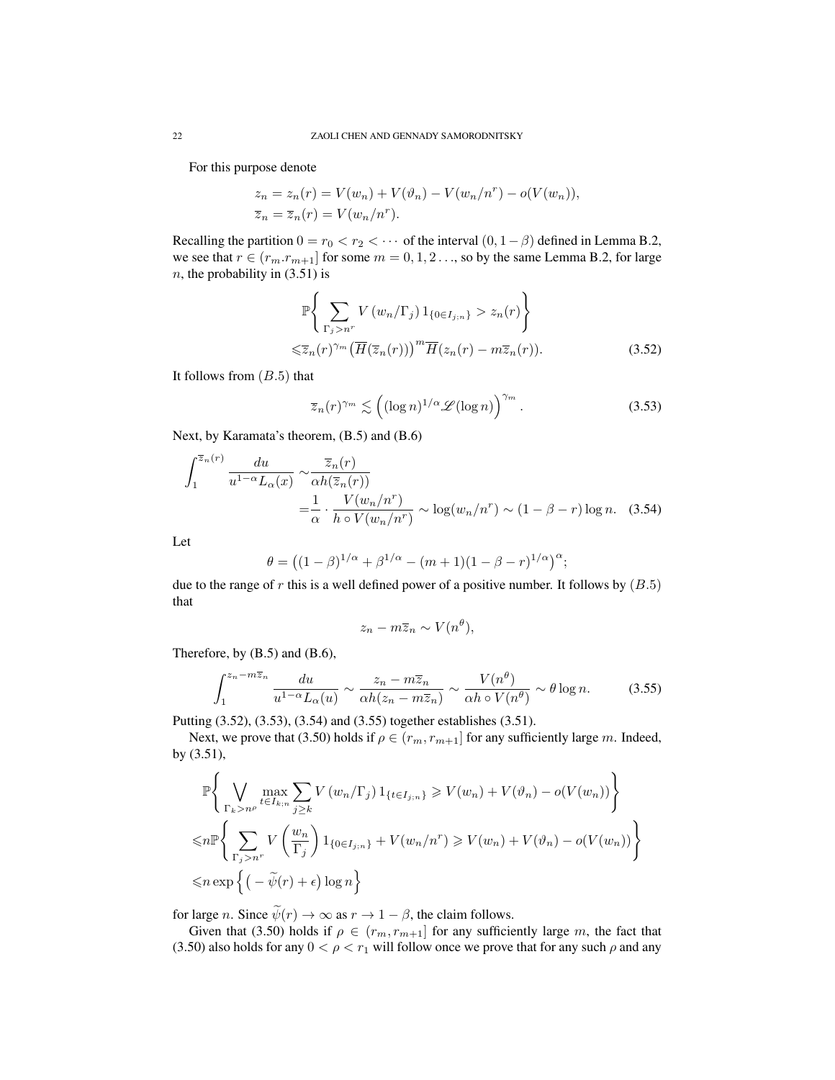For this purpose denote

$$
z_n = z_n(r) = V(w_n) + V(\vartheta_n) - V(w_n/n^r) - o(V(w_n)),
$$
  

$$
\overline{z}_n = \overline{z}_n(r) = V(w_n/n^r).
$$

Recalling the partition  $0 = r_0 < r_2 < \cdots$  of the interval  $(0, 1 - \beta)$  defined in Lemma B.2, we see that  $r \in (r_m \cdot r_{m+1}]$  for some  $m = 0, 1, 2, \ldots$ , so by the same Lemma B.2, for large  $n$ , the probability in (3.51) is

$$
\mathbb{P}\left\{\sum_{\Gamma_j > n^r} V(w_n/\Gamma_j) 1_{\{0 \in I_{j;n}\}} > z_n(r) \right\}
$$
  

$$
\leq \overline{z}_n(r)^{\gamma_m} \left(\overline{H}(\overline{z}_n(r))\right)^m \overline{H}(z_n(r) - m\overline{z}_n(r)).
$$
 (3.52)

It follows from  $(B.5)$  that

$$
\overline{z}_n(r)^{\gamma_m} \lesssim \left( (\log n)^{1/\alpha} \mathcal{L}(\log n) \right)^{\gamma_m} . \tag{3.53}
$$

Next, by Karamata's theorem, (B.5) and (B.6)

$$
\int_{1}^{\overline{z}_{n}(r)} \frac{du}{u^{1-\alpha}L_{\alpha}(x)} \sim \frac{\overline{z}_{n}(r)}{\alpha h(\overline{z}_{n}(r))}
$$
  
=  $\frac{1}{\alpha} \cdot \frac{V(w_{n}/n^{r})}{h \circ V(w_{n}/n^{r})} \sim \log(w_{n}/n^{r}) \sim (1 - \beta - r) \log n.$  (3.54)

Let

$$
\theta = ((1 - \beta)^{1/\alpha} + \beta^{1/\alpha} - (m+1)(1 - \beta - r)^{1/\alpha})^{\alpha};
$$

due to the range of  $r$  this is a well defined power of a positive number. It follows by  $(B.5)$ that

$$
z_n - m\overline{z}_n \sim V(n^{\theta}),
$$

Therefore, by (B.5) and (B.6),

$$
\int_{1}^{z_n - m\overline{z}_n} \frac{du}{u^{1-\alpha} L_{\alpha}(u)} \sim \frac{z_n - m\overline{z}_n}{\alpha h (z_n - m\overline{z}_n)} \sim \frac{V(n^{\theta})}{\alpha h \circ V(n^{\theta})} \sim \theta \log n.
$$
 (3.55)

Putting (3.52), (3.53), (3.54) and (3.55) together establishes (3.51).

Next, we prove that (3.50) holds if  $\rho \in (r_m, r_{m+1}]$  for any sufficiently large m. Indeed, by (3.51),

$$
\mathbb{P}\left\{\bigvee_{\Gamma_k>n^\rho}\max_{t\in I_{k;n}}\sum_{j\geq k}V(w_n/\Gamma_j)\mathbb{1}_{\{t\in I_{j;n}\}}\geq V(w_n)+V(\vartheta_n)-o(V(w_n))\right\}
$$
\n
$$
\leq n\mathbb{P}\left\{\sum_{\Gamma_j>n^r}V\left(\frac{w_n}{\Gamma_j}\right)\mathbb{1}_{\{0\in I_{j;n}\}}+V(w_n/n^r)\geq V(w_n)+V(\vartheta_n)-o(V(w_n))\right\}
$$
\n
$$
\leq n\exp\left\{(-\tilde{\psi}(r)+\epsilon)\log n\right\}
$$

for large *n*. Since  $\widetilde{\psi}(r) \to \infty$  as  $r \to 1 - \beta$ , the claim follows.

Given that (3.50) holds if  $\rho \in (r_m, r_{m+1}]$  for any sufficiently large m, the fact that (3.50) also holds for any  $0 < \rho < r_1$  will follow once we prove that for any such  $\rho$  and any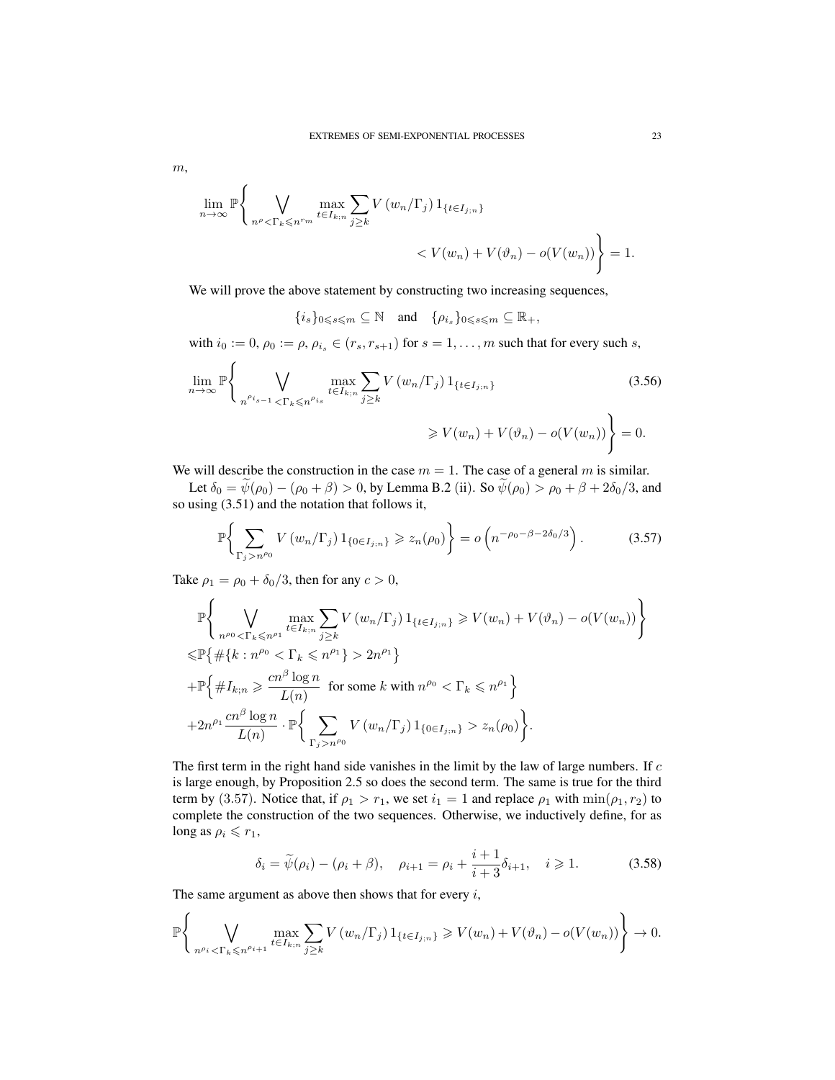$$
m,
$$

$$
\lim_{n \to \infty} \mathbb{P}\left\{\bigvee_{n^{\rho} < \Gamma_k \leqslant n^{r_m}} \max_{t \in I_{k;n}} \sum_{j \geq k} V(w_n/\Gamma_j) \, 1_{\{t \in I_{j;n}\}} \right\} \\
< V(w_n) + V(\vartheta_n) - o(V(w_n))\right\} = 1.
$$

We will prove the above statement by constructing two increasing sequences,

$$
\{i_s\}_{0\leqslant s\leqslant m}\subseteq \mathbb{N} \quad \text{and} \quad \{\rho_{i_s}\}_{0\leqslant s\leqslant m}\subseteq \mathbb{R}_+,
$$

with  $i_0 := 0$ ,  $\rho_0 := \rho$ ,  $\rho_{i_s} \in (r_s, r_{s+1})$  for  $s = 1, \ldots, m$  such that for every such s,

$$
\lim_{n \to \infty} \mathbb{P}\left\{\bigvee_{n^{\rho_{i_{s-1}}} < \Gamma_{k} \leq n^{\rho_{i_{s}}}} \max_{t \in I_{k;n}} \sum_{j \geq k} V(w_{n}/\Gamma_{j}) 1_{\{t \in I_{j;n}\}} \right. \geq V(w_{n}) + V(\vartheta_{n}) - o(V(w_{n}))\right\} = 0.
$$
\n(3.56)

We will describe the construction in the case  $m = 1$ . The case of a general m is similar.

Let  $\delta_0 = \tilde{\psi}(\rho_0) - (\rho_0 + \beta) > 0$ , by Lemma B.2 (ii). So  $\tilde{\psi}(\rho_0) > \rho_0 + \beta + 2\delta_0/3$ , and so using  $(3.51)$  and the notation that follows it,

$$
\mathbb{P}\bigg\{\sum_{\Gamma_j > n^{\rho_0}} V(w_n/\Gamma_j) 1_{\{0 \in I_{j;n}\}} \geq z_n(\rho_0)\bigg\} = o\left(n^{-\rho_0 - \beta - 2\delta_0/3}\right). \tag{3.57}
$$

Take  $\rho_1 = \rho_0 + \delta_0/3$ , then for any  $c > 0$ ,

$$
\mathbb{P}\left\{\bigvee_{n^{\rho_0} < \Gamma_k \leq n^{\rho_1}} \max_{t \in I_{k;n}} \sum_{j \geq k} V(w_n/\Gamma_j) \, 1_{\{t \in I_{j;n}\}} \geq V(w_n) + V(\vartheta_n) - o(V(w_n)) \right\}
$$
\n
$$
\leq \mathbb{P}\left\{\#\{k : n^{\rho_0} < \Gamma_k \leq n^{\rho_1}\} > 2n^{\rho_1}\right\}
$$
\n
$$
+ \mathbb{P}\left\{\#I_{k;n} \geq \frac{cn^{\beta} \log n}{L(n)} \text{ for some } k \text{ with } n^{\rho_0} < \Gamma_k \leq n^{\rho_1}\right\}
$$
\n
$$
+ 2n^{\rho_1} \frac{cn^{\beta} \log n}{L(n)} \cdot \mathbb{P}\left\{\sum_{\Gamma_j > n^{\rho_0}} V(w_n/\Gamma_j) \, 1_{\{0 \in I_{j;n}\}} > z_n(\rho_0)\right\}.
$$

The first term in the right hand side vanishes in the limit by the law of large numbers. If c is large enough, by Proposition 2.5 so does the second term. The same is true for the third term by (3.57). Notice that, if  $\rho_1 > r_1$ , we set  $i_1 = 1$  and replace  $\rho_1$  with  $\min(\rho_1, r_2)$  to complete the construction of the two sequences. Otherwise, we inductively define, for as long as  $\rho_i \leq r_1$ ,

$$
\delta_i = \tilde{\psi}(\rho_i) - (\rho_i + \beta), \quad \rho_{i+1} = \rho_i + \frac{i+1}{i+3}\delta_{i+1}, \quad i \ge 1.
$$
 (3.58)

The same argument as above then shows that for every  $i$ ,

$$
\mathbb{P}\left\{\bigvee_{n^{\rho_i} < \Gamma_k \leqslant n^{\rho_{i+1}}} \max_{t \in I_{k;n}} \sum_{j \geq k} V\left(w_n/\Gamma_j\right) 1_{\{t \in I_{j;n}\}} \geqslant V(w_n) + V(\vartheta_n) - o(V(w_n))\right\} \to 0.
$$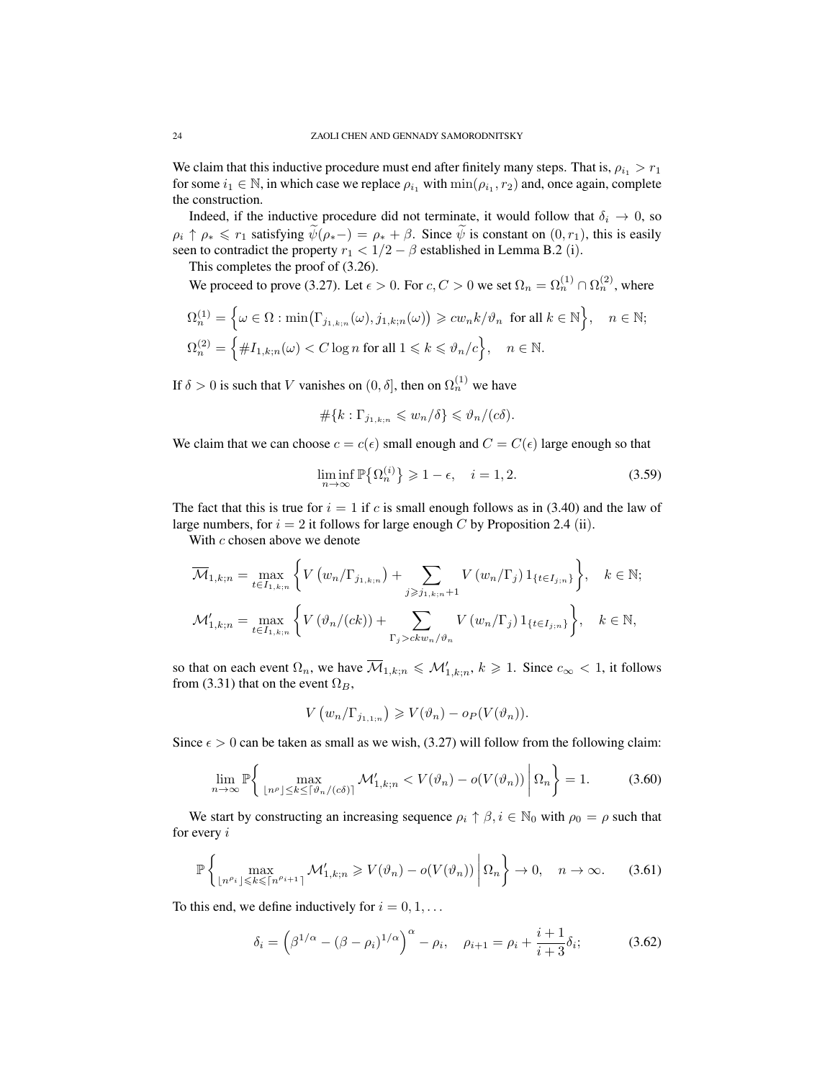We claim that this inductive procedure must end after finitely many steps. That is,  $\rho_i > r_1$ for some  $i_1 \in \mathbb{N}$ , in which case we replace  $\rho_{i_1}$  with  $\min(\rho_{i_1}, r_2)$  and, once again, complete the construction.

Indeed, if the inductive procedure did not terminate, it would follow that  $\delta_i \to 0$ , so  $\rho_i \uparrow \rho_* \leq r_1$  satisfying  $\psi(\rho_*-) = \rho_* + \beta$ . Since  $\psi$  is constant on  $(0, r_1)$ , this is easily seen to contradict the property  $r_1 < 1/2 - \beta$  established in Lemma B.2 (i).

This completes the proof of (3.26).

We proceed to prove (3.27). Let  $\epsilon > 0$ . For  $c, C > 0$  we set  $\Omega_n = \Omega_n^{(1)} \cap \Omega_n^{(2)}$ , where

$$
\Omega_n^{(1)} = \left\{ \omega \in \Omega : \min\left(\Gamma_{j_{1,k;n}}(\omega), j_{1,k;n}(\omega)\right) \geqslant c w_n k / \vartheta_n \text{ for all } k \in \mathbb{N} \right\}, \quad n \in \mathbb{N};
$$
  

$$
\Omega_n^{(2)} = \left\{ \#I_{1,k;n}(\omega) < C \log n \text{ for all } 1 \leqslant k \leqslant \vartheta_n / c \right\}, \quad n \in \mathbb{N}.
$$

If  $\delta > 0$  is such that V vanishes on  $(0, \delta]$ , then on  $\Omega_n^{(1)}$  we have

$$
\#\{k:\Gamma_{j_{1,k;n}}\leqslant w_n/\delta\}\leqslant \vartheta_n/(c\delta).
$$

We claim that we can choose  $c = c(\epsilon)$  small enough and  $C = C(\epsilon)$  large enough so that

$$
\liminf_{n \to \infty} \mathbb{P}\big\{\Omega_n^{(i)}\big\} \ge 1 - \epsilon, \quad i = 1, 2. \tag{3.59}
$$

The fact that this is true for  $i = 1$  if c is small enough follows as in (3.40) and the law of large numbers, for  $i = 2$  it follows for large enough C by Proposition 2.4 (ii).

With c chosen above we denote

$$
\overline{\mathcal{M}}_{1,k;n} = \max_{t \in I_{1,k;n}} \left\{ V(w_n/\Gamma_{j_{1,k;n}}) + \sum_{j \ge j_{1,k;n}+1} V(w_n/\Gamma_j) 1_{\{t \in I_{j;n}\}} \right\}, \quad k \in \mathbb{N};
$$
  

$$
\mathcal{M}'_{1,k;n} = \max_{t \in I_{1,k;n}} \left\{ V(\vartheta_n/(ck)) + \sum_{\Gamma_j > ckw_n/\vartheta_n} V(w_n/\Gamma_j) 1_{\{t \in I_{j;n}\}} \right\}, \quad k \in \mathbb{N},
$$

so that on each event  $\Omega_n$ , we have  $\overline{\mathcal{M}}_{1,k;n} \leq \mathcal{M}'_{1,k;n}$ ,  $k \geq 1$ . Since  $c_{\infty} < 1$ , it follows from (3.31) that on the event  $\Omega_B$ ,

$$
V\left(w_n/\Gamma_{j_{1,1;n}}\right) \geqslant V(\vartheta_n)-o_P(V(\vartheta_n)).
$$

Since  $\epsilon > 0$  can be taken as small as we wish, (3.27) will follow from the following claim:

$$
\lim_{n \to \infty} \mathbb{P}\left\{ \max_{\lfloor n^{\rho} \rfloor \le k \le \lceil \vartheta_n / (c\delta) \rceil} \mathcal{M}_{1,k;n}^{\prime} < V(\vartheta_n) - o(V(\vartheta_n)) \middle| \Omega_n \right\} = 1. \tag{3.60}
$$

We start by constructing an increasing sequence  $\rho_i \uparrow \beta, i \in \mathbb{N}_0$  with  $\rho_0 = \rho$  such that for every i

$$
\mathbb{P}\left\{\max_{\lfloor n^{\rho_i} \rfloor \leqslant k \leqslant \lceil n^{\rho_{i+1}}} \mathcal{M}'_{1,k;n} \geqslant V(\vartheta_n) - o(V(\vartheta_n)) \middle| \Omega_n \right\} \to 0, \quad n \to \infty. \tag{3.61}
$$

To this end, we define inductively for  $i = 0, 1, \ldots$ 

$$
\delta_i = \left(\beta^{1/\alpha} - (\beta - \rho_i)^{1/\alpha}\right)^{\alpha} - \rho_i, \quad \rho_{i+1} = \rho_i + \frac{i+1}{i+3}\delta_i; \tag{3.62}
$$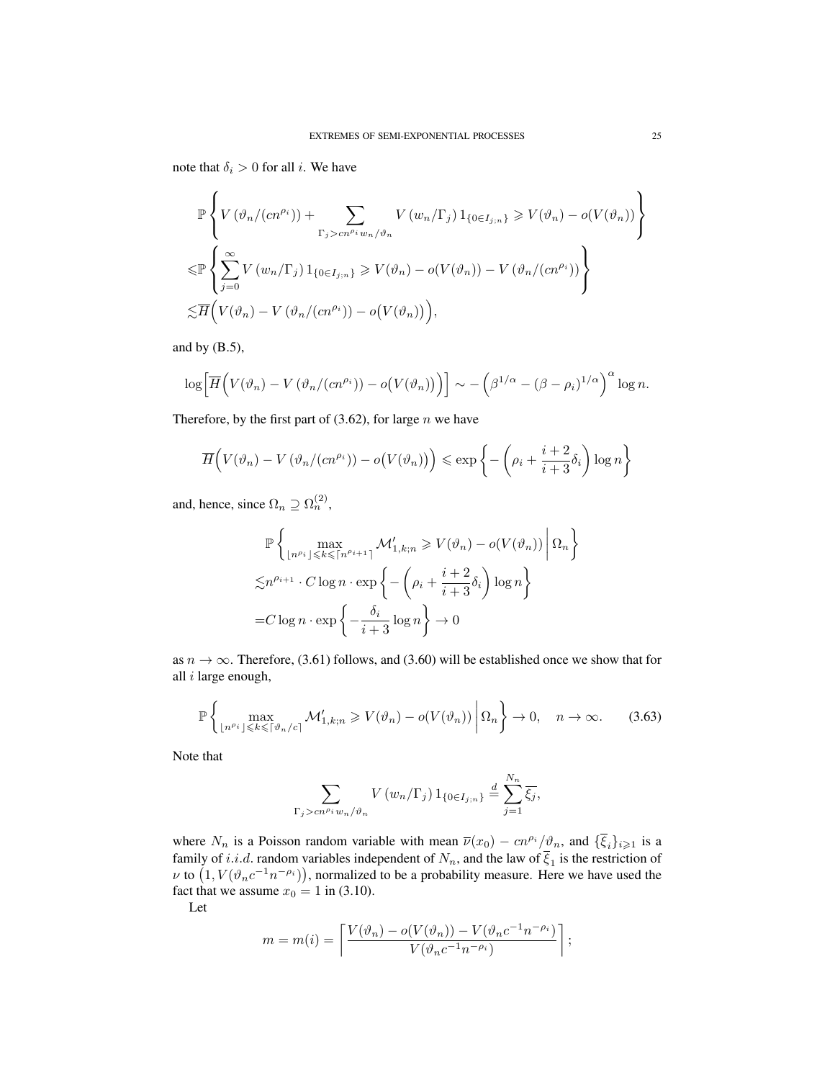note that  $\delta_i > 0$  for all *i*. We have

$$
\mathbb{P}\left\{V\left(\vartheta_n/(cn^{\rho_i})\right) + \sum_{\Gamma_j > cn^{\rho_i}w_n/\vartheta_n} V\left(w_n/\Gamma_j\right)1_{\{0 \in I_{j;n}\}} \geq V(\vartheta_n) - o(V(\vartheta_n))\right\}
$$
  

$$
\leq \mathbb{P}\left\{\sum_{j=0}^{\infty} V\left(w_n/\Gamma_j\right)1_{\{0 \in I_{j;n}\}} \geq V(\vartheta_n) - o(V(\vartheta_n)) - V\left(\vartheta_n/(cn^{\rho_i})\right)\right\}
$$
  

$$
\leq \overline{H}\left(V(\vartheta_n) - V\left(\vartheta_n/(cn^{\rho_i})\right) - o(V(\vartheta_n))\right),
$$

and by (B.5),

$$
\log \left[ \overline{H} \Big( V(\vartheta_n) - V \left( \vartheta_n / (cn^{\rho_i}) \right) - o \big( V(\vartheta_n) \big) \Big) \right] \sim - \left( \beta^{1/\alpha} - (\beta - \rho_i)^{1/\alpha} \right)^{\alpha} \log n.
$$

Therefore, by the first part of  $(3.62)$ , for large n we have

$$
\overline{H}\Big(V(\vartheta_n) - V(\vartheta_n/(cn^{\rho_i})) - o(V(\vartheta_n))\Big) \leqslant \exp\left\{-\left(\rho_i + \frac{i+2}{i+3}\delta_i\right)\log n\right\}
$$

and, hence, since  $\Omega_n \supseteq \Omega_n^{(2)}$ ,

$$
\mathbb{P}\left\{\max_{\lfloor n^{\rho_i}\rfloor \leq k \leq \lceil n^{\rho_{i+1}} \rceil} \mathcal{M}'_{1,k;n} \geq V(\vartheta_n) - o(V(\vartheta_n)) \middle| \Omega_n \right\}
$$
  

$$
\lesssim n^{\rho_{i+1}} \cdot C \log n \cdot \exp\left\{-\left(\rho_i + \frac{i+2}{i+3}\delta_i\right) \log n\right\}
$$
  
= $C \log n \cdot \exp\left\{-\frac{\delta_i}{i+3} \log n\right\} \to 0$ 

as  $n \to \infty$ . Therefore, (3.61) follows, and (3.60) will be established once we show that for all i large enough,

$$
\mathbb{P}\left\{\max_{\lfloor n^{\rho_i}\rfloor \leq k \leq \lceil \vartheta_n/c \rceil} \mathcal{M}'_{1,k;n} \geqslant V(\vartheta_n) - o(V(\vartheta_n)) \middle| \Omega_n \right\} \to 0, \quad n \to \infty. \tag{3.63}
$$

Note that

$$
\sum_{\Gamma_j > cn^{\rho_i} w_n/\vartheta_n} V(w_n/\Gamma_j) 1_{\{0 \in I_{j,n}\}} \stackrel{d}{=} \sum_{j=1}^{N_n} \overline{\xi_j},
$$

where  $N_n$  is a Poisson random variable with mean  $\overline{\nu}(x_0) - cn^{\rho_i}/\vartheta_n$ , and  $\{\overline{\xi}_i\}_{i\geq 1}$  is a family of i.i.d. random variables independent of  $N_n$ , and the law of  $\xi_1$  is the restriction of  $\nu$  to  $(1, V(\vartheta_n c^{-1}n^{-\rho_i})),$  normalized to be a probability measure. Here we have used the fact that we assume  $x_0 = 1$  in (3.10).

Let

$$
m = m(i) = \left\lceil \frac{V(\vartheta_n) - o(V(\vartheta_n)) - V(\vartheta_n c^{-1} n^{-\rho_i})}{V(\vartheta_n c^{-1} n^{-\rho_i})} \right\rceil;
$$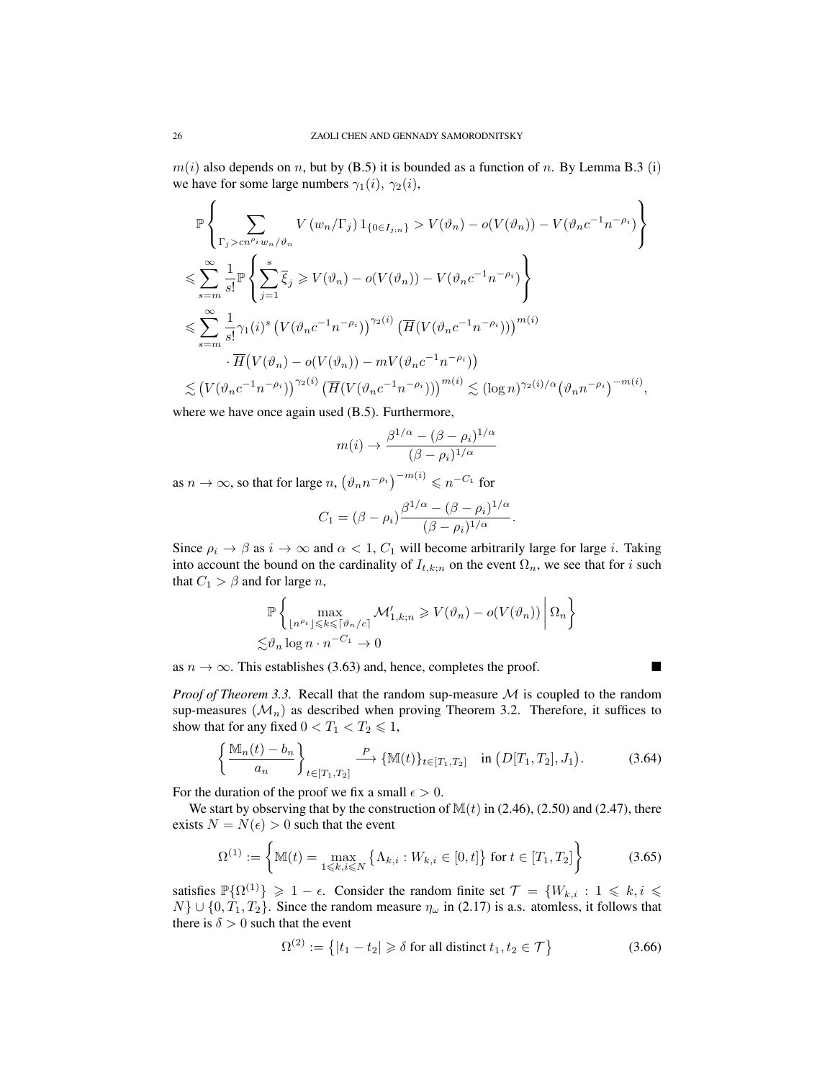$m(i)$  also depends on n, but by (B.5) it is bounded as a function of n. By Lemma B.3 (i) we have for some large numbers  $\gamma_1(i)$ ,  $\gamma_2(i)$ ,

$$
\mathbb{P}\left\{\sum_{\Gamma_{j} > cn^{\rho_{i}}w_{n}/\vartheta_{n}}V(w_{n}/\Gamma_{j})1_{\{0 \in I_{j;n}\}} > V(\vartheta_{n}) - o(V(\vartheta_{n})) - V(\vartheta_{n}c^{-1}n^{-\rho_{i}})\right\}
$$
\n
$$
\leqslant \sum_{s=m}^{\infty}\frac{1}{s!}\mathbb{P}\left\{\sum_{j=1}^{s}\overline{\xi}_{j} \geqslant V(\vartheta_{n}) - o(V(\vartheta_{n})) - V(\vartheta_{n}c^{-1}n^{-\rho_{i}})\right\}
$$
\n
$$
\leqslant \sum_{s=m}^{\infty}\frac{1}{s!}\gamma_{1}(i)^{s}\left(V(\vartheta_{n}c^{-1}n^{-\rho_{i}})\right)^{\gamma_{2}(i)}\left(\overline{H}(V(\vartheta_{n}c^{-1}n^{-\rho_{i}}))\right)^{m(i)}
$$
\n
$$
\cdot\overline{H}(V(\vartheta_{n}) - o(V(\vartheta_{n})) - mV(\vartheta_{n}c^{-1}n^{-\rho_{i}}))
$$
\n
$$
\leqslant \left(V(\vartheta_{n}c^{-1}n^{-\rho_{i}})\right)^{\gamma_{2}(i)}\left(\overline{H}(V(\vartheta_{n}c^{-1}n^{-\rho_{i}}))\right)^{m(i)} \leqslant (\log n)^{\gamma_{2}(i)/\alpha}\left(\vartheta_{n}n^{-\rho_{i}}\right)^{-m(i)},
$$

where we have once again used (B.5). Furthermore,

$$
m(i) \to \frac{\beta^{1/\alpha} - (\beta - \rho_i)^{1/\alpha}}{(\beta - \rho_i)^{1/\alpha}}
$$

as  $n \to \infty$ , so that for large  $n, (\vartheta_n n^{-\rho_i})^{-m(i)} \leqslant n^{-C_1}$  for

$$
C_1 = (\beta - \rho_i) \frac{\beta^{1/\alpha} - (\beta - \rho_i)^{1/\alpha}}{(\beta - \rho_i)^{1/\alpha}}.
$$

Since  $\rho_i \to \beta$  as  $i \to \infty$  and  $\alpha < 1$ ,  $C_1$  will become arbitrarily large for large *i*. Taking into account the bound on the cardinality of  $I_{t,k;n}$  on the event  $\Omega_n$ , we see that for i such that  $C_1 > \beta$  and for large *n*,

$$
\mathbb{P}\left\{\max_{\lfloor n^{\rho_i}\rfloor\leqslant k\leqslant\lceil\vartheta_n/c\rceil}\mathcal{M}_{1,k;n}'\geqslant V(\vartheta_n)-o(V(\vartheta_n))\,\bigg|\,\Omega_n\right\}\\ \lesssim_{\vartheta_n}\log n\cdot n^{-C_1}\to 0
$$

as  $n \to \infty$ . This establishes (3.63) and, hence, completes the proof.

*Proof of Theorem 3.3.* Recall that the random sup-measure  $M$  is coupled to the random sup-measures  $(\mathcal{M}_n)$  as described when proving Theorem 3.2. Therefore, it suffices to show that for any fixed  $0 < T_1 < T_2 \leq 1$ ,

$$
\left\{\frac{\mathbb{M}_n(t)-b_n}{a_n}\right\}_{t\in[T_1,T_2]} \xrightarrow{P} \{ \mathbb{M}(t) \}_{t\in[T_1,T_2]} \quad \text{in } (D[T_1,T_2],J_1). \tag{3.64}
$$

For the duration of the proof we fix a small  $\epsilon > 0$ .

We start by observing that by the construction of  $M(t)$  in (2.46), (2.50) and (2.47), there exists  $N = N(\epsilon) > 0$  such that the event

$$
\Omega^{(1)} := \left\{ \mathbb{M}(t) = \max_{1 \leq k, i \leq N} \left\{ \Lambda_{k,i} : W_{k,i} \in [0, t] \right\} \text{ for } t \in [T_1, T_2] \right\}
$$
(3.65)

satisfies  $\mathbb{P}\{\Omega^{(1)}\} \geq 1 - \epsilon$ . Consider the random finite set  $\mathcal{T} = \{W_{k,i} : 1 \leq k, i \leq k\}$  $N$   $\cup$  {0,  $T_1, T_2$ }. Since the random measure  $\eta_\omega$  in (2.17) is a.s. atomless, it follows that there is  $\delta > 0$  such that the event

$$
\Omega^{(2)} := \left\{ |t_1 - t_2| \ge \delta \text{ for all distinct } t_1, t_2 \in \mathcal{T} \right\}
$$
\n(3.66)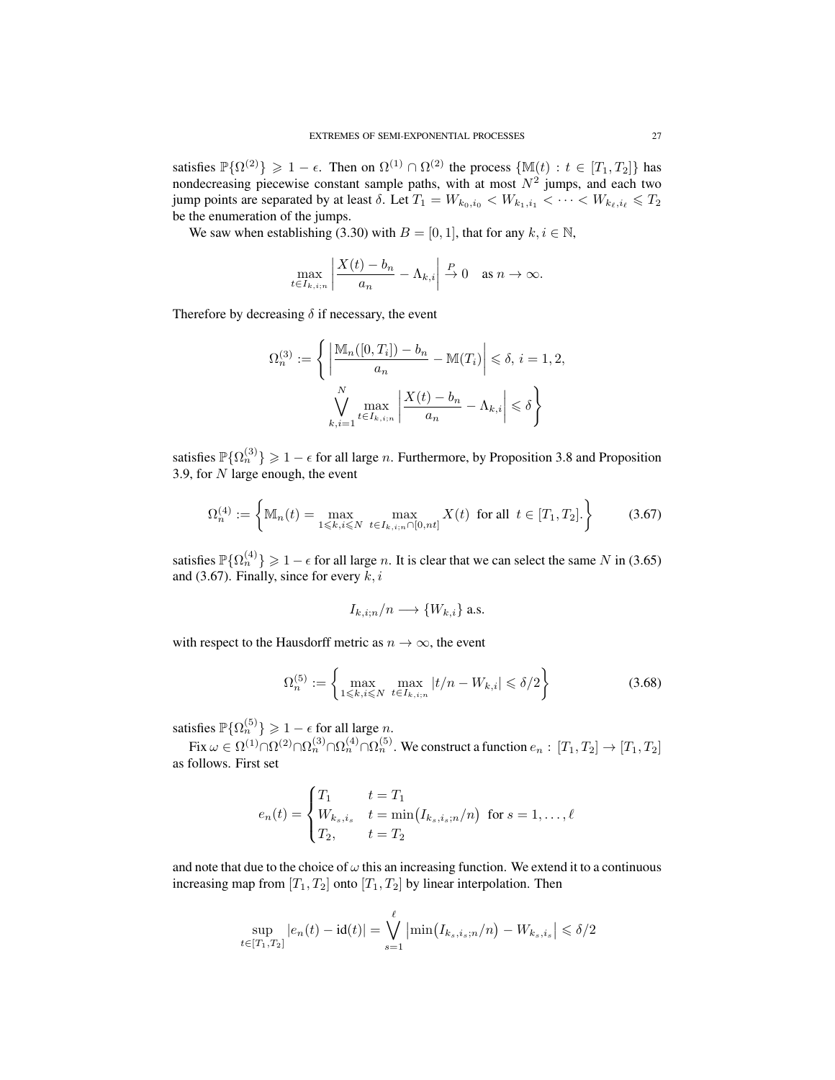satisfies  $\mathbb{P}\{\Omega^{(2)}\} \geq 1 - \epsilon$ . Then on  $\Omega^{(1)} \cap \Omega^{(2)}$  the process  $\{\mathbb{M}(t) : t \in [T_1, T_2]\}$  has nondecreasing piecewise constant sample paths, with at most  $N^2$  jumps, and each two jump points are separated by at least  $\delta$ . Let  $T_1 = W_{k_0,i_0} < W_{k_1,i_1} < \cdots < W_{k_\ell,i_\ell} \leq T_2$ be the enumeration of the jumps.

We saw when establishing (3.30) with  $B = [0, 1]$ , that for any  $k, i \in \mathbb{N}$ ,

$$
\max_{t \in I_{k,i;n}} \left| \frac{X(t) - b_n}{a_n} - \Lambda_{k,i} \right| \xrightarrow{P} 0 \quad \text{as } n \to \infty.
$$

Therefore by decreasing  $\delta$  if necessary, the event

$$
\Omega_n^{(3)} := \left\{ \left| \frac{\mathbb{M}_n([0, T_i]) - b_n}{a_n} - \mathbb{M}(T_i) \right| \leq \delta, i = 1, 2,
$$
  

$$
\bigvee_{k,i=1}^N \max_{t \in I_{k,i;n}} \left| \frac{X(t) - b_n}{a_n} - \Lambda_{k,i} \right| \leq \delta \right\}
$$

satisfies  $\mathbb{P}\{\Omega_n^{(3)}\} \geq 1 - \epsilon$  for all large *n*. Furthermore, by Proposition 3.8 and Proposition 3.9, for  $N$  large enough, the event

$$
\Omega_n^{(4)} := \left\{ \mathbb{M}_n(t) = \max_{1 \le k, i \le N} \max_{t \in I_{k,i;n} \cap [0,nt]} X(t) \text{ for all } t \in [T_1, T_2]. \right\}
$$
(3.67)

satisfies  $\mathbb{P}\{\Omega_n^{(4)}\} \geq 1 - \epsilon$  for all large n. It is clear that we can select the same N in (3.65) and (3.67). Finally, since for every  $k, i$ 

$$
I_{k,i;n}/n \longrightarrow \{W_{k,i}\}\
$$
.

with respect to the Hausdorff metric as  $n \to \infty$ , the event

$$
\Omega_n^{(5)} := \left\{ \max_{1 \le k, i \le N} \max_{t \in I_{k,i;n}} |t/n - W_{k,i}| \le \delta/2 \right\}
$$
\n(3.68)

satisfies  $\mathbb{P}\{\Omega_n^{(5)}\} \geq 1 - \epsilon$  for all large n.

Fix  $\omega\in\Omega^{(1)}\cap\Omega^{(2)}_n\cap\Omega^{(3)}_n\cap\Omega^{(5)}_n.$  We construct a function  $e_n:\,[T_1,T_2]\to[T_1,T_2]$ as follows. First set

$$
e_n(t) = \begin{cases} T_1 & t = T_1 \\ W_{k_s, i_s} & t = \min(I_{k_s, i_s; n}/n) \text{ for } s = 1, \dots, \ell \\ T_2, & t = T_2 \end{cases}
$$

and note that due to the choice of  $\omega$  this an increasing function. We extend it to a continuous increasing map from  $[T_1, T_2]$  onto  $[T_1, T_2]$  by linear interpolation. Then

$$
\sup_{t \in [T_1, T_2]} |e_n(t) - \mathrm{id}(t)| = \bigvee_{s=1}^{\ell} \left| \min(I_{k_s, i_s; n}/n) - W_{k_s, i_s} \right| \leq \delta/2
$$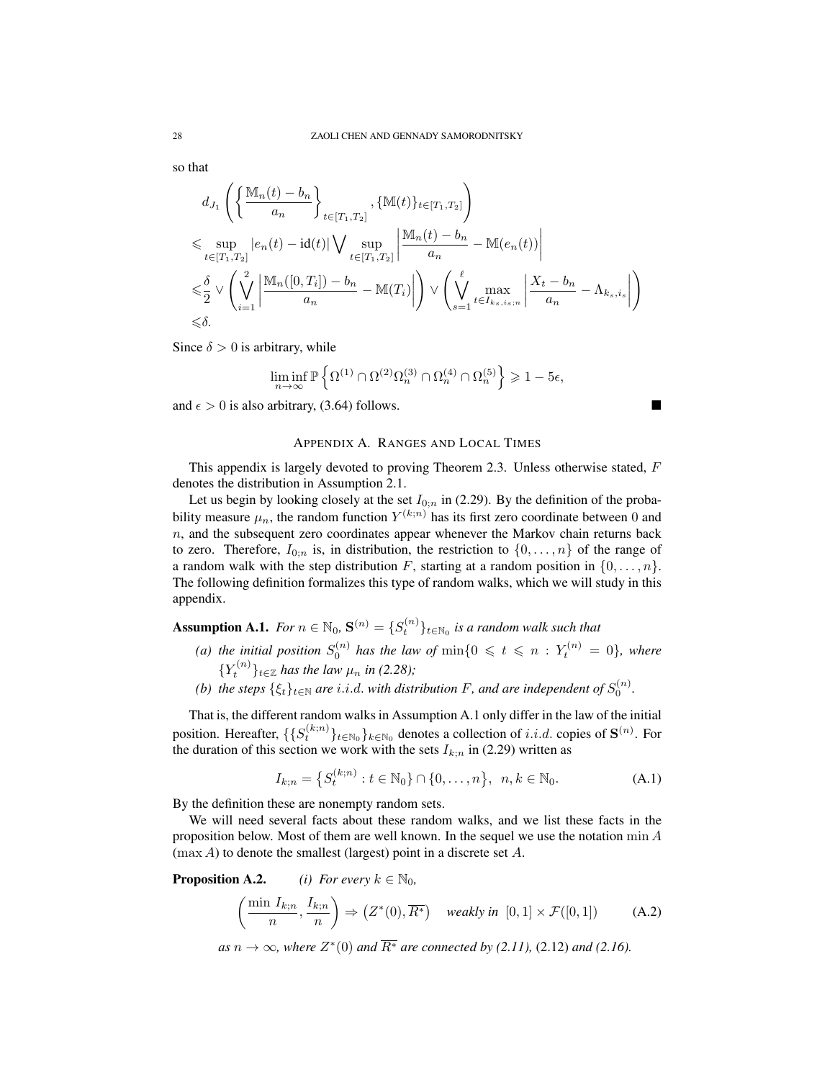so that

$$
d_{J_1}\left(\left\{\frac{\mathbb{M}_n(t)-b_n}{a_n}\right\}_{t\in[T_1,T_2]},\{\mathbb{M}(t)\}_{t\in[T_1,T_2]}\right)
$$
  
\$\leqslant \sup\_{t\in[T\_1,T\_2]}|e\_n(t)-\mathrm{id}(t)| \bigvee\_{t\in[T\_1,T\_2]} \left|\frac{\mathbb{M}\_n(t)-b\_n}{a\_n}-\mathbb{M}(e\_n(t))\right|\$  
\$\leqslant \frac{\delta}{2} \vee \left(\bigvee\_{i=1}^2 \left|\frac{\mathbb{M}\_n([0,T\_i])-b\_n}{a\_n}-\mathbb{M}(T\_i)\right|\right) \vee \left(\bigvee\_{s=1}^\ell \max\_{t\in I\_{ks, i\_s;n}} \left|\frac{X\_t-b\_n}{a\_n}-\Lambda\_{ks, i\_s}\right|\right)\$  
\$\leqslant \delta\$.

Since  $\delta > 0$  is arbitrary, while

$$
\liminf_{n\to\infty}\mathbb{P}\left\{\Omega^{(1)}\cap\Omega^{(2)}\Omega^{(3)}_n\cap\Omega^{(4)}_n\cap\Omega^{(5)}_n\right\}\geqslant 1-5\epsilon,
$$

and  $\epsilon > 0$  is also arbitrary, (3.64) follows.

## APPENDIX A. RANGES AND LOCAL TIMES

This appendix is largely devoted to proving Theorem 2.3. Unless otherwise stated,  $F$ denotes the distribution in Assumption 2.1.

Let us begin by looking closely at the set  $I_{0;\nu}$  in (2.29). By the definition of the probability measure  $\mu_n$ , the random function  $Y^{(k;n)}$  has its first zero coordinate between 0 and  $n$ , and the subsequent zero coordinates appear whenever the Markov chain returns back to zero. Therefore,  $I_{0:n}$  is, in distribution, the restriction to  $\{0, \ldots, n\}$  of the range of a random walk with the step distribution F, starting at a random position in  $\{0, \ldots, n\}$ . The following definition formalizes this type of random walks, which we will study in this appendix.

**Assumption A.1.** *For*  $n \in \mathbb{N}_0$ ,  $\mathbf{S}^{(n)} = \{S_t^{(n)}\}_{t \in \mathbb{N}_0}$  *is a random walk such that* 

- (a) the initial position  $S_0^{(n)}$  has the law of  $\min\{0 \leqslant t \leqslant n : Y_t^{(n)} = 0\}$ , where  ${Y_t^{(n)}}_{t \in \mathbb{Z}}$  has the law  $\mu_n$  in (2.28);
- *(b) the steps*  $\{\xi_t\}_{t\in\mathbb{N}}$  *are i.i.d. with distribution F*, *and are independent of*  $S_0^{(n)}$ *.*

That is, the different random walks in Assumption A.1 only differ in the law of the initial position. Hereafter,  $\{\{S_t^{(k;n)}\}_{t\in\mathbb{N}_0}\}$  denotes a collection of  $i.i.d.$  copies of  $\mathbf{S}^{(n)}$ . For the duration of this section we work with the sets  $I_{k;n}$  in (2.29) written as

$$
I_{k;n} = \left\{ S_t^{(k;n)} : t \in \mathbb{N}_0 \right\} \cap \{0, \dots, n\}, \ n, k \in \mathbb{N}_0.
$$
 (A.1)

By the definition these are nonempty random sets.

We will need several facts about these random walks, and we list these facts in the proposition below. Most of them are well known. In the sequel we use the notation  $\min A$  $(\max A)$  to denote the smallest (largest) point in a discrete set A.

**Proposition A.2.** *(i) For every*  $k \in \mathbb{N}_0$ ,

$$
\left(\frac{\min I_{k;n}}{n}, \frac{I_{k;n}}{n}\right) \Rightarrow \left(Z^*(0), \overline{R^*}\right) \quad \text{weakly in } [0,1] \times \mathcal{F}([0,1]) \tag{A.2}
$$

 $as n \to \infty$ , where  $Z^*(0)$  and  $\overline{R^*}$  are connected by (2.11), (2.12) and (2.16).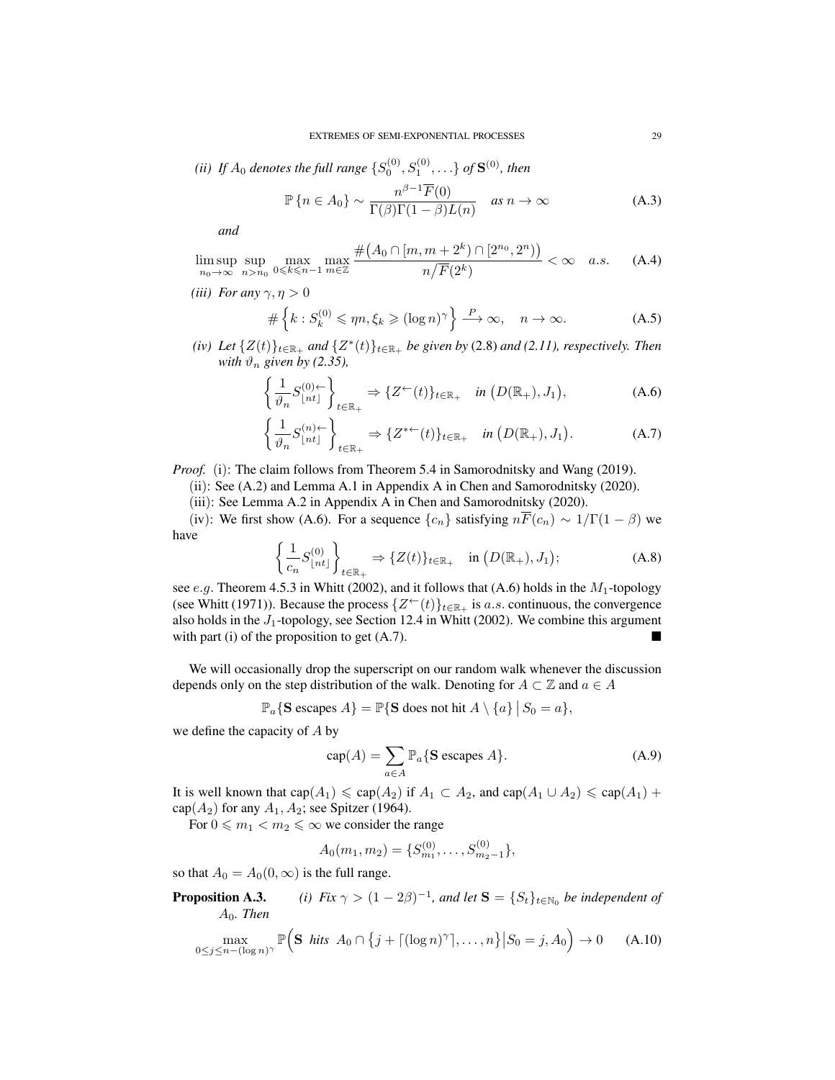(*ii*) If  $A_0$  denotes the full range  $\{S_0^{(0)}, S_1^{(0)}, \ldots\}$  of  $\mathbf{S}^{(0)}$ , then

$$
\mathbb{P}\left\{n \in A_0\right\} \sim \frac{n^{\beta - 1}\overline{F}(0)}{\Gamma(\beta)\Gamma(1 - \beta)L(n)} \quad \text{as } n \to \infty \tag{A.3}
$$

*and*

$$
\limsup_{n_0 \to \infty} \sup_{n > n_0} \max_{0 \le k \le n-1} \max_{m \in \mathbb{Z}} \frac{\#(A_0 \cap [m, m+2^k) \cap [2^{n_0}, 2^n))}{n/\overline{F}(2^k)} < \infty \quad a.s. \tag{A.4}
$$

*(iii) For any*  $\gamma$ ,  $\eta > 0$ 

$$
\#\left\{k: S_k^{(0)} \leqslant \eta n, \xi_k \geqslant (\log n)^\gamma\right\} \xrightarrow{P} \infty, \quad n \to \infty. \tag{A.5}
$$

(*iv*) *Let*  $\{Z(t)\}_{t\in\mathbb{R}_+}$  *and*  $\{Z^*(t)\}_{t\in\mathbb{R}_+}$  *be given by* (2.8) *and* (2.11), *respectively. Then with*  $\vartheta_n$  *given by (2.35),* 

$$
\left\{\frac{1}{\vartheta_n}S_{\lfloor nt \rfloor}^{(0)+}\right\}_{t \in \mathbb{R}_+} \Rightarrow \{Z^{\leftarrow}(t)\}_{t \in \mathbb{R}_+} \quad \text{in } (D(\mathbb{R}_+), J_1), \tag{A.6}
$$

$$
\left\{\frac{1}{\vartheta_n}S_{\lfloor nt \rfloor}^{(n)+}\right\}_{t \in \mathbb{R}_+} \Rightarrow \{Z^{*+}(t)\}_{t \in \mathbb{R}_+} \quad \text{in } (D(\mathbb{R}_+), J_1). \tag{A.7}
$$

*Proof.* (i): The claim follows from Theorem 5.4 in Samorodnitsky and Wang (2019).

- (ii): See (A.2) and Lemma A.1 in Appendix A in Chen and Samorodnitsky (2020).
- (iii): See Lemma A.2 in Appendix A in Chen and Samorodnitsky (2020).

(iv): We first show (A.6). For a sequence  $\{c_n\}$  satisfying  $n\overline{F}(c_n) \sim 1/\Gamma(1-\beta)$  we have

$$
\left\{\frac{1}{c_n}S_{\lfloor nt \rfloor}^{(0)}\right\}_{t \in \mathbb{R}_+} \Rightarrow \{Z(t)\}_{t \in \mathbb{R}_+} \quad \text{in } (D(\mathbb{R}_+), J_1); \tag{A.8}
$$

see e.g. Theorem 4.5.3 in Whitt (2002), and it follows that (A.6) holds in the  $M_1$ -topology (see Whitt (1971)). Because the process  $\{Z^{\leftarrow}(t)\}_{t\in\mathbb{R}_+}$  is a.s. continuous, the convergence also holds in the  $J_1$ -topology, see Section 12.4 in Whitt (2002). We combine this argument with part (i) of the proposition to get  $(A.7)$ .

We will occasionally drop the superscript on our random walk whenever the discussion depends only on the step distribution of the walk. Denoting for  $A \subset \mathbb{Z}$  and  $a \in A$ 

$$
\mathbb{P}_a\{\mathbf{S} \text{ escapes } A\} = \mathbb{P}\{\mathbf{S} \text{ does not hit } A \setminus \{a\} \mid S_0 = a\},\
$$

we define the capacity of A by

$$
cap(A) = \sum_{a \in A} \mathbb{P}_a \{ \mathbf{S} \text{ escapes } A \}. \tag{A.9}
$$

It is well known that  $cap(A_1) \leq cap(A_2)$  if  $A_1 \subset A_2$ , and  $cap(A_1 \cup A_2) \leq cap(A_1) +$ cap $(A_2)$  for any  $A_1, A_2$ ; see Spitzer (1964).

For  $0 \le m_1 < m_2 \le \infty$  we consider the range

$$
A_0(m_1, m_2) = \{S_{m_1}^{(0)}, \ldots, S_{m_2-1}^{(0)}\},\,
$$

so that  $A_0 = A_0(0, \infty)$  is the full range.

**Proposition A.3.** *(i) Fix*  $\gamma > (1 - 2\beta)^{-1}$ *, and let*  $S = \{S_t\}_{t \in \mathbb{N}_0}$  *be independent of* A0*. Then*

$$
\max_{0 \le j \le n - (\log n)^{\gamma}} \mathbb{P}\Big(\mathbf{S} \text{ hits } A_0 \cap \{j + \lceil (\log n)^{\gamma} \rceil, \dots, n\} \big| S_0 = j, A_0 \Big) \to 0 \quad \text{(A.10)}
$$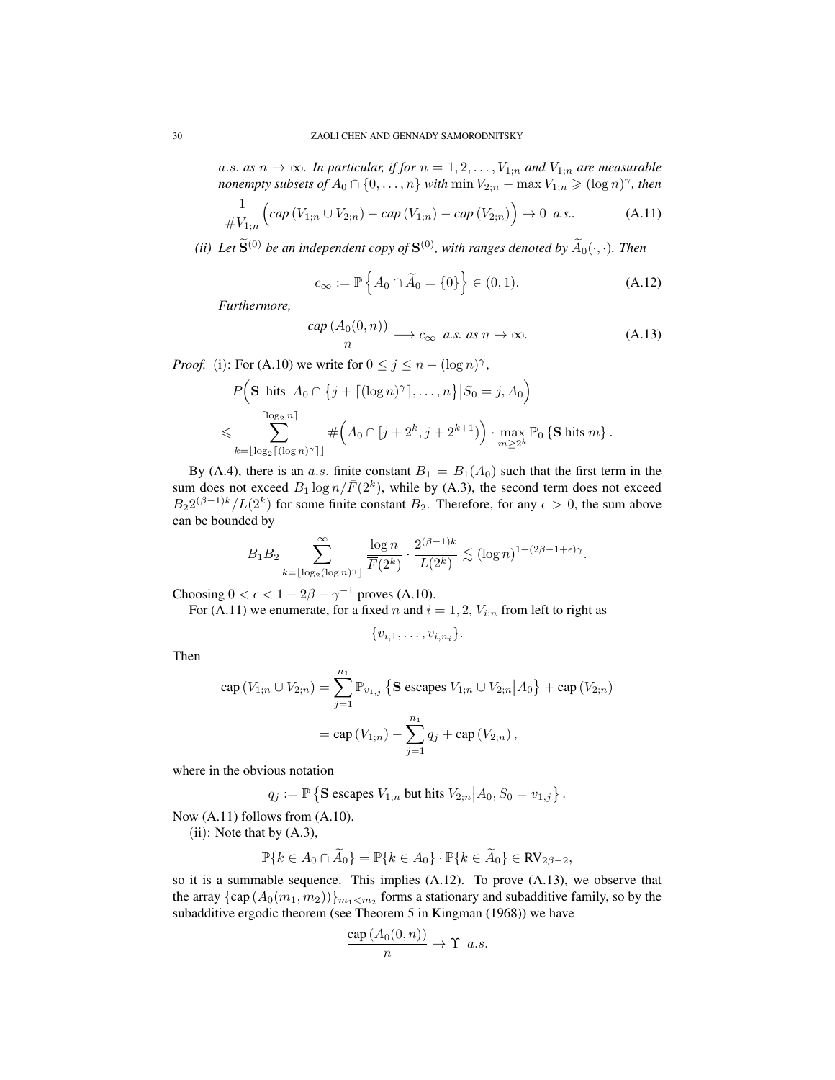a.s. as  $n \to \infty$ . In particular, if for  $n = 1, 2, ..., V_{1:n}$  and  $V_{1:n}$  are measurable *nonempty subsets of*  $A_0 \cap \{0, \ldots, n\}$  *with*  $\min V_{2;n} - \max V_{1;n} \geqslant (\log n)^\gamma$ , then

$$
\frac{1}{\#V_{1;n}} \Big(cap\left(V_{1;n} \cup V_{2;n}\right) - cap\left(V_{1;n}\right) - cap\left(V_{2;n}\right)\Big) \to 0 \ \ a.s.. \tag{A.11}
$$

*(ii)* Let  $\widetilde{\mathbf{S}}^{(0)}$  be an independent copy of  $\mathbf{S}^{(0)}$ , with ranges denoted by  $\widetilde{A}_0(\cdot,\cdot)$ . Then

$$
c_{\infty} := \mathbb{P}\left\{A_0 \cap \widetilde{A}_0 = \{0\}\right\} \in (0, 1). \tag{A.12}
$$

*Furthermore,*

$$
\frac{cap (A_0(0, n))}{n} \longrightarrow c_{\infty} \text{ a.s. as } n \to \infty.
$$
 (A.13)

*Proof.* (i): For (A.10) we write for  $0 \le j \le n - (\log n)^{\gamma}$ ,

$$
P\Big(\mathbf{S} \text{ hits } A_0 \cap \{j + \lceil (\log n)^{\gamma} \rceil, \dots, n\} \big| S_0 = j, A_0 \Big)
$$
  
\$\leqslant \sum\_{k = \lfloor \log\_2 \lceil (\log n)^{\gamma} \rceil \rfloor}^{\lceil \log\_2 n \rceil} \# \Big(A\_0 \cap [j + 2^k, j + 2^{k+1})\Big) \cdot \max\_{m \geq 2^k} \mathbb{P}\_0 \{\mathbf{S} \text{ hits } m\}\$.

By (A.4), there is an a.s. finite constant  $B_1 = B_1(A_0)$  such that the first term in the sum does not exceed  $B_1 \log n / \bar{F}(2^k)$ , while by (A.3), the second term does not exceed  $B_2 2^{(\beta-1)k}/L(2^k)$  for some finite constant  $B_2$ . Therefore, for any  $\epsilon > 0$ , the sum above can be bounded by

$$
B_1 B_2 \sum_{k=\lfloor \log_2(\log n)^\gamma\rfloor}^\infty \frac{\log n}{\overline F(2^k)} \cdot \frac{2^{(\beta-1)k}}{L(2^k)} \lesssim (\log n)^{1+(2\beta-1+\epsilon)\gamma}.
$$

Choosing  $0 < \epsilon < 1 - 2\beta - \gamma^{-1}$  proves (A.10).

For (A.11) we enumerate, for a fixed n and  $i = 1, 2, V_{i,n}$  from left to right as

$$
\{v_{i,1},\ldots,v_{i,n_i}\}.
$$

Then

$$
\begin{aligned} \text{cap}(V_{1;n} \cup V_{2;n}) &= \sum_{j=1}^{n_1} \mathbb{P}_{v_{1,j}} \left\{ \mathbf{S} \text{ escapes } V_{1;n} \cup V_{2;n} \middle| A_0 \right\} + \text{cap}(V_{2;n}) \\ &= \text{cap}(V_{1;n}) - \sum_{j=1}^{n_1} q_j + \text{cap}(V_{2;n}) \,, \end{aligned}
$$

where in the obvious notation

$$
q_j := \mathbb{P}\left\{\mathbf{S} \text{ escapes } V_{1;n} \text{ but hits } V_{2;n} \middle| A_0, S_0 = v_{1,j} \right\}.
$$

Now (A.11) follows from (A.10).

 $(ii)$ : Note that by  $(A.3)$ ,

$$
\mathbb{P}\{k \in A_0 \cap \widetilde{A}_0\} = \mathbb{P}\{k \in A_0\} \cdot \mathbb{P}\{k \in \widetilde{A}_0\} \in \text{RV}_{2\beta - 2},
$$

so it is a summable sequence. This implies (A.12). To prove (A.13), we observe that the array  $\{ \text{cap}(A_0(m_1, m_2)) \}_{m_1 < m_2}$  forms a stationary and subadditive family, so by the subadditive ergodic theorem (see Theorem 5 in Kingman (1968)) we have

$$
\frac{\text{cap}\,(A_0(0,n))}{n}\to \Upsilon\ a.s.
$$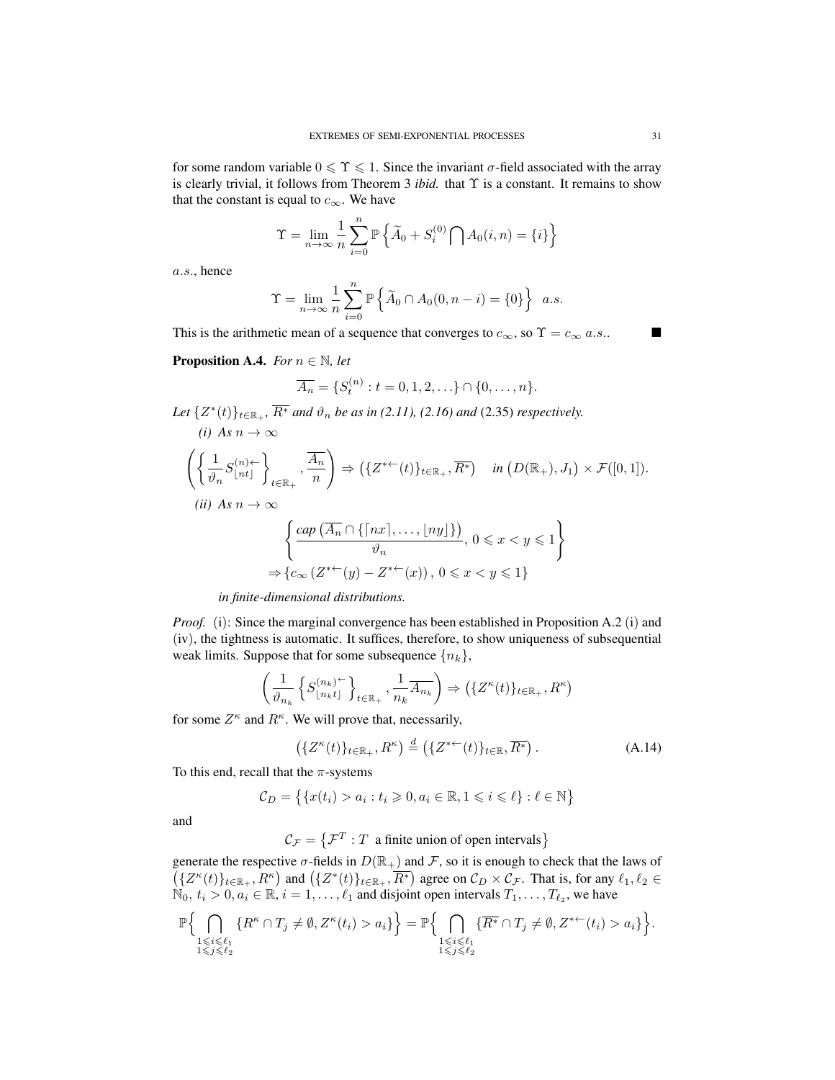for some random variable  $0 \le \Upsilon \le 1$ . Since the invariant  $\sigma$ -field associated with the array is clearly trivial, it follows from Theorem 3 *ibid.* that Υ is a constant. It remains to show that the constant is equal to  $c_{\infty}$ . We have

$$
\Upsilon = \lim_{n \to \infty} \frac{1}{n} \sum_{i=0}^{n} \mathbb{P} \left\{ \widetilde{A}_0 + S_i^{(0)} \bigcap A_0(i, n) = \{i\} \right\}
$$

a.s., hence

$$
\Upsilon = \lim_{n \to \infty} \frac{1}{n} \sum_{i=0}^{n} \mathbb{P} \left\{ \widetilde{A}_0 \cap A_0(0, n-i) = \{0\} \right\} \ a.s.
$$

This is the arithmetic mean of a sequence that converges to  $c_{\infty}$ , so  $\Upsilon = c_{\infty} a.s.$ 

**Proposition A.4.** *For*  $n \in \mathbb{N}$ *, let* 

*(i) As*  $n \to ∞$ 

$$
\overline{A_n} = \{ S_t^{(n)} : t = 0, 1, 2, \ldots \} \cap \{ 0, \ldots, n \}.
$$

*Let*  $\{Z^*(t)\}_{t\in\mathbb{R}_+}$ ,  $\overline{R^*}$  *and*  $\vartheta_n$  *be as in* (2.11), (2.16) and (2.35) *respectively.* 

$$
\left(\left\{\frac{1}{\vartheta_n}S_{\lfloor nt \rfloor}^{(n)\leftarrow}\right\}_{t\in\mathbb{R}_+},\frac{\overline{A_n}}{n}\right) \Rightarrow \left(\{Z^{*\leftarrow}(t)\}_{t\in\mathbb{R}_+},\overline{R^*}\right) \quad in \left(D(\mathbb{R}_+),J_1\right)\times\mathcal{F}([0,1]).
$$
\n*(ii)* As  $n \to \infty$ \n
$$
\left\{\frac{\operatorname{cap}\left(\overline{A_n} \cap \{\lceil nx \rceil,\ldots,\lfloor ny \rfloor\}\right)}{\vartheta_n}, 0 \leqslant x < y \leqslant 1\right\}
$$
\n
$$
\Rightarrow \left\{c_{\infty}\left(Z^{*\leftarrow}(y) - Z^{*\leftarrow}(x)\right), 0 \leqslant x < y \leqslant 1\right\}\right.
$$

*in finite-dimensional distributions.*

*Proof.* (i): Since the marginal convergence has been established in Proposition A.2 (i) and (iv), the tightness is automatic. It suffices, therefore, to show uniqueness of subsequential weak limits. Suppose that for some subsequence  $\{n_k\}$ ,

$$
\left(\frac{1}{\vartheta_{n_k}}\left\{S_{\lfloor n_k t \rfloor}^{(n_k)^{-1}}\right\}_{t \in \mathbb{R}_+}, \frac{1}{n_k} \overline{A_{n_k}}\right) \Rightarrow \left(\{Z^{\kappa}(t)\}_{t \in \mathbb{R}_+}, R^{\kappa}\right)
$$

for some  $Z^{\kappa}$  and  $R^{\kappa}$ . We will prove that, necessarily,

$$
\left(\{Z^{\kappa}(t)\}_{t\in\mathbb{R}_{+}},R^{\kappa}\right)\stackrel{d}{=} \left(\{Z^{*\leftarrow}(t)\}_{t\in\mathbb{R}},\overline{R^{*}}\right).
$$
\n(A.14)

To this end, recall that the  $\pi$ -systems

$$
\mathcal{C}_D = \{ \{x(t_i) > a_i : t_i \geqslant 0, a_i \in \mathbb{R}, 1 \leqslant i \leqslant \ell \} : \ell \in \mathbb{N} \}
$$

and

 $\mathcal{C}_{\mathcal{F}} = \{ \mathcal{F}^T : T \text{ a finite union of open intervals} \}$ 

generate the respective  $\sigma$ -fields in  $D(\mathbb{R}_+)$  and F, so it is enough to check that the laws of  $({Z^{\kappa}(t)}_{t\in\mathbb{R}_+}, R^{\kappa})$  and  $({Z^*(t)}_{t\in\mathbb{R}_+}, \overline{R^*})$  agree on  $\mathcal{C}_D\times\mathcal{C}_{\mathcal{F}}$ . That is, for any  $\ell_1, \ell_2 \in$  $\mathbb{N}_0, t_i > 0, a_i \in \mathbb{R}, i = 1, \dots, \ell_1$  and disjoint open intervals  $T_1, \dots, T_{\ell_2}$ , we have

$$
\mathbb{P}\Big\{\bigcap_{\substack{1 \leq i \leq \ell_1 \\ 1 \leq j \leq \ell_2}} \{R^{\kappa} \cap T_j \neq \emptyset, Z^{\kappa}(t_i) > a_i\}\Big\} = \mathbb{P}\Big\{\bigcap_{\substack{1 \leq i \leq \ell_1 \\ 1 \leq j \leq \ell_2}} \{\overline{R^*} \cap T_j \neq \emptyset, Z^{* \leftarrow}(t_i) > a_i\}\Big\}.
$$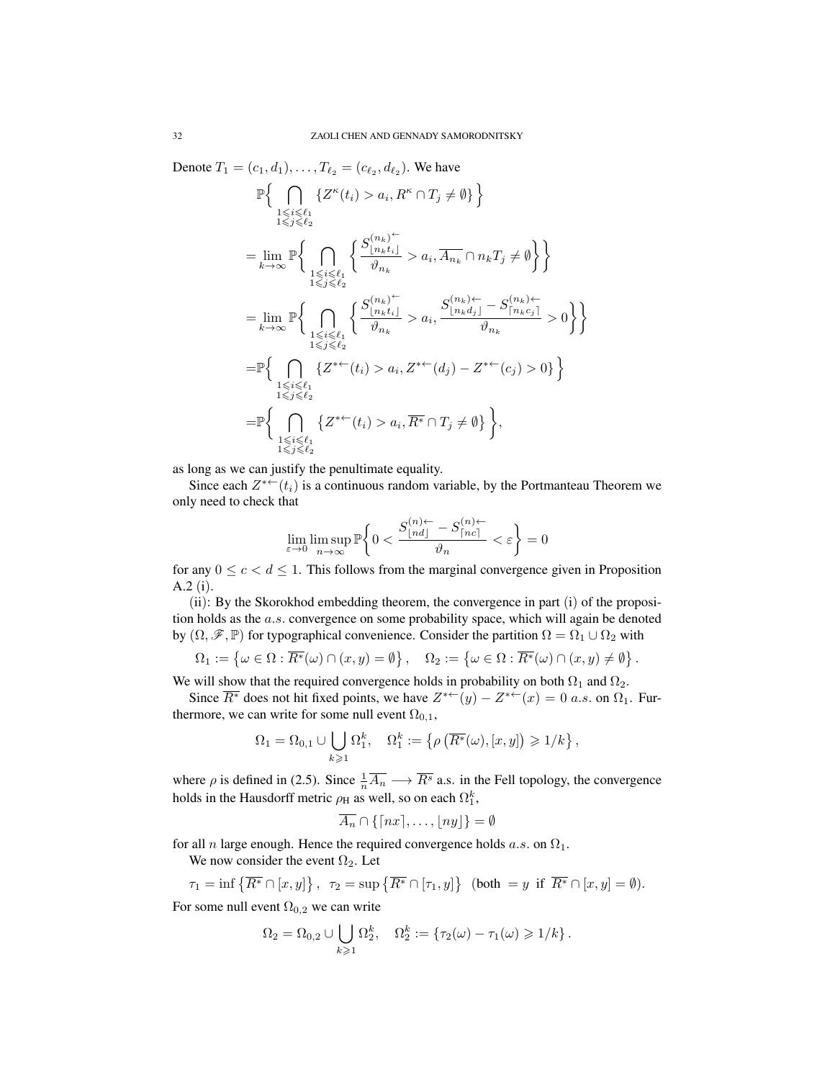Denote  $T_1 = (c_1, d_1), \dots, T_{\ell_2} = (c_{\ell_2}, d_{\ell_2})$ . We have

$$
\begin{split} &\mathbb{P}\Big\{\bigcap_{\substack{1\leqslant i\leqslant \ell_1\\ 1\leqslant j\leqslant \ell_2}}\{Z^\kappa(t_i)>a_i,R^\kappa\cap T_j\neq \emptyset\}\Big\}\\ &=\lim_{k\rightarrow\infty}\mathbb{P}\Big\{\bigcap_{\substack{1\leqslant i\leqslant \ell_1\\ 1\leqslant j\leqslant \ell_2}}\bigg\{\frac{S_{\lfloor n_kt_i\rfloor}^{(n_k)\,\vdots}}{\vartheta_{n_k}}>a_i,\overline{A_{n_k}}\cap n_kT_j\neq \emptyset\Big\}\Big\}\\ &=\lim_{k\rightarrow\infty}\mathbb{P}\Big\{\bigcap_{\substack{1\leqslant i\leqslant \ell_1\\ 1\leqslant j\leqslant \ell_2}}\bigg\{\frac{S_{\lfloor n_kt_i\rfloor}^{(n_k)\,\vdots}}{\vartheta_{n_k}}>a_i,\frac{S_{\lfloor n_kd_j\rfloor}^{(n_k)\,\leftarrow}-S_{\lceil n_kc_j\rceil}^{(n_k)\,\vdots}}{\vartheta_{n_k}}>0\Big\}\Big\}\\ &=\mathbb{P}\Big\{\bigcap_{\substack{1\leqslant i\leqslant \ell_1\\ 1\leqslant j\leqslant \ell_2}}\{Z^{* \leftarrow}(t_i)>a_i,Z^{*\leftarrow}(d_j)-Z^{*\leftarrow}(c_j)>0\}\Big\}\\ &\hspace{6.5cm}=\mathbb{P}\Big\{\bigcap_{\substack{1\leqslant i\leqslant \ell_1\\ 1\leqslant j\leqslant \ell_2}}\{Z^{*\leftarrow}(t_i)>a_i,\overline{R^*}\cap T_j\neq \emptyset\}\Big\}, \end{split}
$$

as long as we can justify the penultimate equality.

Since each  $Z^{*+}(t_i)$  is a continuous random variable, by the Portmanteau Theorem we only need to check that

$$
\lim_{\varepsilon\to 0}\limsup_{n\to\infty}\mathbb{P}\bigg\{0<\frac{S^{(n)\leftarrow}_{\lfloor nd\rfloor}-S^{(n)\leftarrow}_{\lceil nc\rceil}}{\vartheta_n}<\varepsilon\bigg\}=0
$$

for any  $0 \leq c < d \leq 1$ . This follows from the marginal convergence given in Proposition A.2 (i).

(ii): By the Skorokhod embedding theorem, the convergence in part (i) of the proposition holds as the a.s. convergence on some probability space, which will again be denoted by  $(\Omega, \mathscr{F}, \mathbb{P})$  for typographical convenience. Consider the partition  $\Omega = \Omega_1 \cup \Omega_2$  with

$$
\Omega_1 := \left\{ \omega \in \Omega : \overline{R^*}(\omega) \cap (x, y) = \emptyset \right\}, \quad \Omega_2 := \left\{ \omega \in \Omega : \overline{R^*}(\omega) \cap (x, y) \neq \emptyset \right\}.
$$

We will show that the required convergence holds in probability on both  $\Omega_1$  and  $\Omega_2$ .

Since  $\overline{R^*}$  does not hit fixed points, we have  $Z^{*+}(y) - Z^{*+}(x) = 0$  a.s. on  $\Omega_1$ . Furthermore, we can write for some null event  $\Omega_{0,1}$ ,

$$
\Omega_1 = \Omega_{0,1} \cup \bigcup_{k \geq 1} \Omega_1^k, \quad \Omega_1^k := \left\{ \rho \left( \overline{R^*}(\omega), [x, y] \right) \geq 1/k \right\},\
$$

where  $\rho$  is defined in (2.5). Since  $\frac{1}{n}\overline{A_n} \longrightarrow \overline{R^s}$  a.s. in the Fell topology, the convergence holds in the Hausdorff metric  $\rho_H$  as well, so on each  $\Omega_1^k$ ,

$$
\overline{A_n}\cap\{\lceil nx\rceil,\ldots,\lfloor ny\rfloor\}=\emptyset
$$

for all *n* large enough. Hence the required convergence holds *a.s.* on  $\Omega_1$ .

We now consider the event  $\Omega_2$ . Let

$$
\tau_1 = \inf \left\{ \overline{R^*} \cap [x, y] \right\}, \quad \tau_2 = \sup \left\{ \overline{R^*} \cap [\tau_1, y] \right\} \text{ (both } = y \text{ if } \overline{R^*} \cap [x, y] = \emptyset).
$$

For some null event  $\Omega_{0,2}$  we can write

$$
\Omega_2 = \Omega_{0,2} \cup \bigcup_{k \geqslant 1} \Omega_2^k, \quad \Omega_2^k := \{ \tau_2(\omega) - \tau_1(\omega) \geqslant 1/k \}.
$$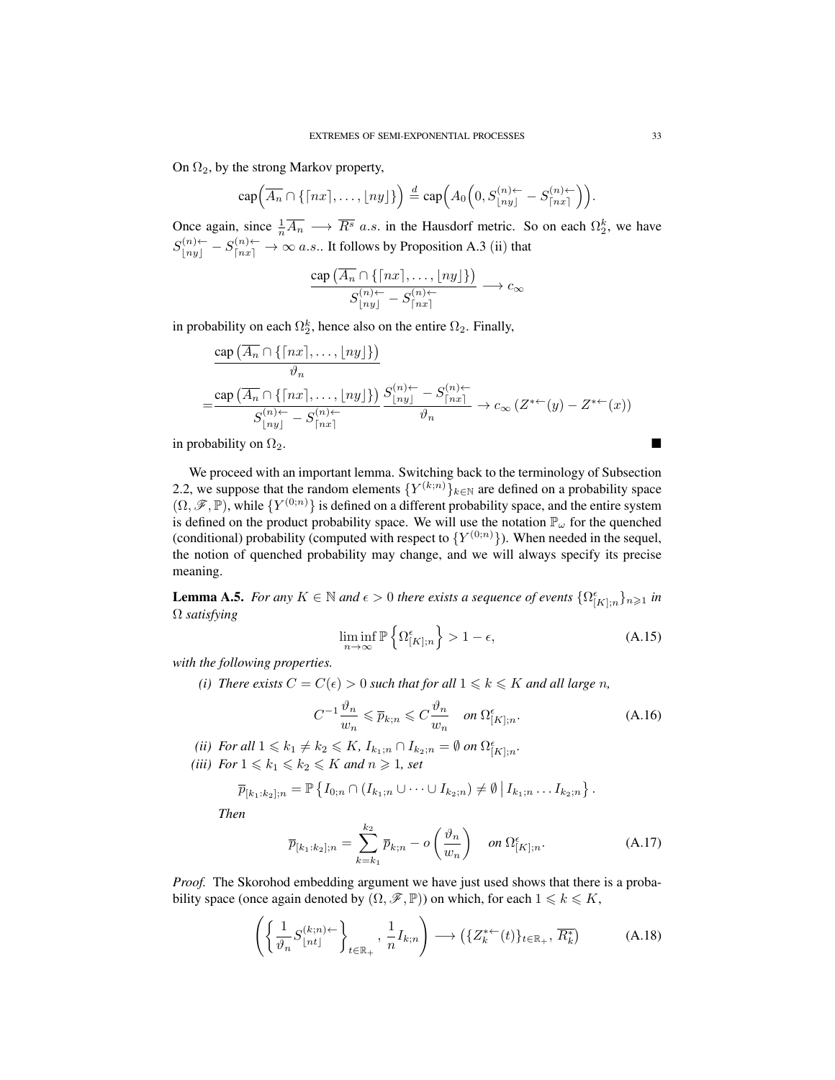On  $\Omega_2$ , by the strong Markov property,

$$
\operatorname{cap} \left( \overline{A_n} \cap \{ \lceil nx \rceil, \ldots, \lfloor ny \rfloor \} \right) \stackrel{d}{=} \operatorname{cap} \left( A_0 \left( 0, S_{\lfloor ny \rfloor}^{(n) \leftarrow} - S_{\lceil nx \rceil}^{(n) \leftarrow} \right) \right).
$$

Once again, since  $\frac{1}{n}\overline{A_n} \longrightarrow \overline{R^s}$  a.s. in the Hausdorf metric. So on each  $\Omega_2^k$ , we have  $S_{\lfloor ny \rfloor}^{(n)\leftarrow} - S_{\lceil nx \rceil}^{(n)\leftarrow} \rightarrow \infty$  a.s.. It follows by Proposition A.3 (ii) that

$$
\frac{\mathop{\rm cap}\nolimits\left(\overline{A_n}\cap\{\lceil nx \rceil,\ldots,\lfloor ny \rfloor\}\right)}{S^{(n)\leftarrow}_{\lfloor ny \rfloor}-S^{(n)\leftarrow}_{\lceil nx \rceil}} \longrightarrow c_\infty
$$

in probability on each  $\Omega_2^k$ , hence also on the entire  $\Omega_2$ . Finally,

$$
\frac{\operatorname{cap}(\overline{A_n} \cap \{\lceil nx \rceil, \dots, \lfloor ny \rfloor\})}{\vartheta_n}
$$
\n
$$
= \frac{\operatorname{cap}(\overline{A_n} \cap \{\lceil nx \rceil, \dots, \lfloor ny \rfloor\})}{S_{\lfloor ny \rfloor}^{(n)+} - S_{\lfloor ny \rfloor}^{(n)+}} \frac{S_{\lfloor ny \rfloor}^{(n)+} - S_{\lfloor nx \rfloor}^{(n)+}}{\vartheta_n} \to c_\infty(Z^{*+}(y) - Z^{*+}(x))
$$

in probability on  $\Omega_2$ .

We proceed with an important lemma. Switching back to the terminology of Subsection 2.2, we suppose that the random elements  $\{Y^{(k;n)}\}_{k\in\mathbb{N}}$  are defined on a probability space  $(\Omega, \mathscr{F}, \mathbb{P})$ , while  $\{Y^{(0;n)}\}$  is defined on a different probability space, and the entire system is defined on the product probability space. We will use the notation  $\mathbb{P}_{\omega}$  for the quenched (conditional) probability (computed with respect to  $\{Y^{(0;n)}\}\)$ . When needed in the sequel, the notion of quenched probability may change, and we will always specify its precise meaning.

**Lemma A.5.** *For any*  $K \in \mathbb{N}$  *and*  $\epsilon > 0$  *there exists a sequence of events*  $\{\Omega_{[K];n}^{\epsilon}\}_{n\geqslant 1}$  *in* Ω *satisfying*

$$
\liminf_{n \to \infty} \mathbb{P}\left\{\Omega^{\epsilon}_{[K];n}\right\} > 1 - \epsilon,\tag{A.15}
$$

*with the following properties.*

*(i) There exists*  $C = C(\epsilon) > 0$  *such that for all*  $1 \leq k \leq K$  *and all large n,* 

$$
C^{-1}\frac{\vartheta_n}{w_n} \leqslant \overline{p}_{k;n} \leqslant C\frac{\vartheta_n}{w_n} \quad on \ \Omega_{[K];n}^{\epsilon}.\tag{A.16}
$$

- *(ii) For all*  $1 \leq k_1 \neq k_2 \leq K$ ,  $I_{k_1;n} \cap I_{k_2;n} = \emptyset$  *on*  $\Omega_{[K];n}^{\epsilon}$ .
- *(iii) For*  $1 \le k_1 \le k_2 \le K$  *and*  $n \ge 1$ *, set*

$$
\overline{p}_{[k_1:k_2];n} = \mathbb{P}\left\{I_{0;n} \cap (I_{k_1;n} \cup \cdots \cup I_{k_2;n}) \neq \emptyset \middle| I_{k_1;n} \ldots I_{k_2;n}\right\}.
$$

*Then*

$$
\overline{p}_{[k_1:k_2];n} = \sum_{k=k_1}^{k_2} \overline{p}_{k;n} - o\left(\frac{\vartheta_n}{w_n}\right) \quad on \ \Omega_{[K];n}^{\epsilon}.\tag{A.17}
$$

*Proof.* The Skorohod embedding argument we have just used shows that there is a probability space (once again denoted by  $(\Omega, \mathscr{F}, \mathbb{P})$ ) on which, for each  $1 \leq k \leq K$ ,

$$
\left(\left\{\frac{1}{\vartheta_n}S_{\lfloor nt \rfloor}^{(k;n)\leftarrow}\right\}_{t\in\mathbb{R}_+},\frac{1}{n}I_{k;n}\right)\longrightarrow \left(\{Z_k^{*\leftarrow}(t)\}_{t\in\mathbb{R}_+},\overline{R_k^*}\right)
$$
(A.18)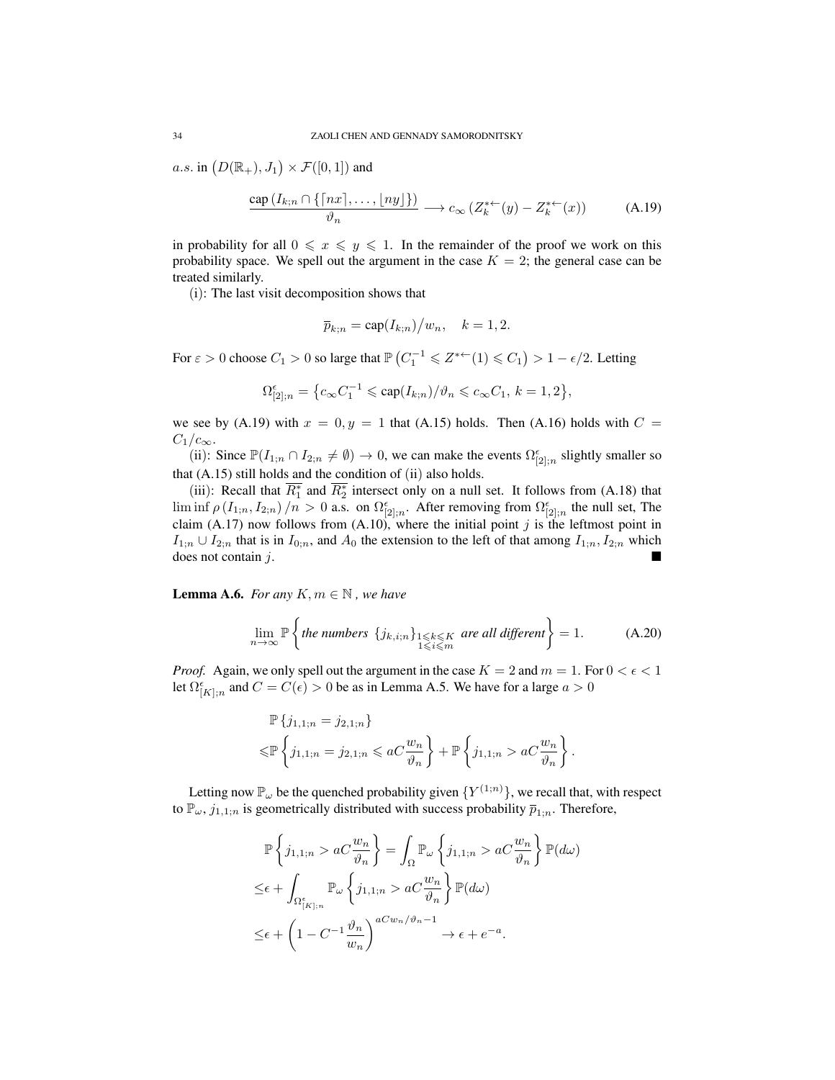a.s. in  $(D(\mathbb{R}_+), J_1) \times \mathcal{F}([0, 1])$  and

$$
\frac{\text{cap}(I_{k;n} \cap \{ \lceil nx \rceil, \dots, \lfloor ny \rfloor \})}{\vartheta_n} \longrightarrow c_{\infty} \left( Z_k^{* \leftarrow}(y) - Z_k^{* \leftarrow}(x) \right) \tag{A.19}
$$

in probability for all  $0 \le x \le y \le 1$ . In the remainder of the proof we work on this probability space. We spell out the argument in the case  $K = 2$ ; the general case can be treated similarly.

(i): The last visit decomposition shows that

$$
\overline{p}_{k;n} = \operatorname{cap}(I_{k;n})/w_n, \quad k = 1, 2.
$$

For  $\varepsilon > 0$  choose  $C_1 > 0$  so large that  $\mathbb{P}\left(C_1^{-1} \leq Z^{*+}(1) \leq C_1\right) > 1 - \epsilon/2$ . Letting

$$
\Omega_{[2];n}^\epsilon=\big\{c_\infty C_1^{-1}\leqslant \mathrm{cap}(I_{k;n})/\vartheta_n\leqslant c_\infty C_1,\, k=1,2\big\},
$$

we see by (A.19) with  $x = 0, y = 1$  that (A.15) holds. Then (A.16) holds with  $C =$  $C_1/c_{\infty}$ .

(ii): Since  $\mathbb{P}(I_{1;n} \cap I_{2;n} \neq \emptyset) \to 0$ , we can make the events  $\Omega_{[2];n}^{\epsilon}$  slightly smaller so that (A.15) still holds and the condition of (ii) also holds.

(iii): Recall that  $\overline{R_1^*}$  and  $\overline{R_2^*}$  intersect only on a null set. It follows from (A.18) that  $\liminf \rho (I_{1;n}, I_{2;n})/n > 0$  a.s. on  $\Omega_{[2],n}^{\epsilon}$ . After removing from  $\Omega_{[2],n}^{\epsilon}$  the null set, The claim (A.17) now follows from (A.10), where the initial point j is the leftmost point in  $I_{1;n} \cup I_{2;n}$  that is in  $I_{0;n}$ , and  $A_0$  the extension to the left of that among  $I_{1;n}, I_{2;n}$  which does not contain j.

**Lemma A.6.** *For any*  $K, m \in \mathbb{N}$ , *we have* 

$$
\lim_{n \to \infty} \mathbb{P}\left\{\text{the numbers } \{j_{k,i;n}\}_{1 \leqslant k \leqslant K} \text{ are all different}\right\} = 1. \tag{A.20}
$$

*Proof.* Again, we only spell out the argument in the case  $K = 2$  and  $m = 1$ . For  $0 < \epsilon < 1$ let  $\Omega_{[K];n}^{\epsilon}$  and  $C = C(\epsilon) > 0$  be as in Lemma A.5. We have for a large  $a > 0$ 

$$
\mathbb{P}\left\{j_{1,1;n} = j_{2,1;n}\right\} \leq \mathbb{P}\left\{j_{1,1;n} = j_{2,1;n} \leq aC \frac{w_n}{\vartheta_n}\right\} + \mathbb{P}\left\{j_{1,1;n} > aC \frac{w_n}{\vartheta_n}\right\}.
$$

Letting now  $\mathbb{P}_{\omega}$  be the quenched probability given  $\{Y^{(1;n)}\}$ , we recall that, with respect to  $\mathbb{P}_{\omega}$ ,  $j_{1,1;n}$  is geometrically distributed with success probability  $\overline{p}_{1;n}$ . Therefore,

$$
\mathbb{P}\left\{j_{1,1;n} > aC\frac{w_n}{\vartheta_n}\right\} = \int_{\Omega} \mathbb{P}_{\omega}\left\{j_{1,1;n} > aC\frac{w_n}{\vartheta_n}\right\} \mathbb{P}(d\omega)
$$
  
\n
$$
\leq \epsilon + \int_{\Omega_{[K];n}^{\epsilon}} \mathbb{P}_{\omega}\left\{j_{1,1;n} > aC\frac{w_n}{\vartheta_n}\right\} \mathbb{P}(d\omega)
$$
  
\n
$$
\leq \epsilon + \left(1 - C^{-1}\frac{\vartheta_n}{w_n}\right)^{aCw_n/\vartheta_n - 1} \to \epsilon + e^{-a}.
$$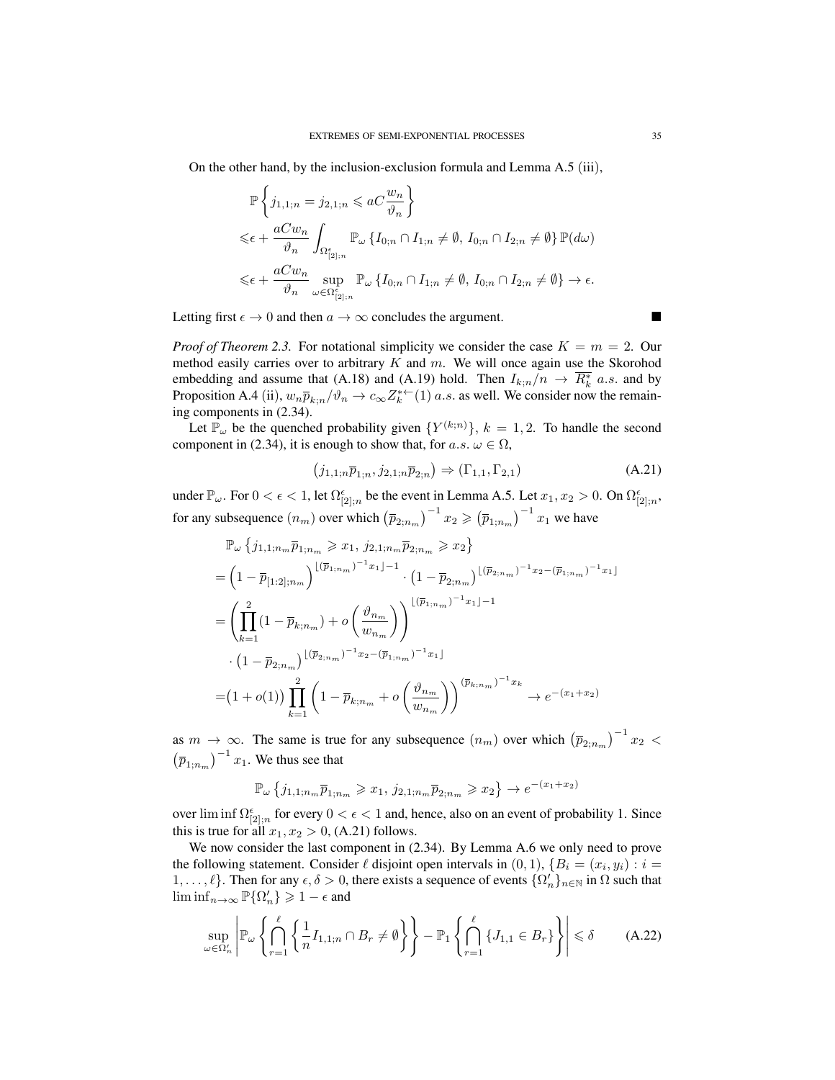On the other hand, by the inclusion-exclusion formula and Lemma A.5 (iii),

$$
\mathbb{P}\left\{j_{1,1;n}=j_{2,1;n}\leqslant aC\frac{w_n}{\vartheta_n}\right\}
$$
\n
$$
\leqslant \epsilon + \frac{aCw_n}{\vartheta_n} \int_{\Omega_{[2];n}^{\epsilon}} \mathbb{P}_{\omega}\left\{I_{0;n}\cap I_{1;n}\neq\emptyset,\, I_{0;n}\cap I_{2;n}\neq\emptyset\right\}\mathbb{P}(d\omega)
$$
\n
$$
\leqslant \epsilon + \frac{aCw_n}{\vartheta_n} \sup_{\omega \in \Omega_{[2];n}^{\epsilon}} \mathbb{P}_{\omega}\left\{I_{0;n}\cap I_{1;n}\neq\emptyset,\, I_{0;n}\cap I_{2;n}\neq\emptyset\right\} \to \epsilon.
$$

Letting first  $\epsilon \to 0$  and then  $a \to \infty$  concludes the argument.

*Proof of Theorem 2.3.* For notational simplicity we consider the case  $K = m = 2$ . Our method easily carries over to arbitrary  $K$  and  $m$ . We will once again use the Skorohod embedding and assume that (A.18) and (A.19) hold. Then  $I_{k;n}/n \to \overline{R_k^*}$  a.s. and by Proposition A.4 (ii),  $w_n \overline{p}_{k;n}/\vartheta_n \to c_\infty Z_k^{*+}(1)$  *a.s.* as well. We consider now the remaining components in (2.34).

Let  $\overline{\mathbb{P}}_{\omega}$  be the quenched probability given  $\{Y^{(k;n)}\}, k = 1, 2$ . To handle the second component in (2.34), it is enough to show that, for a.s.  $\omega \in \Omega$ ,

$$
(j_{1,1;n}\overline{p}_{1;n}, j_{2,1;n}\overline{p}_{2;n}) \Rightarrow (\Gamma_{1,1}, \Gamma_{2,1})
$$
\n(A.21)

under  $\mathbb{P}_{\omega}$ . For  $0 < \epsilon < 1$ , let  $\Omega_{[2];n}^{\epsilon}$  be the event in Lemma A.5. Let  $x_1, x_2 > 0$ . On  $\Omega_{[2];n}^{\epsilon}$ , for any subsequence  $(n_m)$  over which  $(\bar{p}_{2;n_m})^{-1} x_2 \geqslant (\bar{p}_{1;n_m})^{-1} x_1$  we have

$$
\mathbb{P}_{\omega} \left\{ j_{1,1;n_m} \overline{p}_{1;n_m} \geq x_1, j_{2,1;n_m} \overline{p}_{2;n_m} \geq x_2 \right\}
$$
\n
$$
= \left( 1 - \overline{p}_{[1:2];n_m} \right)^{\lfloor (\overline{p}_{1;n_m})^{-1} x_1 \rfloor - 1} \cdot \left( 1 - \overline{p}_{2;n_m} \right)^{\lfloor (\overline{p}_{2;n_m})^{-1} x_2 - (\overline{p}_{1;n_m})^{-1} x_1 \rfloor}
$$
\n
$$
= \left( \prod_{k=1}^2 (1 - \overline{p}_{k;n_m}) + o \left( \frac{\vartheta_{n_m}}{w_{n_m}} \right) \right)^{\lfloor (\overline{p}_{1;n_m})^{-1} x_1 \rfloor - 1}
$$
\n
$$
\cdot \left( 1 - \overline{p}_{2;n_m} \right)^{\lfloor (\overline{p}_{2;n_m})^{-1} x_2 - (\overline{p}_{1;n_m})^{-1} x_1 \rfloor}
$$
\n
$$
= \left( 1 + o(1) \right) \prod_{k=1}^2 \left( 1 - \overline{p}_{k;n_m} + o \left( \frac{\vartheta_{n_m}}{w_{n_m}} \right) \right)^{(\overline{p}_{k;n_m})^{-1} x_k} \to e^{-(x_1 + x_2)}
$$

as  $m \to \infty$ . The same is true for any subsequence  $(n_m)$  over which  $(\bar{p}_{2,n_m})^{-1}x_2$  <  $(\overline{p}_{1;n_m})^{-1} x_1$ . We thus see that

$$
\mathbb{P}_{\omega}\left\{j_{1,1;n_m}\overline{p}_{1;n_m}\geqslant x_1,\,j_{2,1;n_m}\overline{p}_{2;n_m}\geqslant x_2\right\}\to e^{-(x_1+x_2)}
$$

over lim inf  $\Omega_{[2];n}^{\epsilon}$  for every  $0 < \epsilon < 1$  and, hence, also on an event of probability 1. Since this is true for all  $x_1, x_2 > 0$ , (A.21) follows.

We now consider the last component in (2.34). By Lemma A.6 we only need to prove the following statement. Consider  $\ell$  disjoint open intervals in  $(0, 1)$ ,  $\{B_i = (x_i, y_i) : i =$ 1, ...,  $\ell$ }. Then for any  $\epsilon, \delta > 0$ , there exists a sequence of events  $\{\Omega'_n\}_{n\in\mathbb{N}}$  in  $\Omega$  such that  $\liminf_{n\to\infty} \mathbb{P}\{\Omega'_n\} \geqslant 1-\epsilon$  and

$$
\sup_{\omega \in \Omega'_n} \left| \mathbb{P}_{\omega} \left\{ \bigcap_{r=1}^{\ell} \left\{ \frac{1}{n} I_{1,1;n} \cap B_r \neq \emptyset \right\} \right\} - \mathbb{P}_{1} \left\{ \bigcap_{r=1}^{\ell} \left\{ J_{1,1} \in B_r \right\} \right\} \right| \leq \delta \tag{A.22}
$$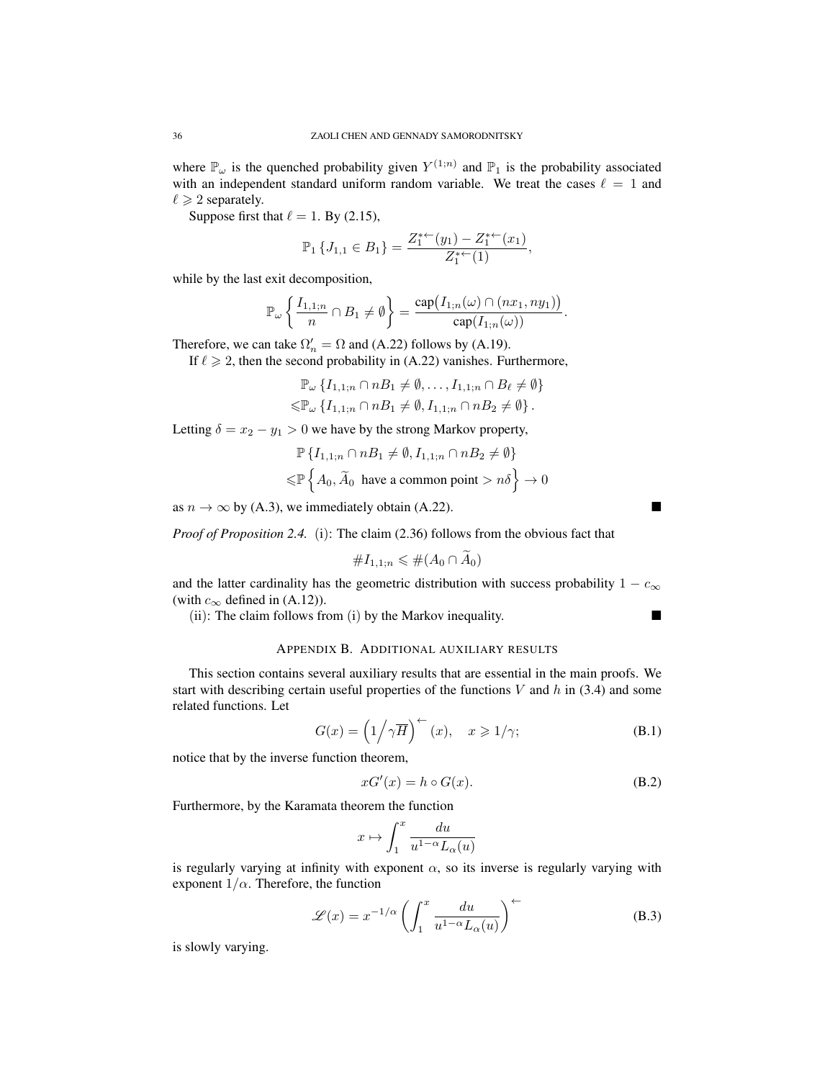where  $\mathbb{P}_{\omega}$  is the quenched probability given  $Y^{(1;n)}$  and  $\mathbb{P}_1$  is the probability associated with an independent standard uniform random variable. We treat the cases  $\ell = 1$  and  $\ell \geqslant 2$  separately.

Suppose first that  $\ell = 1$ . By (2.15),

$$
\mathbb{P}_1\left\{J_{1,1}\in B_1\right\}=\frac{Z_1^{*+}(y_1)-Z_1^{*+}(x_1)}{Z_1^{*+}(1)},
$$

while by the last exit decomposition,

$$
\mathbb{P}_{\omega}\left\{\frac{I_{1,1;n}}{n}\cap B_1\neq\emptyset\right\}=\frac{\text{cap}(I_{1;n}(\omega)\cap(nx_1,ny_1))}{\text{cap}(I_{1;n}(\omega))}.
$$

Therefore, we can take  $\Omega'_n = \Omega$  and (A.22) follows by (A.19).

If  $\ell \geq 2$ , then the second probability in (A.22) vanishes. Furthermore,

$$
\mathbb{P}_{\omega} \left\{ I_{1,1;n} \cap nB_1 \neq \emptyset, \dots, I_{1,1;n} \cap B_\ell \neq \emptyset \right\}
$$
  

$$
\leq \mathbb{P}_{\omega} \left\{ I_{1,1;n} \cap nB_1 \neq \emptyset, I_{1,1;n} \cap nB_2 \neq \emptyset \right\}.
$$

Letting  $\delta = x_2 - y_1 > 0$  we have by the strong Markov property,

$$
\mathbb{P}\left\{I_{1,1;n} \cap nB_1 \neq \emptyset, I_{1,1;n} \cap nB_2 \neq \emptyset\right\}
$$
  

$$
\leq \mathbb{P}\left\{A_0, \widetilde{A}_0 \text{ have a common point} > n\delta\right\} \to 0
$$

as  $n \to \infty$  by (A.3), we immediately obtain (A.22).

*Proof of Proposition 2.4.* (i): The claim (2.36) follows from the obvious fact that

$$
\#I_{1,1;n}\leqslant\#(A_0\cap\widetilde{A}_0)
$$

and the latter cardinality has the geometric distribution with success probability  $1 - c_{\infty}$ (with  $c_{\infty}$  defined in (A.12)).

(ii): The claim follows from (i) by the Markov inequality.

# APPENDIX B. ADDITIONAL AUXILIARY RESULTS

This section contains several auxiliary results that are essential in the main proofs. We start with describing certain useful properties of the functions  $V$  and  $h$  in (3.4) and some related functions. Let

$$
G(x) = \left(1/\gamma \overline{H}\right)^{+}(x), \quad x \geqslant 1/\gamma; \tag{B.1}
$$

notice that by the inverse function theorem,

$$
xG'(x) = h \circ G(x). \tag{B.2}
$$

Furthermore, by the Karamata theorem the function

$$
x\mapsto \int_1^x \frac{du}{u^{1-\alpha}L_{\alpha}(u)}
$$

is regularly varying at infinity with exponent  $\alpha$ , so its inverse is regularly varying with exponent  $1/\alpha$ . Therefore, the function

$$
\mathcal{L}(x) = x^{-1/\alpha} \left( \int_1^x \frac{du}{u^{1-\alpha} L_\alpha(u)} \right)^\leftarrow \tag{B.3}
$$

is slowly varying.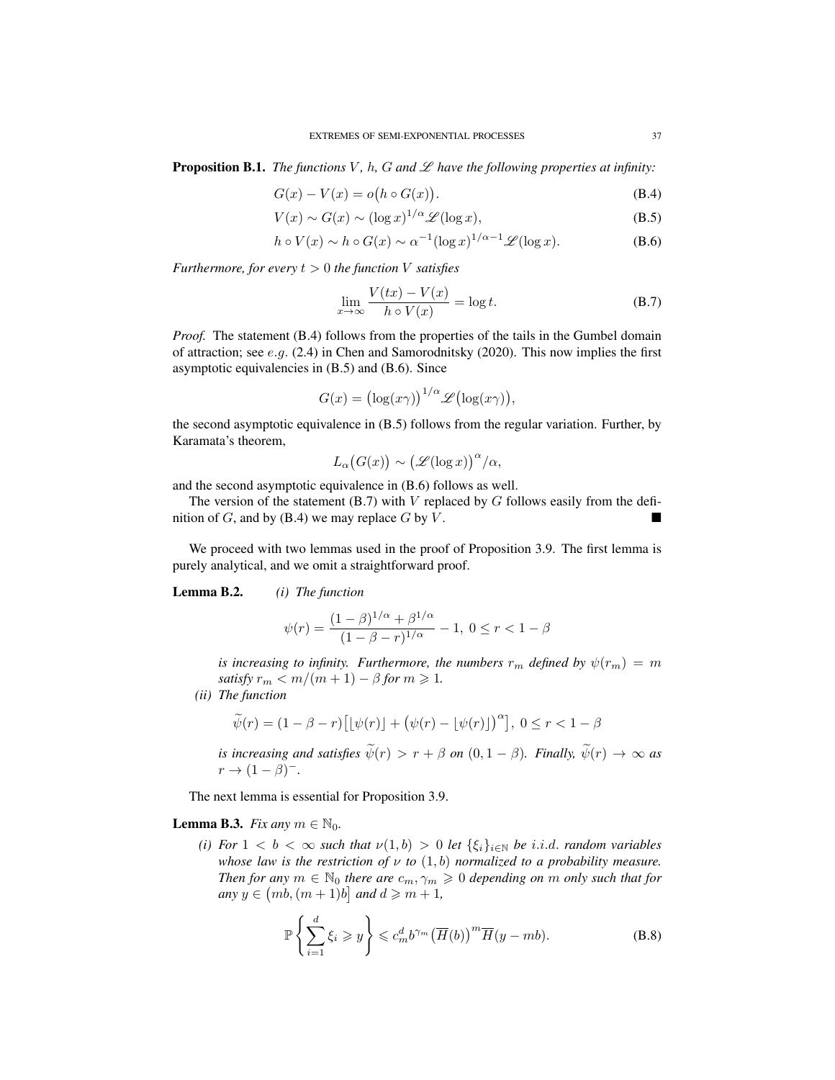**Proposition B.1.** *The functions*  $V$ *, h, G and*  $\mathscr L$  *have the following properties at infinity:* 

$$
G(x) - V(x) = o(h \circ G(x)).
$$
\n(B.4)

$$
V(x) \sim G(x) \sim (\log x)^{1/\alpha} \mathcal{L}(\log x),\tag{B.5}
$$

$$
h \circ V(x) \sim h \circ G(x) \sim \alpha^{-1} (\log x)^{1/\alpha - 1} \mathcal{L}(\log x). \tag{B.6}
$$

*Furthermore, for every*  $t > 0$  *the function V satisfies* 

$$
\lim_{x \to \infty} \frac{V(tx) - V(x)}{h \circ V(x)} = \log t.
$$
 (B.7)

*Proof.* The statement (B.4) follows from the properties of the tails in the Gumbel domain of attraction; see  $e.g.$  (2.4) in Chen and Samorodnitsky (2020). This now implies the first asymptotic equivalencies in (B.5) and (B.6). Since

$$
G(x) = (\log(x\gamma))^{1/\alpha} \mathscr{L}(\log(x\gamma)),
$$

the second asymptotic equivalence in (B.5) follows from the regular variation. Further, by Karamata's theorem,

$$
L_{\alpha}(G(x)) \sim (\mathscr{L}(\log x))^{\alpha}/\alpha,
$$

and the second asymptotic equivalence in (B.6) follows as well.

The version of the statement  $(B.7)$  with V replaced by G follows easily from the definition of  $G$ , and by (B.4) we may replace  $G$  by  $V$ .

We proceed with two lemmas used in the proof of Proposition 3.9. The first lemma is purely analytical, and we omit a straightforward proof.

Lemma B.2. *(i) The function*

$$
\psi(r) = \frac{(1-\beta)^{1/\alpha} + \beta^{1/\alpha}}{(1-\beta-r)^{1/\alpha}} - 1, 0 \le r < 1-\beta
$$

*is increasing to infinity. Furthermore, the numbers*  $r_m$  *defined by*  $\psi(r_m) = m$ *satisfy*  $r_m < m/(m+1) - \beta$  *for*  $m \ge 1$ *.* 

*(ii) The function*

$$
\widetilde{\psi}(r) = (1 - \beta - r) \big[ \lfloor \psi(r) \rfloor + \big( \psi(r) - \lfloor \psi(r) \rfloor \big)^{\alpha} \big], \ 0 \le r < 1 - \beta
$$

*is increasing and satisfies*  $\widetilde{\psi}(r) > r + \beta$  *on*  $(0, 1 - \beta)$ *. Finally,*  $\widetilde{\psi}(r) \to \infty$  *as*  $r \rightarrow (1-\beta)^{-}$ .

The next lemma is essential for Proposition 3.9.

**Lemma B.3.** *Fix any*  $m \in \mathbb{N}_0$ .

*(i) For*  $1 < b < \infty$  *such that*  $\nu(1, b) > 0$  *let*  $\{\xi_i\}_{i \in \mathbb{N}}$  *be i.i.d. random variables whose law is the restriction of*  $\nu$  *to*  $(1, b)$  *normalized to a probability measure. Then for any*  $m \in \mathbb{N}_0$  *there are*  $c_m, \gamma_m \geq 0$  *depending on* m *only such that for*  $any \ y \in (mb, (m+1)b] \ and \ d \geqslant m+1,$ 

$$
\mathbb{P}\left\{\sum_{i=1}^{d}\xi_{i}\geqslant y\right\}\leqslant c_{m}^{d}b^{\gamma_{m}}\left(\overline{H}(b)\right)^{m}\overline{H}(y-mb). \tag{B.8}
$$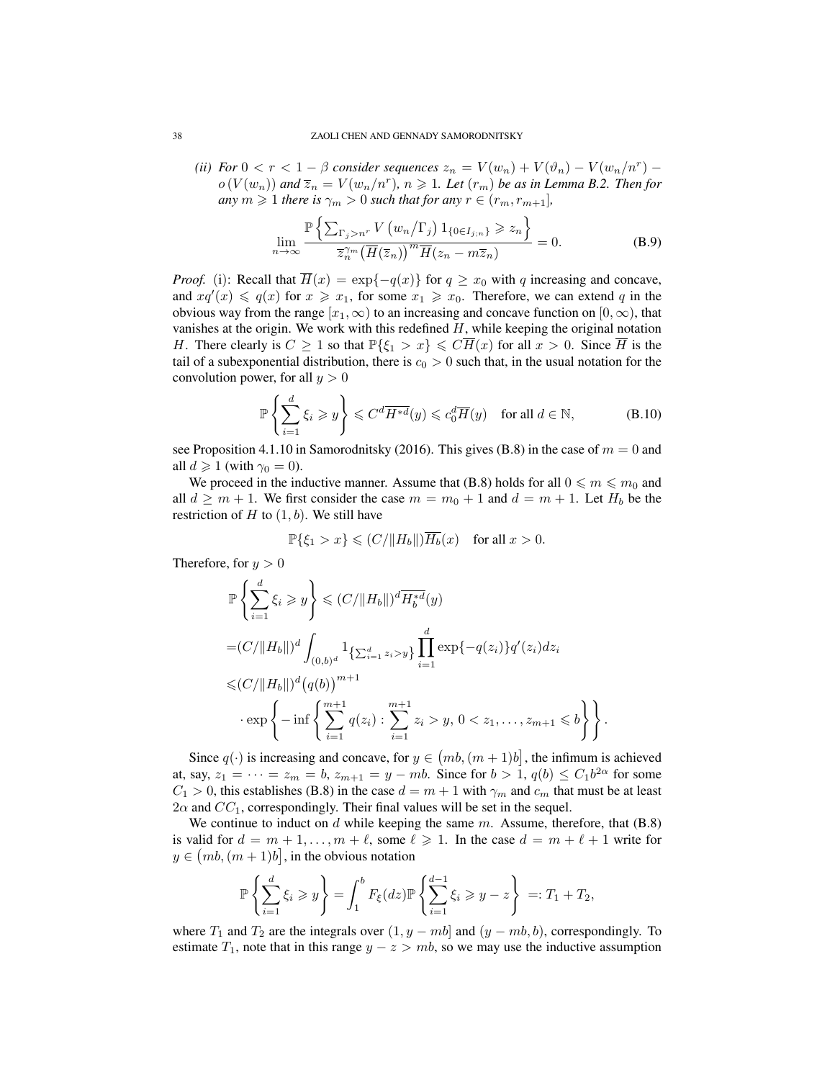*(ii) For*  $0 < r < 1 - \beta$  *consider sequences*  $z_n = V(w_n) + V(\vartheta_n) - V(w_n/n^r)$  –  $o(V(w_n))$  and  $\overline{z}_n = V(w_n/n^r)$ ,  $n \geqslant 1$ . Let  $(r_m)$  be as in Lemma B.2. Then for *any*  $m \geq 1$  *there is*  $\gamma_m > 0$  *such that for any*  $r \in (r_m, r_{m+1}]$ *,* 

$$
\lim_{n \to \infty} \frac{\mathbb{P}\left\{\sum_{\Gamma_j > n^r} V\left(w_n / \Gamma_j\right) 1_{\{0 \in I_{j;n}\}} \geqslant z_n\right\}}{\overline{z}_n^{\gamma_m} \left(\overline{H}(\overline{z}_n)\right)^m \overline{H}(z_n - m \overline{z}_n)} = 0.
$$
\n(B.9)

*Proof.* (i): Recall that  $\overline{H}(x) = \exp\{-q(x)\}\$ for  $q \geq x_0$  with q increasing and concave, and  $xq'(x) \leq q(x)$  for  $x \geq x_1$ , for some  $x_1 \geq x_0$ . Therefore, we can extend q in the obvious way from the range  $[x_1, \infty)$  to an increasing and concave function on  $[0, \infty)$ , that vanishes at the origin. We work with this redefined  $H$ , while keeping the original notation H. There clearly is  $C \geq 1$  so that  $\mathbb{P}\{\xi_1 > x\} \leq C\overline{H}(x)$  for all  $x > 0$ . Since  $\overline{H}$  is the tail of a subexponential distribution, there is  $c_0 > 0$  such that, in the usual notation for the convolution power, for all  $y > 0$ 

$$
\mathbb{P}\left\{\sum_{i=1}^d \xi_i \geqslant y\right\} \leqslant C^d \overline{H^{*d}}(y) \leqslant c_0^d \overline{H}(y) \quad \text{for all } d \in \mathbb{N},\tag{B.10}
$$

see Proposition 4.1.10 in Samorodnitsky (2016). This gives (B.8) in the case of  $m = 0$  and all  $d \geqslant 1$  (with  $\gamma_0 = 0$ ).

We proceed in the inductive manner. Assume that (B.8) holds for all  $0 \le m \le m_0$  and all  $d \geq m + 1$ . We first consider the case  $m = m_0 + 1$  and  $d = m + 1$ . Let  $H_b$  be the restriction of  $H$  to  $(1, b)$ . We still have

$$
\mathbb{P}\{\xi_1>x\}\leqslant (C/\|H_b\|)\overline{H_b}(x)\quad\text{for all }x>0.
$$

Therefore, for  $y > 0$ 

$$
\mathbb{P}\left\{\sum_{i=1}^{d} \xi_{i} \geqslant y\right\} \leqslant (C/\|H_{b}\|)^{d} \overline{H_{b}^{*d}}(y)
$$
\n
$$
= (C/\|H_{b}\|)^{d} \int_{(0,b)^{d}} 1_{\left\{\sum_{i=1}^{d} z_{i} > y\right\}} \prod_{i=1}^{d} \exp\{-q(z_{i})\} q'(z_{i}) dz_{i}
$$
\n
$$
\leqslant (C/\|H_{b}\|)^{d} (q(b))^{m+1}
$$
\n
$$
\cdot \exp\left\{-\inf\left\{\sum_{i=1}^{m+1} q(z_{i}) : \sum_{i=1}^{m+1} z_{i} > y, 0 < z_{1}, \ldots, z_{m+1} \leqslant b\right\}\right\}.
$$

Since  $q(\cdot)$  is increasing and concave, for  $y \in (mb, (m+1)b]$ , the infimum is achieved at, say,  $z_1 = \cdots = z_m = b$ ,  $z_{m+1} = y - mb$ . Since for  $b > 1$ ,  $q(b) \le C_1 b^{2\alpha}$  for some  $C_1 > 0$ , this establishes (B.8) in the case  $d = m + 1$  with  $\gamma_m$  and  $c_m$  that must be at least  $2\alpha$  and  $CC_1$ , correspondingly. Their final values will be set in the sequel.

We continue to induct on  $d$  while keeping the same  $m$ . Assume, therefore, that  $(B.8)$ is valid for  $d = m + 1, \ldots, m + \ell$ , some  $\ell \geq 1$ . In the case  $d = m + \ell + 1$  write for  $y \in (mb, (m+1)b]$ , in the obvious notation

$$
\mathbb{P}\left\{\sum_{i=1}^d \xi_i \geqslant y\right\} = \int_1^b F_{\xi}(dz) \mathbb{P}\left\{\sum_{i=1}^{d-1} \xi_i \geqslant y-z\right\} =: T_1 + T_2,
$$

where  $T_1$  and  $T_2$  are the integrals over  $(1, y - mb)$  and  $(y - mb, b)$ , correspondingly. To estimate  $T_1$ , note that in this range  $y - z > mb$ , so we may use the inductive assumption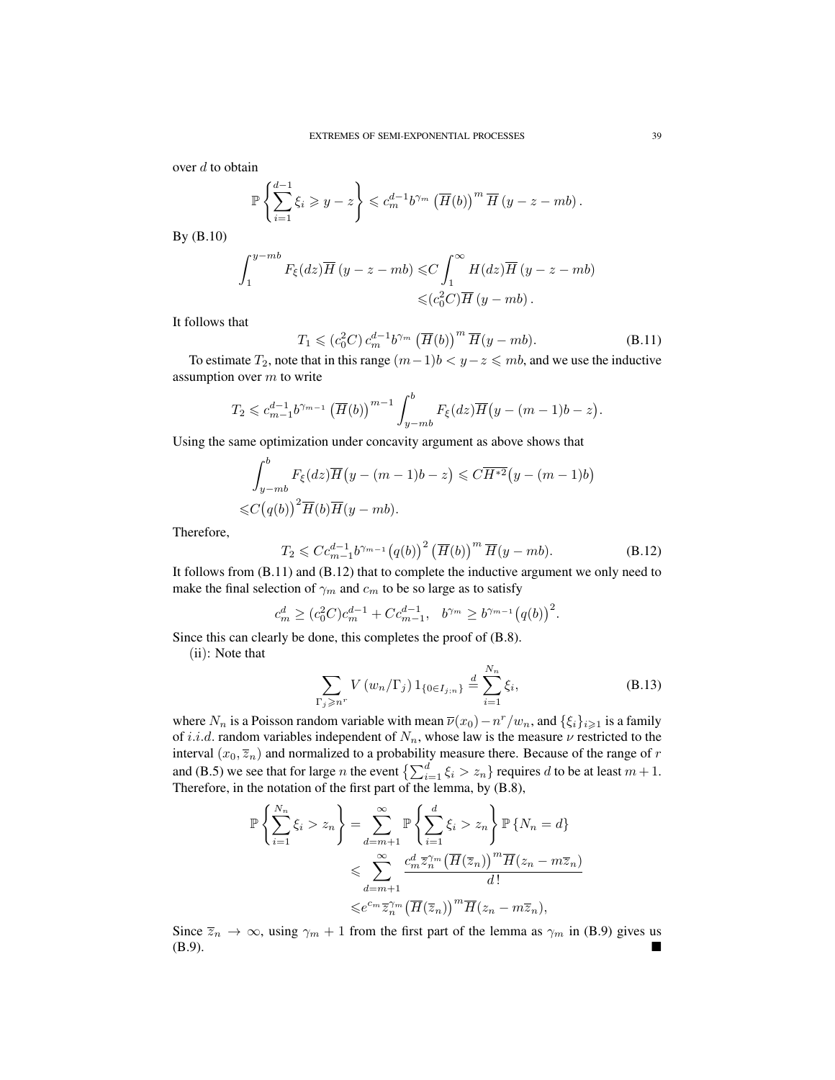over  $d$  to obtain

$$
\mathbb{P}\left\{\sum_{i=1}^{d-1}\xi_i\geqslant y-z\right\}\leqslant c_m^{d-1}b^{\gamma_m}\left(\overline{H}(b)\right)^m\overline{H}\left(y-z-mb\right).
$$

By (B.10)

$$
\int_{1}^{y-mb} F_{\xi}(dz) \overline{H}(y-z-mb) \leq C \int_{1}^{\infty} H(dz) \overline{H}(y-z-mb)
$$
  

$$
\leq (c_0^2 C) \overline{H}(y-mb).
$$

It follows that

$$
T_1 \leqslant (c_0^2 C) c_m^{d-1} b^{\gamma_m} \left( \overline{H}(b) \right)^m \overline{H}(y - mb).
$$
 (B.11)

To estimate  $T_2$ , note that in this range  $(m-1)b < y-z \leq m b$ , and we use the inductive assumption over  $m$  to write

$$
T_2 \leq c_{m-1}^{d-1} b^{\gamma_{m-1}} \left( \overline{H}(b) \right)^{m-1} \int_{y-mb}^b F_{\xi}(dz) \overline{H}(y-(m-1)b-z).
$$

Using the same optimization under concavity argument as above shows that

$$
\int_{y-mb}^{b} F_{\xi}(dz)\overline{H}(y-(m-1)b-z) \leq C\overline{H^{*2}}(y-(m-1)b)
$$
  

$$
\leq C(q(b))^{2}\overline{H}(b)\overline{H}(y-mb).
$$

Therefore,

$$
T_2 \leqslant C c_{m-1}^{d-1} b^{\gamma_{m-1}} \big( q(b) \big)^2 \left( \overline{H}(b) \right)^m \overline{H}(y - mb).
$$
 (B.12)

It follows from (B.11) and (B.12) that to complete the inductive argument we only need to make the final selection of  $\gamma_m$  and  $c_m$  to be so large as to satisfy

$$
c_m^d \ge (c_0^2 C) c_m^{d-1} + C c_{m-1}^{d-1}, \quad b^{\gamma_m} \ge b^{\gamma_{m-1}} (q(b))^2.
$$

Since this can clearly be done, this completes the proof of (B.8).

(ii): Note that

$$
\sum_{\Gamma_j \geqslant n^r} V(w_n/\Gamma_j) 1_{\{0 \in I_{j;n}\}} \stackrel{d}{=} \sum_{i=1}^{N_n} \xi_i,
$$
\n(B.13)

where  $N_n$  is a Poisson random variable with mean  $\overline{\nu}(x_0) - n^r/w_n$ , and  $\{\xi_i\}_{i \geq 1}$  is a family of i.i.d. random variables independent of  $N_n$ , whose law is the measure  $\nu$  restricted to the interval  $(x_0, \overline{z_n})$  and normalized to a probability measure there. Because of the range of r and (B.5) we see that for large *n* the event  $\left\{ \sum_{i=1}^d \xi_i > z_n \right\}$  requires d to be at least  $m + 1$ . Therefore, in the notation of the first part of the lemma, by (B.8),

$$
\mathbb{P}\left\{\sum_{i=1}^{N_n}\xi_i > z_n\right\} = \sum_{d=m+1}^{\infty} \mathbb{P}\left\{\sum_{i=1}^d\xi_i > z_n\right\} \mathbb{P}\left\{N_n = d\right\}
$$
  

$$
\leqslant \sum_{d=m+1}^{\infty} \frac{c_m^d\overline{z}_n^{2m} \left(\overline{H}(\overline{z}_n)\right)^m \overline{H}(z_n - m\overline{z}_n)}{d!}
$$
  

$$
\leqslant e^{c_m}\overline{z}_n^{2m} \left(\overline{H}(\overline{z}_n)\right)^m \overline{H}(z_n - m\overline{z}_n),
$$

Since  $\overline{z}_n \to \infty$ , using  $\gamma_m + 1$  from the first part of the lemma as  $\gamma_m$  in (B.9) gives us (B.9).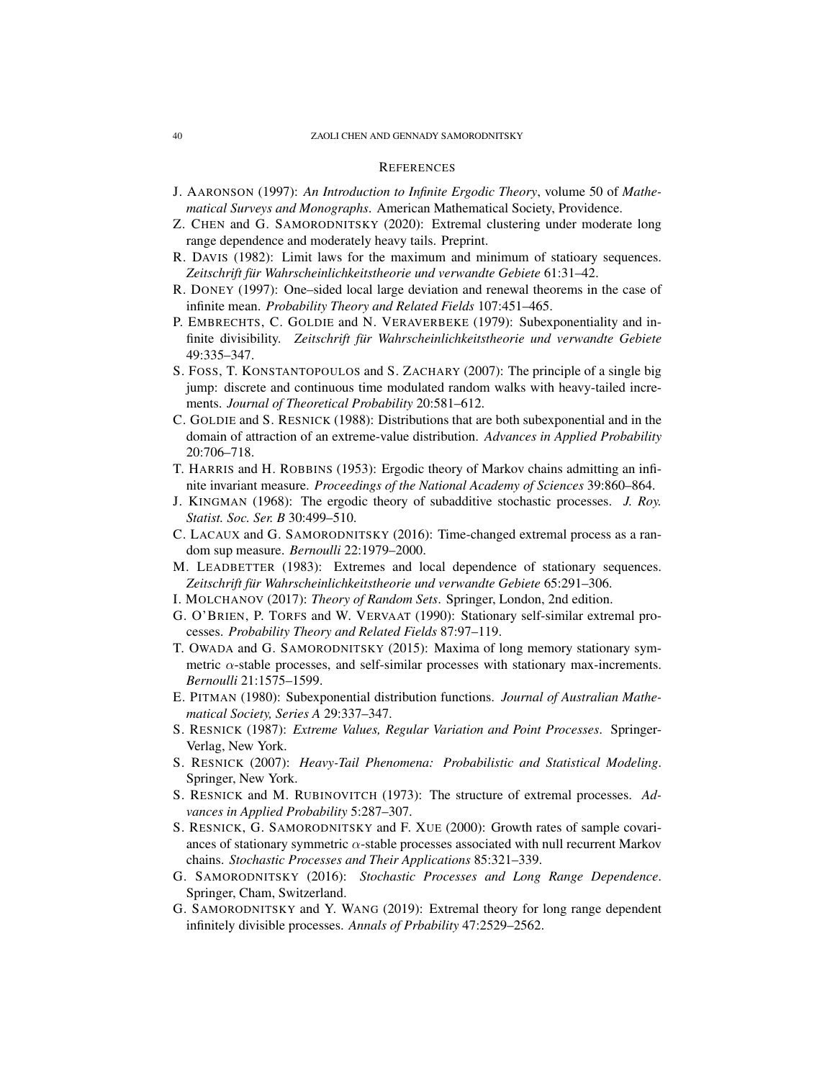## **REFERENCES**

- J. AARONSON (1997): *An Introduction to Infinite Ergodic Theory*, volume 50 of *Mathematical Surveys and Monographs*. American Mathematical Society, Providence.
- Z. CHEN and G. SAMORODNITSKY (2020): Extremal clustering under moderate long range dependence and moderately heavy tails. Preprint.
- R. DAVIS (1982): Limit laws for the maximum and minimum of statioary sequences. Zeitschrift für Wahrscheinlichkeitstheorie und verwandte Gebiete 61:31–42.
- R. DONEY (1997): One–sided local large deviation and renewal theorems in the case of infinite mean. *Probability Theory and Related Fields* 107:451–465.
- P. EMBRECHTS, C. GOLDIE and N. VERAVERBEKE (1979): Subexponentiality and infinite divisibility. *Zeitschrift für Wahrscheinlichkeitstheorie und verwandte Gebiete* 49:335–347.
- S. FOSS, T. KONSTANTOPOULOS and S. ZACHARY (2007): The principle of a single big jump: discrete and continuous time modulated random walks with heavy-tailed increments. *Journal of Theoretical Probability* 20:581–612.
- C. GOLDIE and S. RESNICK (1988): Distributions that are both subexponential and in the domain of attraction of an extreme-value distribution. *Advances in Applied Probability* 20:706–718.
- T. HARRIS and H. ROBBINS (1953): Ergodic theory of Markov chains admitting an infinite invariant measure. *Proceedings of the National Academy of Sciences* 39:860–864.
- J. KINGMAN (1968): The ergodic theory of subadditive stochastic processes. *J. Roy. Statist. Soc. Ser. B* 30:499–510.
- C. LACAUX and G. SAMORODNITSKY (2016): Time-changed extremal process as a random sup measure. *Bernoulli* 22:1979–2000.
- M. LEADBETTER (1983): Extremes and local dependence of stationary sequences. Zeitschrift für Wahrscheinlichkeitstheorie und verwandte Gebiete 65:291–306.
- I. MOLCHANOV (2017): *Theory of Random Sets*. Springer, London, 2nd edition.
- G. O'BRIEN, P. TORFS and W. VERVAAT (1990): Stationary self-similar extremal processes. *Probability Theory and Related Fields* 87:97–119.
- T. OWADA and G. SAMORODNITSKY (2015): Maxima of long memory stationary symmetric  $\alpha$ -stable processes, and self-similar processes with stationary max-increments. *Bernoulli* 21:1575–1599.
- E. PITMAN (1980): Subexponential distribution functions. *Journal of Australian Mathematical Society, Series A* 29:337–347.
- S. RESNICK (1987): *Extreme Values, Regular Variation and Point Processes*. Springer-Verlag, New York.
- S. RESNICK (2007): *Heavy-Tail Phenomena: Probabilistic and Statistical Modeling*. Springer, New York.
- S. RESNICK and M. RUBINOVITCH (1973): The structure of extremal processes. *Advances in Applied Probability* 5:287–307.
- S. RESNICK, G. SAMORODNITSKY and F. XUE (2000): Growth rates of sample covariances of stationary symmetric  $\alpha$ -stable processes associated with null recurrent Markov chains. *Stochastic Processes and Their Applications* 85:321–339.
- G. SAMORODNITSKY (2016): *Stochastic Processes and Long Range Dependence*. Springer, Cham, Switzerland.
- G. SAMORODNITSKY and Y. WANG (2019): Extremal theory for long range dependent infinitely divisible processes. *Annals of Prbability* 47:2529–2562.